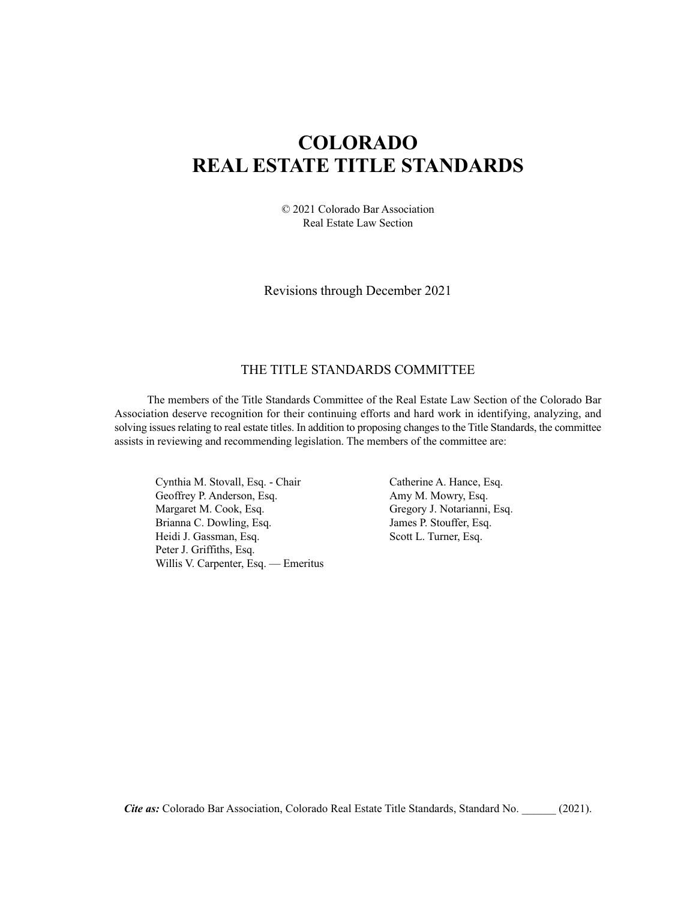# **COLORADO REAL ESTATE TITLE STANDARDS**

© 2021 Colorado Bar Association Real Estate Law Section

Revisions through December 2021

# THE TITLE STANDARDS COMMITTEE

The members of the Title Standards Committee of the Real Estate Law Section of the Colorado Bar Association deserve recognition for their continuing efforts and hard work in identifying, analyzing, and solving issues relating to real estate titles. In addition to proposing changes to the Title Standards, the committee assists in reviewing and recommending legislation. The members of the committee are:

Cynthia M. Stovall, Esq. - Chair Catherine A. Hance, Esq. Geoffrey P. Anderson, Esq. Amy M. Mowry, Esq. Margaret M. Cook, Esq. Gregory J. Notarianni, Esq. Brianna C. Dowling, Esq. James P. Stouffer, Esq. Heidi J. Gassman, Esq. Scott L. Turner, Esq. Scott L. Turner, Esq. Peter J. Griffiths, Esq. Willis V. Carpenter, Esq. — Emeritus

*Cite as:* Colorado Bar Association, Colorado Real Estate Title Standards, Standard No. \_\_\_\_\_\_ (2021).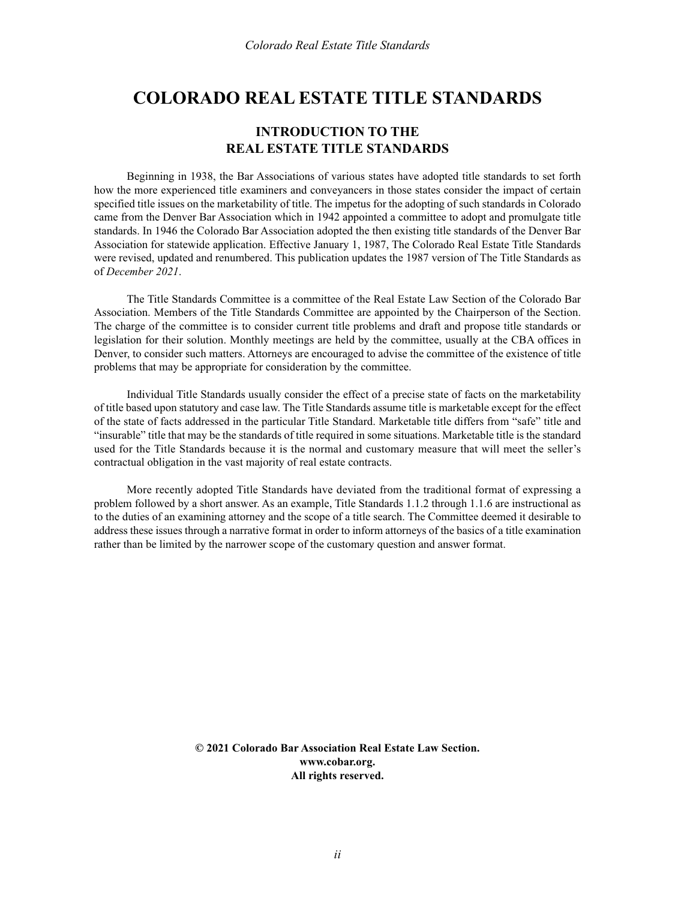# **COLORADO REAL ESTATE TITLE STANDARDS**

# **INTRODUCTION TO THE REAL ESTATE TITLE STANDARDS**

Beginning in 1938, the Bar Associations of various states have adopted title standards to set forth how the more experienced title examiners and conveyancers in those states consider the impact of certain specified title issues on the marketability of title. The impetus for the adopting of such standards in Colorado came from the Denver Bar Association which in 1942 appointed a committee to adopt and promulgate title standards. In 1946 the Colorado Bar Association adopted the then existing title standards of the Denver Bar Association for statewide application. Effective January 1, 1987, The Colorado Real Estate Title Standards were revised, updated and renumbered. This publication updates the 1987 version of The Title Standards as of *December 2021*.

The Title Standards Committee is a committee of the Real Estate Law Section of the Colorado Bar Association. Members of the Title Standards Committee are appointed by the Chairperson of the Section. The charge of the committee is to consider current title problems and draft and propose title standards or legislation for their solution. Monthly meetings are held by the committee, usually at the CBA offices in Denver, to consider such matters. Attorneys are encouraged to advise the committee of the existence of title problems that may be appropriate for consideration by the committee.

Individual Title Standards usually consider the effect of a precise state of facts on the marketability of title based upon statutory and case law. The Title Standards assume title is marketable except for the effect of the state of facts addressed in the particular Title Standard. Marketable title differs from "safe" title and "insurable" title that may be the standards of title required in some situations. Marketable title is the standard used for the Title Standards because it is the normal and customary measure that will meet the seller's contractual obligation in the vast majority of real estate contracts.

More recently adopted Title Standards have deviated from the traditional format of expressing a problem followed by a short answer. As an example, Title Standards 1.1.2 through 1.1.6 are instructional as to the duties of an examining attorney and the scope of a title search. The Committee deemed it desirable to address these issues through a narrative format in order to inform attorneys of the basics of a title examination rather than be limited by the narrower scope of the customary question and answer format.

> **© 2021 Colorado Bar Association Real Estate Law Section. www.cobar.org. All rights reserved.**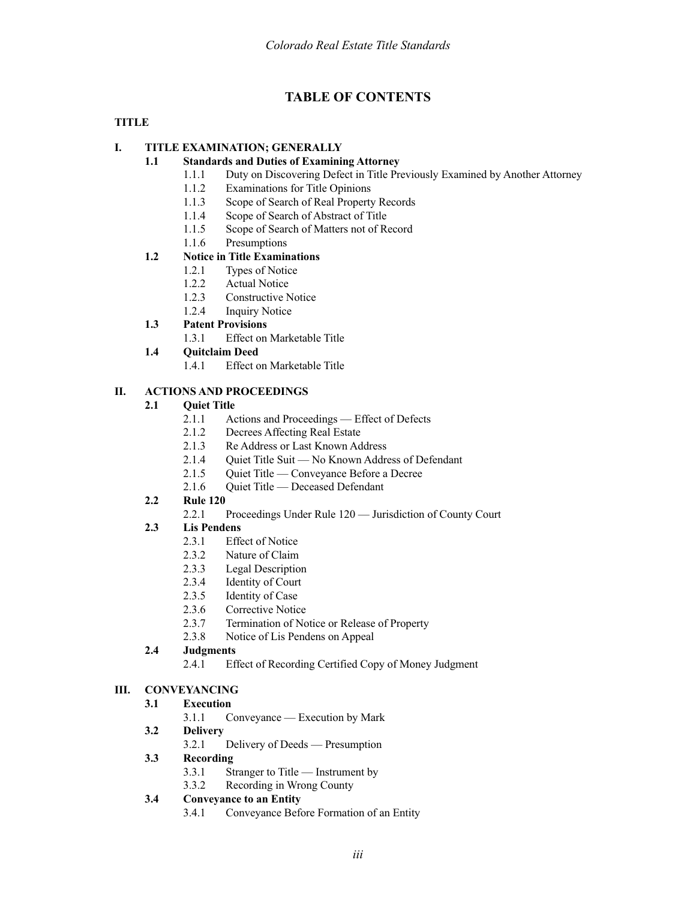# **TABLE OF CONTENTS**

# **TITLE**

# **I. TITLE EXAMINATION; GENERALLY**

#### **1.1 Standards and Duties of Examining Attorney**

- 1.1.1 Duty on Discovering Defect in Title Previously Examined by Another Attorney
- 1.1.2 Examinations for Title Opinions
- 1.1.3 Scope of Search of Real Property Records
- 1.1.4 Scope of Search of Abstract of Title
- 1.1.5 Scope of Search of Matters not of Record
- 1.1.6 Presumptions

## **1.2 Notice in Title Examinations**

- 1.2.1 Types of Notice
- 1.2.2 Actual Notice
- 1.2.3 Constructive Notice
- 1.2.4 Inquiry Notice

# **1.3 Patent Provisions**

- 1.3.1 Effect on Marketable Title
- **1.4 Quitclaim Deed**
	- 1.4.1 Effect on Marketable Title

# **II. ACTIONS AND PROCEEDINGS**

## 2.1 Ouiet Title

- 2.1.1 Actions and Proceedings Effect of Defects
- 2.1.2 Decrees Affecting Real Estate
- 2.1.3 Re Address or Last Known Address
- 2.1.4 Quiet Title Suit No Known Address of Defendant
- 2.1.5 Quiet Title Conveyance Before a Decree
- 2.1.6 Quiet Title Deceased Defendant
- **2.2 Rule 120**
	- 2.2.1 Proceedings Under Rule 120 Jurisdiction of County Court
- **2.3 Lis Pendens**
	- **Effect of Notice**
	-
	- 2.3.2 Nature of Claim<br>2.3.3 Legal Description Legal Description
	- 2.3.4 Identity of Court
	- 2.3.5 Identity of Case
	- 2.3.6 Corrective Notice
	- 2.3.7 Termination of Notice or Release of Property
	- 2.3.8 Notice of Lis Pendens on Appeal

## **2.4 Judgments**

2.4.1 Effect of Recording Certified Copy of Money Judgment

## **III. CONVEYANCING**

- **3.1 Execution**
	- 3.1.1 Conveyance Execution by Mark
- **3.2 Delivery**
	- 3.2.1 Delivery of Deeds Presumption

## **3.3 Recording**

- 3.3.1 Stranger to Title Instrument by
- 3.3.2 Recording in Wrong County

## **3.4 Conveyance to an Entity**

3.4.1 Conveyance Before Formation of an Entity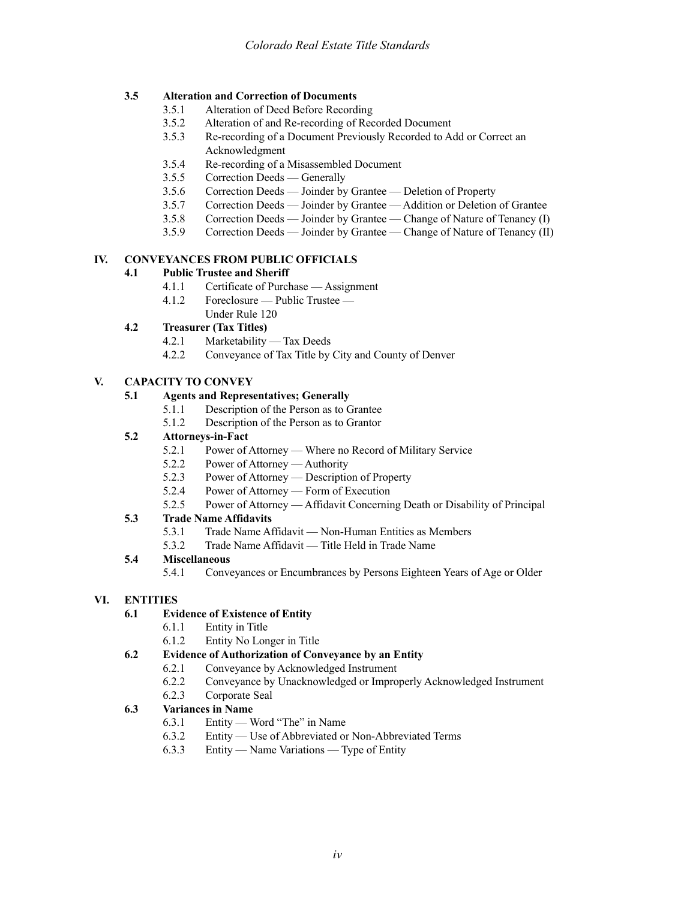# **3.5 Alteration and Correction of Documents**

- 3.5.1 Alteration of Deed Before Recording
- 3.5.2 Alteration of and Re-recording of Recorded Document
- 3.5.3 Re-recording of a Document Previously Recorded to Add or Correct an Acknowledgment
- 3.5.4 Re-recording of a Misassembled Document
- 3.5.5 Correction Deeds Generally
- 3.5.6 Correction Deeds Joinder by Grantee Deletion of Property
- 3.5.7 Correction Deeds Joinder by Grantee Addition or Deletion of Grantee
- 3.5.8 Correction Deeds Joinder by Grantee Change of Nature of Tenancy (I)
- 3.5.9 Correction Deeds Joinder by Grantee Change of Nature of Tenancy (II)

# **IV. CONVEYANCES FROM PUBLIC OFFICIALS**

## **4.1 Public Trustee and Sheriff**

- 4.1.1 Certificate of Purchase Assignment
- 4.1.2 Foreclosure Public Trustee —
- Under Rule 120

# **4.2 Treasurer (Tax Titles)**

- 4.2.1 Marketability Tax Deeds
- 4.2.2 Conveyance of Tax Title by City and County of Denver

# **V. CAPACITY TO CONVEY**

## **5.1 Agents and Representatives; Generally**

- 5.1.1 Description of the Person as to Grantee
- 5.1.2 Description of the Person as to Grantor

## **5.2 Attorneys-in-Fact**

- 5.2.1 Power of Attorney Where no Record of Military Service
- 5.2.2 Power of Attorney Authority
- 5.2.3 Power of Attorney Description of Property
- 5.2.4 Power of Attorney Form of Execution
- 5.2.5 Power of Attorney Affidavit Concerning Death or Disability of Principal

## **5.3 Trade Name Affidavits**

- 5.3.1 Trade Name Affidavit Non-Human Entities as Members
- 5.3.2 Trade Name Affidavit Title Held in Trade Name

## **5.4 Miscellaneous**

5.4.1 Conveyances or Encumbrances by Persons Eighteen Years of Age or Older

# **VI. ENTITIES**

# **6.1 Evidence of Existence of Entity**

- 6.1.1 Entity in Title
- 6.1.2 Entity No Longer in Title

# **6.2 Evidence of Authorization of Conveyance by an Entity**

- 6.2.1 Conveyance by Acknowledged Instrument
	- 6.2.2 Conveyance by Unacknowledged or Improperly Acknowledged Instrument
	- 6.2.3 Corporate Seal

# **6.3 Variances in Name**

- 6.3.1 Entity Word "The" in Name
- 6.3.2 Entity Use of Abbreviated or Non-Abbreviated Terms
- 6.3.3 Entity Name Variations Type of Entity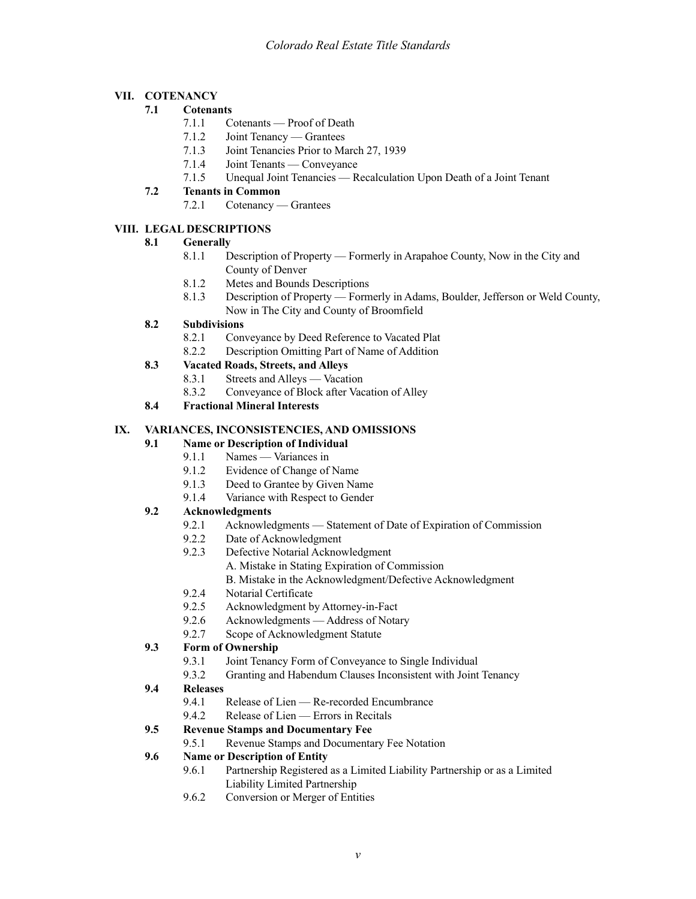# **VII. COTENANCY**

## **7.1 Cotenants**

- 7.1.1 Cotenants Proof of Death
- 7.1.2 Joint Tenancy Grantees
- 7.1.3 Joint Tenancies Prior to March 27, 1939
- 7.1.4 Joint Tenants Conveyance
- 7.1.5 Unequal Joint Tenancies Recalculation Upon Death of a Joint Tenant

# **7.2 Tenants in Common**

7.2.1 Cotenancy — Grantees

# **VIII. LEGAL DESCRIPTIONS**

## **8.1 Generally**

- 8.1.1 Description of Property Formerly in Arapahoe County, Now in the City and County of Denver
- 8.1.2 Metes and Bounds Descriptions
- 8.1.3 Description of Property Formerly in Adams, Boulder, Jefferson or Weld County, Now in The City and County of Broomfield

## **8.2 Subdivisions**

- 8.2.1 Conveyance by Deed Reference to Vacated Plat
- 8.2.2 Description Omitting Part of Name of Addition

## **8.3 Vacated Roads, Streets, and Alleys**

- 8.3.1 Streets and Alleys Vacation
- 8.3.2 Conveyance of Block after Vacation of Alley

## **8.4 Fractional Mineral Interests**

## **IX. VARIANCES, INCONSISTENCIES, AND OMISSIONS**

## **9.1 Name or Description of Individual**

- 9.1.1 Names Variances in
- 9.1.2 Evidence of Change of Name
- 9.1.3 Deed to Grantee by Given Name
- 9.1.4 Variance with Respect to Gender

# **9.2 Acknowledgments**

- 9.2.1 Acknowledgments Statement of Date of Expiration of Commission<br>9.2.2 Date of Acknowledgment
- Date of Acknowledgment
- 9.2.3 Defective Notarial Acknowledgment
	- A. Mistake in Stating Expiration of Commission
	- B. Mistake in the Acknowledgment/Defective Acknowledgment
- 9.2.4 Notarial Certificate
- 9.2.5 Acknowledgment by Attorney-in-Fact
- 9.2.6 Acknowledgments Address of Notary
- 9.2.7 Scope of Acknowledgment Statute

## **9.3 Form of Ownership**

- 9.3.1 Joint Tenancy Form of Conveyance to Single Individual
- 9.3.2 Granting and Habendum Clauses Inconsistent with Joint Tenancy
- **9.4 Releases**
	- 9.4.1 Release of Lien Re-recorded Encumbrance
	- 9.4.2 Release of Lien Errors in Recitals
- **9.5 Revenue Stamps and Documentary Fee**
	- 9.5.1 Revenue Stamps and Documentary Fee Notation

## **9.6 Name or Description of Entity**

- 9.6.1 Partnership Registered as a Limited Liability Partnership or as a Limited Liability Limited Partnership
- 9.6.2 Conversion or Merger of Entities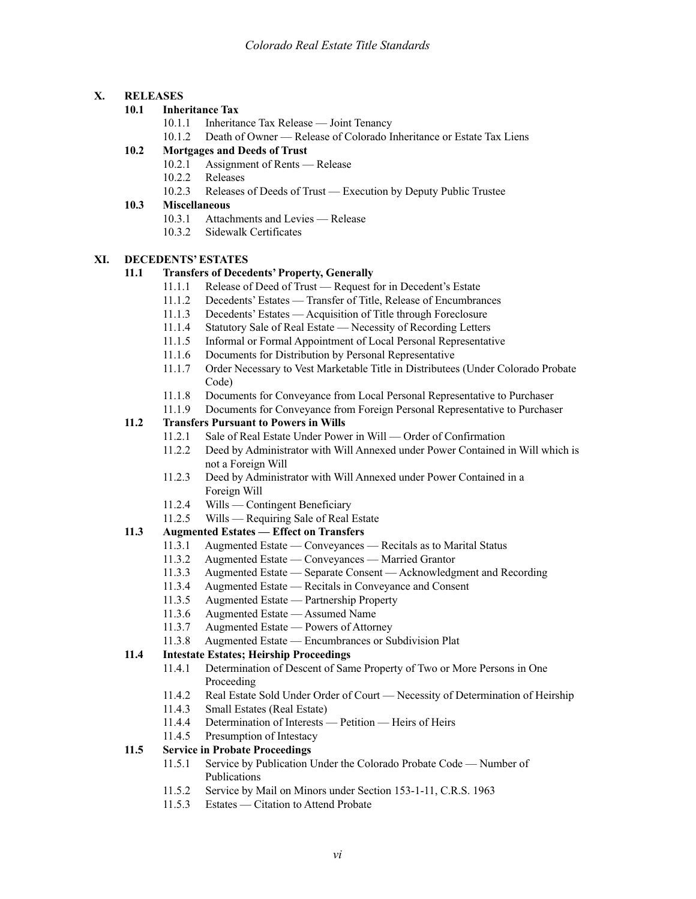# **X. RELEASES**

- **10.1 Inheritance Tax**
	- 10.1.1 Inheritance Tax Release Joint Tenancy
	- 10.1.2 Death of Owner Release of Colorado Inheritance or Estate Tax Liens

## **10.2 Mortgages and Deeds of Trust**

- 10.2.1 Assignment of Rents Release
- 10.2.2 Releases
- 10.2.3 Releases of Deeds of Trust Execution by Deputy Public Trustee

# **10.3 Miscellaneous**

- 10.3.1 Attachments and Levies Release
- 10.3.2 Sidewalk Certificates

## **XI. DECEDENTS' ESTATES**

#### **11.1 Transfers of Decedents' Property, Generally**

- 11.1.1 Release of Deed of Trust Request for in Decedent's Estate
- 11.1.2 Decedents' Estates Transfer of Title, Release of Encumbrances
- 11.1.3 Decedents' Estates Acquisition of Title through Foreclosure
- 11.1.4 Statutory Sale of Real Estate Necessity of Recording Letters
- 11.1.5 Informal or Formal Appointment of Local Personal Representative
- 11.1.6 Documents for Distribution by Personal Representative
- 11.1.7 Order Necessary to Vest Marketable Title in Distributees (Under Colorado Probate Code)
- 11.1.8 Documents for Conveyance from Local Personal Representative to Purchaser
- 11.1.9 Documents for Conveyance from Foreign Personal Representative to Purchaser

#### **11.2 Transfers Pursuant to Powers in Wills**

- 11.2.1 Sale of Real Estate Under Power in Will Order of Confirmation
- 11.2.2 Deed by Administrator with Will Annexed under Power Contained in Will which is not a Foreign Will
- 11.2.3 Deed by Administrator with Will Annexed under Power Contained in a Foreign Will
- 11.2.4 Wills Contingent Beneficiary
- 11.2.5 Wills Requiring Sale of Real Estate

## **11.3 Augmented Estates — Effect on Transfers**

- 11.3.1 Augmented Estate Conveyances Recitals as to Marital Status
- 11.3.2 Augmented Estate Conveyances Married Grantor
- 11.3.3 Augmented Estate Separate Consent Acknowledgment and Recording
- 11.3.4 Augmented Estate Recitals in Conveyance and Consent
- 11.3.5 Augmented Estate Partnership Property
- 11.3.6 Augmented Estate Assumed Name
- 11.3.7 Augmented Estate Powers of Attorney
- 11.3.8 Augmented Estate Encumbrances or Subdivision Plat

# **11.4 Intestate Estates; Heirship Proceedings**

- 11.4.1 Determination of Descent of Same Property of Two or More Persons in One Proceeding
- 11.4.2 Real Estate Sold Under Order of Court Necessity of Determination of Heirship
- 11.4.3 Small Estates (Real Estate)
- 11.4.4 Determination of Interests Petition Heirs of Heirs
- 11.4.5 Presumption of Intestacy

# **11.5 Service in Probate Proceedings**

- 11.5.1 Service by Publication Under the Colorado Probate Code Number of Publications
- 11.5.2 Service by Mail on Minors under Section 153-1-11, C.R.S. 1963
- 11.5.3 Estates Citation to Attend Probate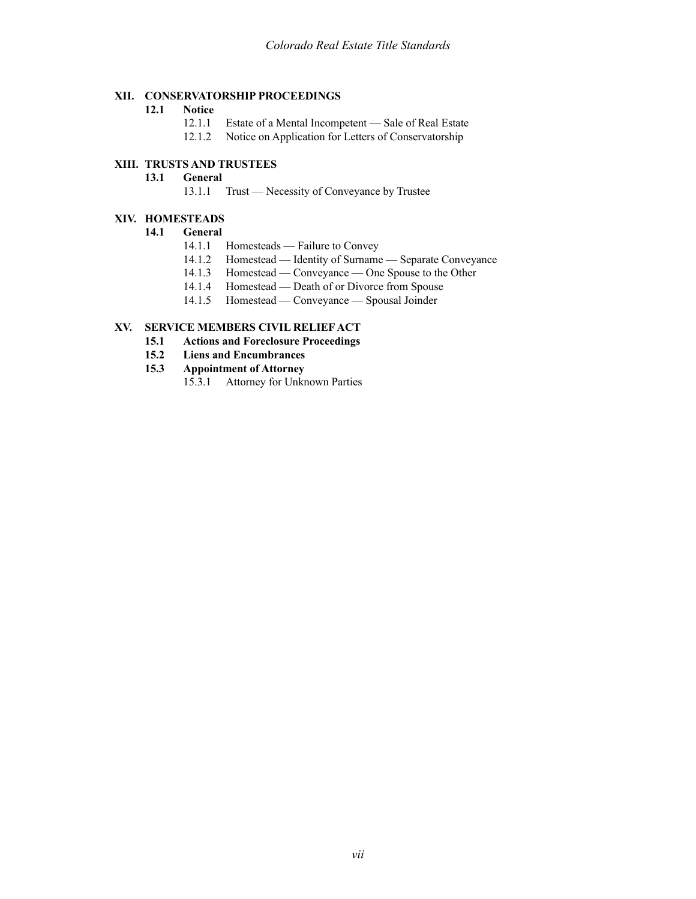## **XII. CONSERVATORSHIP PROCEEDINGS**

## **12.1 Notice**

- 12.1.1 Estate of a Mental Incompetent Sale of Real Estate
- 12.1.2 Notice on Application for Letters of Conservatorship

#### **XIII. TRUSTS AND TRUSTEES**

## **13.1 General**

13.1.1 Trust — Necessity of Conveyance by Trustee

# **XIV. HOMESTEADS**

#### **14.1 General**

- 14.1.1 Homesteads Failure to Convey
- 14.1.2 Homestead Identity of Surname Separate Conveyance
- 14.1.3 Homestead Conveyance One Spouse to the Other
- 14.1.4 Homestead Death of or Divorce from Spouse
- 14.1.5 Homestead Conveyance Spousal Joinder

## **XV. SERVICE MEMBERS CIVIL RELIEF ACT**

- **15.1 Actions and Foreclosure Proceedings**
- **15.2 Liens and Encumbrances**
- **15.3 Appointment of Attorney**
	- 15.3.1 Attorney for Unknown Parties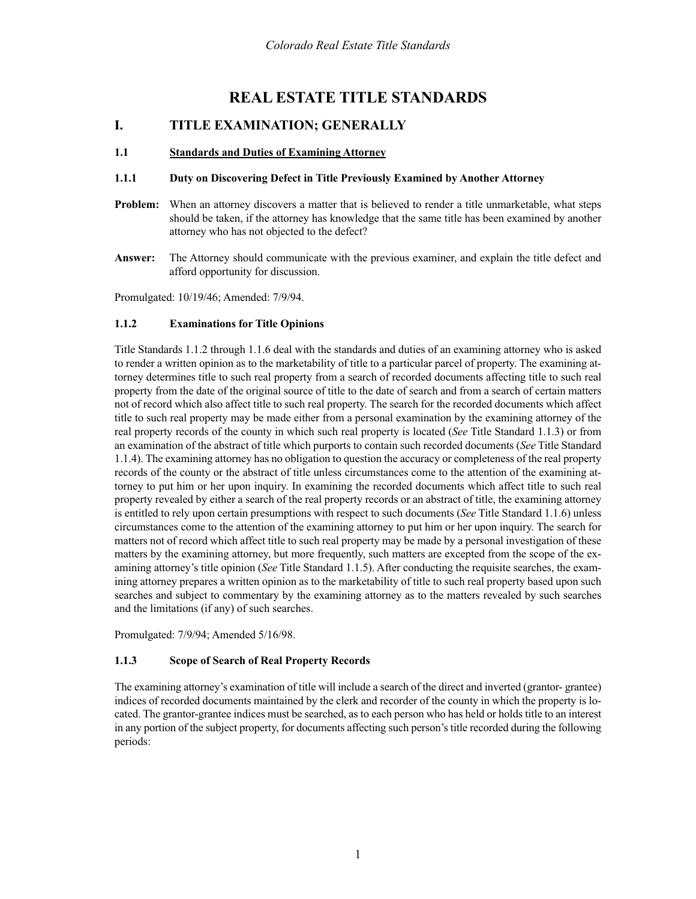# **REAL ESTATE TITLE STANDARDS**

# **I. TITLE EXAMINATION; GENERALLY**

## **1.1 Standards and Duties of Examining Attorney**

## **1.1.1 Duty on Discovering Defect in Title Previously Examined by Another Attorney**

- **Problem:** When an attorney discovers a matter that is believed to render a title unmarketable, what steps should be taken, if the attorney has knowledge that the same title has been examined by another attorney who has not objected to the defect?
- **Answer:** The Attorney should communicate with the previous examiner, and explain the title defect and afford opportunity for discussion.

Promulgated: 10/19/46; Amended: 7/9/94.

## **1.1.2 Examinations for Title Opinions**

Title Standards 1.1.2 through 1.1.6 deal with the standards and duties of an examining attorney who is asked to render a written opinion as to the marketability of title to a particular parcel of property. The examining attorney determines title to such real property from a search of recorded documents affecting title to such real property from the date of the original source of title to the date of search and from a search of certain matters not of record which also affect title to such real property. The search for the recorded documents which affect title to such real property may be made either from a personal examination by the examining attorney of the real property records of the county in which such real property is located (*See* Title Standard 1.1.3) or from an examination of the abstract of title which purports to contain such recorded documents (*See* Title Standard 1.1.4). The examining attorney has no obligation to question the accuracy or completeness of the real property records of the county or the abstract of title unless circumstances come to the attention of the examining attorney to put him or her upon inquiry. In examining the recorded documents which affect title to such real property revealed by either a search of the real property records or an abstract of title, the examining attorney is entitled to rely upon certain presumptions with respect to such documents (*See* Title Standard 1.1.6) unless circumstances come to the attention of the examining attorney to put him or her upon inquiry. The search for matters not of record which affect title to such real property may be made by a personal investigation of these matters by the examining attorney, but more frequently, such matters are excepted from the scope of the examining attorney's title opinion (*See* Title Standard 1.1.5). After conducting the requisite searches, the examining attorney prepares a written opinion as to the marketability of title to such real property based upon such searches and subject to commentary by the examining attorney as to the matters revealed by such searches and the limitations (if any) of such searches.

Promulgated: 7/9/94; Amended 5/16/98.

## **1.1.3 Scope of Search of Real Property Records**

The examining attorney's examination of title will include a search of the direct and inverted (grantor- grantee) indices of recorded documents maintained by the clerk and recorder of the county in which the property is located. The grantor-grantee indices must be searched, as to each person who has held or holds title to an interest in any portion of the subject property, for documents affecting such person's title recorded during the following periods: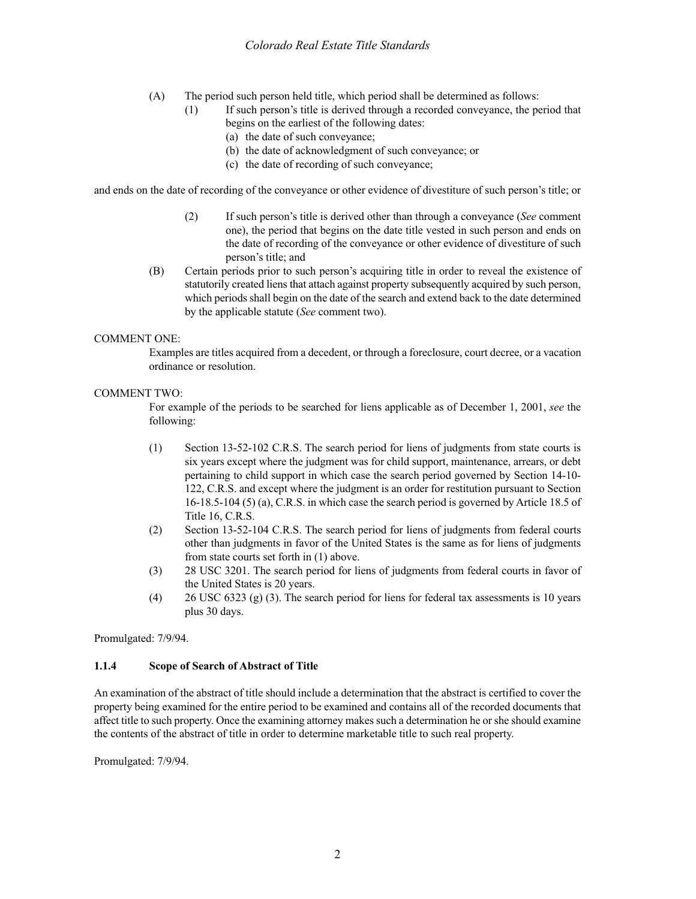- (A) The period such person held title, which period shall be determined as follows:
	- (1) If such person's title is derived through a recorded conveyance, the period that begins on the earliest of the following dates:
		- (a) the date of such conveyance;
		- (b) the date of acknowledgment of such conveyance; or
		- (c) the date of recording of such conveyance;

and ends on the date of recording of the conveyance or other evidence of divestiture of such person's title; or

- (2) If such person's title is derived other than through a conveyance (*See* comment one), the period that begins on the date title vested in such person and ends on the date of recording of the conveyance or other evidence of divestiture of such person's title; and
- (B) Certain periods prior to such person's acquiring title in order to reveal the existence of statutorily created liens that attach against property subsequently acquired by such person, which periods shall begin on the date of the search and extend back to the date determined by the applicable statute (*See* comment two).

## COMMENT ONE:

 Examples are titles acquired from a decedent, or through a foreclosure, court decree, or a vacation ordinance or resolution.

## COMMENT TWO:

 For example of the periods to be searched for liens applicable as of December 1, 2001, *see* the following:

- (1) Section 13-52-102 C.R.S. The search period for liens of judgments from state courts is six years except where the judgment was for child support, maintenance, arrears, or debt pertaining to child support in which case the search period governed by Section 14-10- 122, C.R.S. and except where the judgment is an order for restitution pursuant to Section 16-18.5-104 (5) (a), C.R.S. in which case the search period is governed by Article 18.5 of Title 16, C.R.S.
- (2) Section 13-52-104 C.R.S. The search period for liens of judgments from federal courts other than judgments in favor of the United States is the same as for liens of judgments from state courts set forth in (1) above.
- (3) 28 USC 3201. The search period for liens of judgments from federal courts in favor of the United States is 20 years.
- (4) 26 USC 6323 (g) (3). The search period for liens for federal tax assessments is 10 years plus 30 days.

Promulgated: 7/9/94.

## **1.1.4 Scope of Search of Abstract of Title**

An examination of the abstract of title should include a determination that the abstract is certified to cover the property being examined for the entire period to be examined and contains all of the recorded documents that affect title to such property. Once the examining attorney makes such a determination he or she should examine the contents of the abstract of title in order to determine marketable title to such real property.

Promulgated: 7/9/94.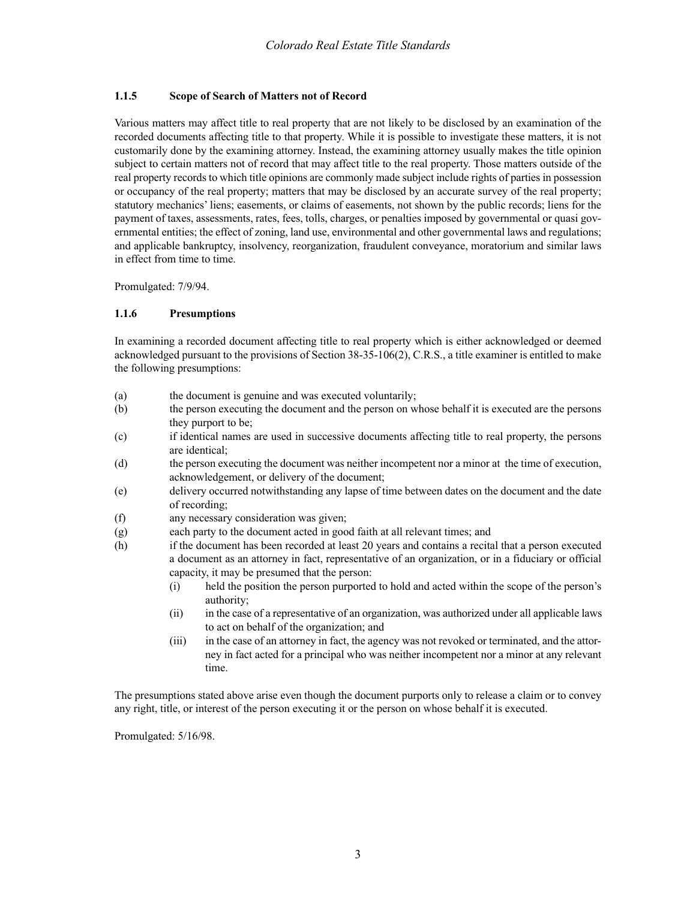# **1.1.5 Scope of Search of Matters not of Record**

Various matters may affect title to real property that are not likely to be disclosed by an examination of the recorded documents affecting title to that property. While it is possible to investigate these matters, it is not customarily done by the examining attorney. Instead, the examining attorney usually makes the title opinion subject to certain matters not of record that may affect title to the real property. Those matters outside of the real property records to which title opinions are commonly made subject include rights of parties in possession or occupancy of the real property; matters that may be disclosed by an accurate survey of the real property; statutory mechanics' liens; easements, or claims of easements, not shown by the public records; liens for the payment of taxes, assessments, rates, fees, tolls, charges, or penalties imposed by governmental or quasi governmental entities; the effect of zoning, land use, environmental and other governmental laws and regulations; and applicable bankruptcy, insolvency, reorganization, fraudulent conveyance, moratorium and similar laws in effect from time to time.

Promulgated: 7/9/94.

## **1.1.6 Presumptions**

In examining a recorded document affecting title to real property which is either acknowledged or deemed acknowledged pursuant to the provisions of Section 38-35-106(2), C.R.S., a title examiner is entitled to make the following presumptions:

- (a) the document is genuine and was executed voluntarily;
- (b) the person executing the document and the person on whose behalf it is executed are the persons they purport to be;
- (c) if identical names are used in successive documents affecting title to real property, the persons are identical;
- (d) the person executing the document was neither incompetent nor a minor at the time of execution, acknowledgement, or delivery of the document;
- (e) delivery occurred notwithstanding any lapse of time between dates on the document and the date of recording;
- (f) any necessary consideration was given;
- (g) each party to the document acted in good faith at all relevant times; and
- (h) if the document has been recorded at least 20 years and contains a recital that a person executed a document as an attorney in fact, representative of an organization, or in a fiduciary or official capacity, it may be presumed that the person:
	- (i) held the position the person purported to hold and acted within the scope of the person's authority;
	- (ii) in the case of a representative of an organization, was authorized under all applicable laws to act on behalf of the organization; and
	- (iii) in the case of an attorney in fact, the agency was not revoked or terminated, and the attorney in fact acted for a principal who was neither incompetent nor a minor at any relevant time.

The presumptions stated above arise even though the document purports only to release a claim or to convey any right, title, or interest of the person executing it or the person on whose behalf it is executed.

Promulgated: 5/16/98.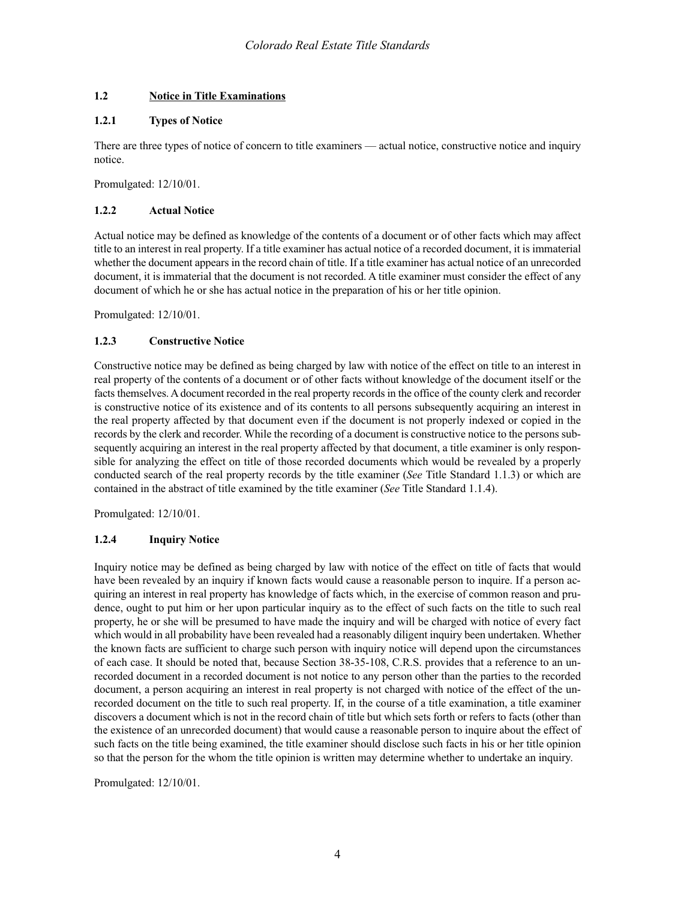# **1.2 Notice in Title Examinations**

# **1.2.1 Types of Notice**

There are three types of notice of concern to title examiners — actual notice, constructive notice and inquiry notice.

Promulgated: 12/10/01.

## **1.2.2 Actual Notice**

Actual notice may be defined as knowledge of the contents of a document or of other facts which may affect title to an interest in real property. If a title examiner has actual notice of a recorded document, it is immaterial whether the document appears in the record chain of title. If a title examiner has actual notice of an unrecorded document, it is immaterial that the document is not recorded. A title examiner must consider the effect of any document of which he or she has actual notice in the preparation of his or her title opinion.

Promulgated: 12/10/01.

# **1.2.3 Constructive Notice**

Constructive notice may be defined as being charged by law with notice of the effect on title to an interest in real property of the contents of a document or of other facts without knowledge of the document itself or the facts themselves. A document recorded in the real property records in the office of the county clerk and recorder is constructive notice of its existence and of its contents to all persons subsequently acquiring an interest in the real property affected by that document even if the document is not properly indexed or copied in the records by the clerk and recorder. While the recording of a document is constructive notice to the persons subsequently acquiring an interest in the real property affected by that document, a title examiner is only responsible for analyzing the effect on title of those recorded documents which would be revealed by a properly conducted search of the real property records by the title examiner (*See* Title Standard 1.1.3) or which are contained in the abstract of title examined by the title examiner (*See* Title Standard 1.1.4).

Promulgated: 12/10/01.

# **1.2.4 Inquiry Notice**

Inquiry notice may be defined as being charged by law with notice of the effect on title of facts that would have been revealed by an inquiry if known facts would cause a reasonable person to inquire. If a person acquiring an interest in real property has knowledge of facts which, in the exercise of common reason and prudence, ought to put him or her upon particular inquiry as to the effect of such facts on the title to such real property, he or she will be presumed to have made the inquiry and will be charged with notice of every fact which would in all probability have been revealed had a reasonably diligent inquiry been undertaken. Whether the known facts are sufficient to charge such person with inquiry notice will depend upon the circumstances of each case. It should be noted that, because Section 38-35-108, C.R.S. provides that a reference to an unrecorded document in a recorded document is not notice to any person other than the parties to the recorded document, a person acquiring an interest in real property is not charged with notice of the effect of the unrecorded document on the title to such real property. If, in the course of a title examination, a title examiner discovers a document which is not in the record chain of title but which sets forth or refers to facts (other than the existence of an unrecorded document) that would cause a reasonable person to inquire about the effect of such facts on the title being examined, the title examiner should disclose such facts in his or her title opinion so that the person for the whom the title opinion is written may determine whether to undertake an inquiry.

Promulgated: 12/10/01.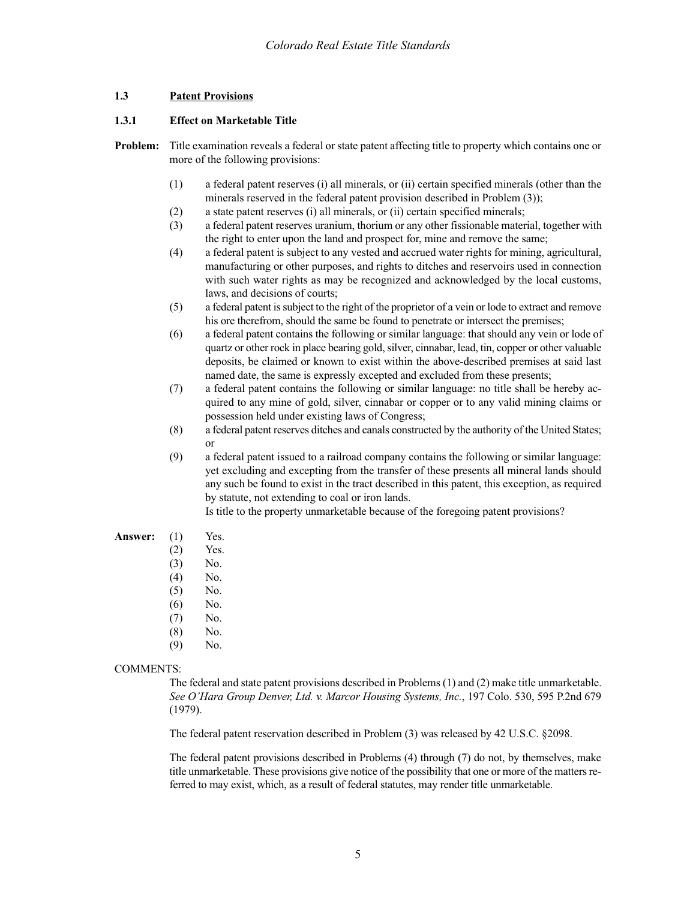# **1.3 Patent Provisions**

#### **1.3.1 Effect on Marketable Title**

- **Problem:** Title examination reveals a federal or state patent affecting title to property which contains one or more of the following provisions:
	- (1) a federal patent reserves (i) all minerals, or (ii) certain specified minerals (other than the minerals reserved in the federal patent provision described in Problem (3));
	- (2) a state patent reserves (i) all minerals, or (ii) certain specified minerals;
	- (3) a federal patent reserves uranium, thorium or any other fissionable material, together with the right to enter upon the land and prospect for, mine and remove the same;
	- (4) a federal patent is subject to any vested and accrued water rights for mining, agricultural, manufacturing or other purposes, and rights to ditches and reservoirs used in connection with such water rights as may be recognized and acknowledged by the local customs, laws, and decisions of courts;
	- (5) a federal patent is subject to the right of the proprietor of a vein or lode to extract and remove his ore therefrom, should the same be found to penetrate or intersect the premises;
	- (6) a federal patent contains the following or similar language: that should any vein or lode of quartz or other rock in place bearing gold, silver, cinnabar, lead, tin, copper or other valuable deposits, be claimed or known to exist within the above-described premises at said last named date, the same is expressly excepted and excluded from these presents;
	- (7) a federal patent contains the following or similar language: no title shall be hereby acquired to any mine of gold, silver, cinnabar or copper or to any valid mining claims or possession held under existing laws of Congress;
	- (8) a federal patent reserves ditches and canals constructed by the authority of the United States; or
	- (9) a federal patent issued to a railroad company contains the following or similar language: yet excluding and excepting from the transfer of these presents all mineral lands should any such be found to exist in the tract described in this patent, this exception, as required by statute, not extending to coal or iron lands.

Is title to the property unmarketable because of the foregoing patent provisions?

- **Answer:** (1) Yes.
	- (2) Yes.
	- (3) No.
	- (4) No.
	- $(5)$  No.
	- (6) No.
	- (7) No.
	- (8) No.
	- (9) No.

## COMMENTS:

 The federal and state patent provisions described in Problems (1) and (2) make title unmarketable. *See O'Hara Group Denver, Ltd. v. Marcor Housing Systems, Inc.*, 197 Colo. 530, 595 P.2nd 679 (1979).

The federal patent reservation described in Problem (3) was released by 42 U.S.C. §2098.

 The federal patent provisions described in Problems (4) through (7) do not, by themselves, make title unmarketable. These provisions give notice of the possibility that one or more of the matters referred to may exist, which, as a result of federal statutes, may render title unmarketable.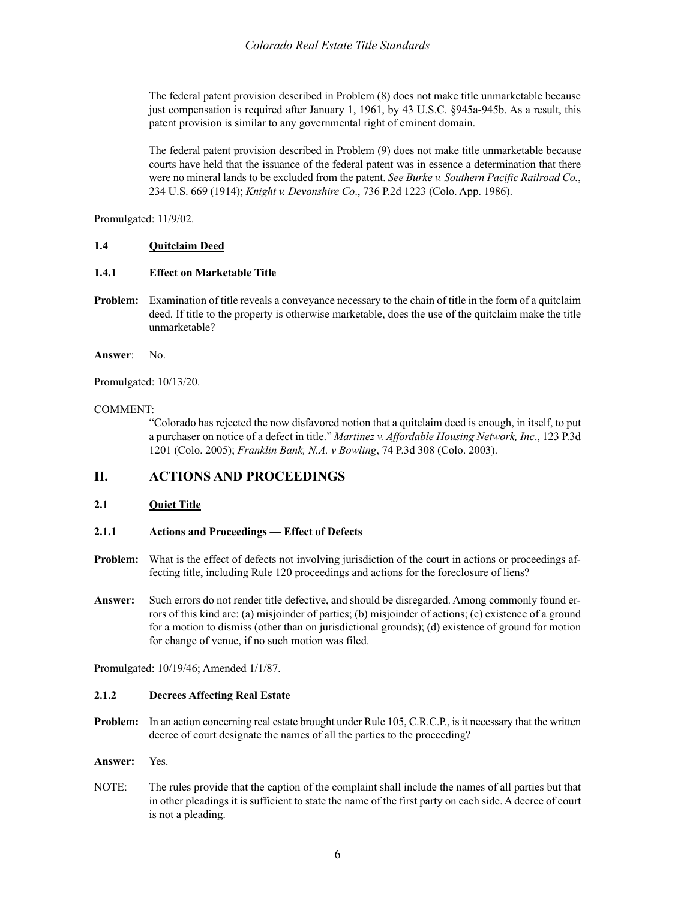The federal patent provision described in Problem (8) does not make title unmarketable because just compensation is required after January 1, 1961, by 43 U.S.C. §945a-945b. As a result, this patent provision is similar to any governmental right of eminent domain.

 The federal patent provision described in Problem (9) does not make title unmarketable because courts have held that the issuance of the federal patent was in essence a determination that there were no mineral lands to be excluded from the patent. *See Burke v. Southern Pacific Railroad Co.*, 234 U.S. 669 (1914); *Knight v. Devonshire Co*., 736 P.2d 1223 (Colo. App. 1986).

Promulgated: 11/9/02.

#### **1.4 Quitclaim Deed**

#### **1.4.1 Effect on Marketable Title**

**Problem:** Examination of title reveals a conveyance necessary to the chain of title in the form of a quitclaim deed. If title to the property is otherwise marketable, does the use of the quitclaim make the title unmarketable?

**Answer**: No.

Promulgated: 10/13/20.

#### COMMENT:

 "Colorado has rejected the now disfavored notion that a quitclaim deed is enough, in itself, to put a purchaser on notice of a defect in title." *Martinez v. Affordable Housing Network, Inc*., 123 P.3d 1201 (Colo. 2005); *Franklin Bank, N.A. v Bowling*, 74 P.3d 308 (Colo. 2003).

# **II. ACTIONS AND PROCEEDINGS**

#### **2.1 Quiet Title**

#### **2.1.1 Actions and Proceedings — Effect of Defects**

- **Problem:** What is the effect of defects not involving jurisdiction of the court in actions or proceedings affecting title, including Rule 120 proceedings and actions for the foreclosure of liens?
- **Answer:** Such errors do not render title defective, and should be disregarded. Among commonly found errors of this kind are: (a) misjoinder of parties; (b) misjoinder of actions; (c) existence of a ground for a motion to dismiss (other than on jurisdictional grounds); (d) existence of ground for motion for change of venue, if no such motion was filed.

Promulgated: 10/19/46; Amended 1/1/87.

#### **2.1.2 Decrees Affecting Real Estate**

- **Problem:** In an action concerning real estate brought under Rule 105, C.R.C.P., is it necessary that the written decree of court designate the names of all the parties to the proceeding?
- **Answer:** Yes.
- NOTE: The rules provide that the caption of the complaint shall include the names of all parties but that in other pleadings it is sufficient to state the name of the first party on each side. A decree of court is not a pleading.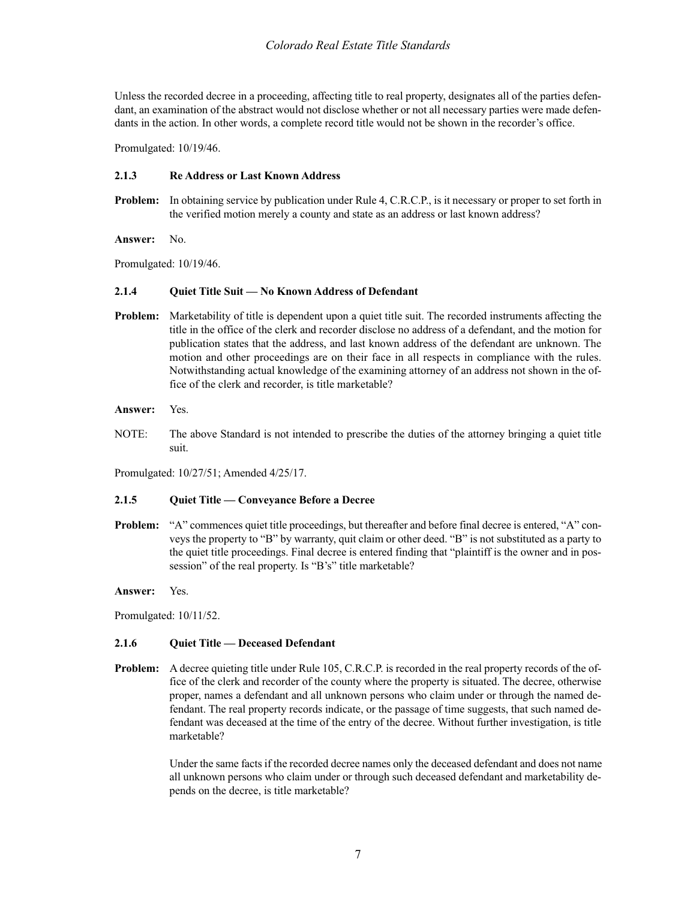Unless the recorded decree in a proceeding, affecting title to real property, designates all of the parties defendant, an examination of the abstract would not disclose whether or not all necessary parties were made defendants in the action. In other words, a complete record title would not be shown in the recorder's office.

Promulgated: 10/19/46.

#### **2.1.3 Re Address or Last Known Address**

**Problem:** In obtaining service by publication under Rule 4, C.R.C.P., is it necessary or proper to set forth in the verified motion merely a county and state as an address or last known address?

**Answer:** No.

Promulgated: 10/19/46.

#### **2.1.4 Quiet Title Suit — No Known Address of Defendant**

- **Problem:** Marketability of title is dependent upon a quiet title suit. The recorded instruments affecting the title in the office of the clerk and recorder disclose no address of a defendant, and the motion for publication states that the address, and last known address of the defendant are unknown. The motion and other proceedings are on their face in all respects in compliance with the rules. Notwithstanding actual knowledge of the examining attorney of an address not shown in the office of the clerk and recorder, is title marketable?
- **Answer:** Yes.
- NOTE: The above Standard is not intended to prescribe the duties of the attorney bringing a quiet title suit.

Promulgated: 10/27/51; Amended 4/25/17.

#### **2.1.5 Quiet Title — Conveyance Before a Decree**

**Problem:** "A" commences quiet title proceedings, but thereafter and before final decree is entered, "A" conveys the property to "B" by warranty, quit claim or other deed. "B" is not substituted as a party to the quiet title proceedings. Final decree is entered finding that "plaintiff is the owner and in possession" of the real property. Is "B's" title marketable?

**Answer:** Yes.

Promulgated: 10/11/52.

#### **2.1.6 Quiet Title — Deceased Defendant**

**Problem:** A decree quieting title under Rule 105, C.R.C.P. is recorded in the real property records of the office of the clerk and recorder of the county where the property is situated. The decree, otherwise proper, names a defendant and all unknown persons who claim under or through the named defendant. The real property records indicate, or the passage of time suggests, that such named defendant was deceased at the time of the entry of the decree. Without further investigation, is title marketable?

> Under the same facts if the recorded decree names only the deceased defendant and does not name all unknown persons who claim under or through such deceased defendant and marketability depends on the decree, is title marketable?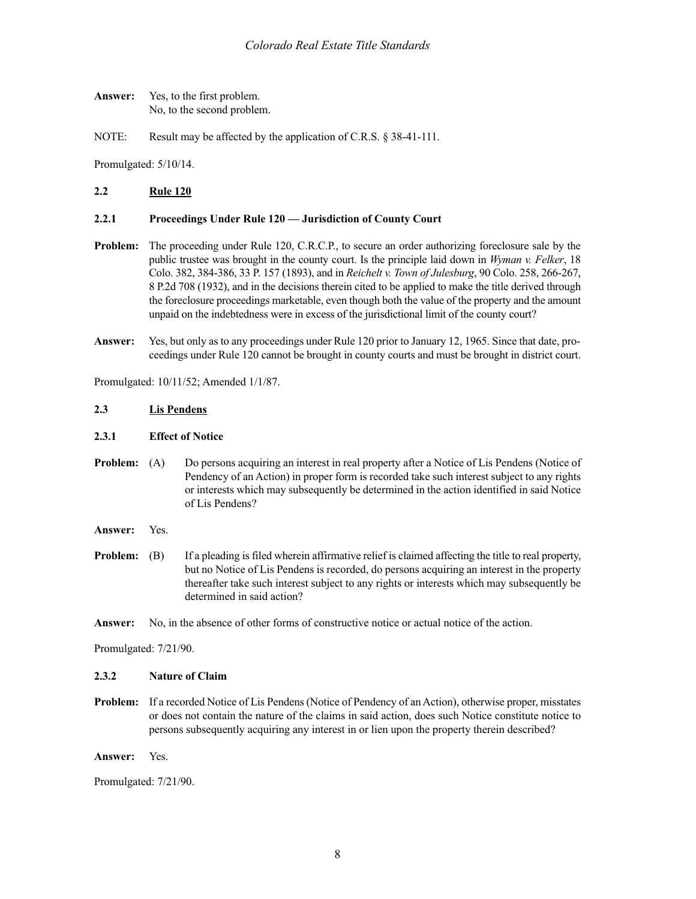| <b>Answer:</b> | Yes, to the first problem. |
|----------------|----------------------------|
|                | No, to the second problem. |

NOTE: Result may be affected by the application of C.R.S. § 38-41-111.

Promulgated: 5/10/14.

#### **2.2 Rule 120**

#### **2.2.1 Proceedings Under Rule 120 — Jurisdiction of County Court**

- **Problem:** The proceeding under Rule 120, C.R.C.P., to secure an order authorizing foreclosure sale by the public trustee was brought in the county court. Is the principle laid down in *Wyman v. Felker*, 18 Colo. 382, 384-386, 33 P. 157 (1893), and in *Reichelt v. Town of Julesburg*, 90 Colo. 258, 266-267, 8 P.2d 708 (1932), and in the decisions therein cited to be applied to make the title derived through the foreclosure proceedings marketable, even though both the value of the property and the amount unpaid on the indebtedness were in excess of the jurisdictional limit of the county court?
- **Answer:** Yes, but only as to any proceedings under Rule 120 prior to January 12, 1965. Since that date, proceedings under Rule 120 cannot be brought in county courts and must be brought in district court.

Promulgated: 10/11/52; Amended 1/1/87.

#### **2.3 Lis Pendens**

#### **2.3.1 Effect of Notice**

- **Problem:** (A) Do persons acquiring an interest in real property after a Notice of Lis Pendens (Notice of Pendency of an Action) in proper form is recorded take such interest subject to any rights or interests which may subsequently be determined in the action identified in said Notice of Lis Pendens?
- **Answer:** Yes.
- **Problem:** (B) If a pleading is filed wherein affirmative relief is claimed affecting the title to real property, but no Notice of Lis Pendens is recorded, do persons acquiring an interest in the property thereafter take such interest subject to any rights or interests which may subsequently be determined in said action?
- **Answer:** No, in the absence of other forms of constructive notice or actual notice of the action.

Promulgated: 7/21/90.

#### **2.3.2 Nature of Claim**

**Problem:** If a recorded Notice of Lis Pendens (Notice of Pendency of an Action), otherwise proper, misstates or does not contain the nature of the claims in said action, does such Notice constitute notice to persons subsequently acquiring any interest in or lien upon the property therein described?

**Answer:** Yes.

Promulgated: 7/21/90.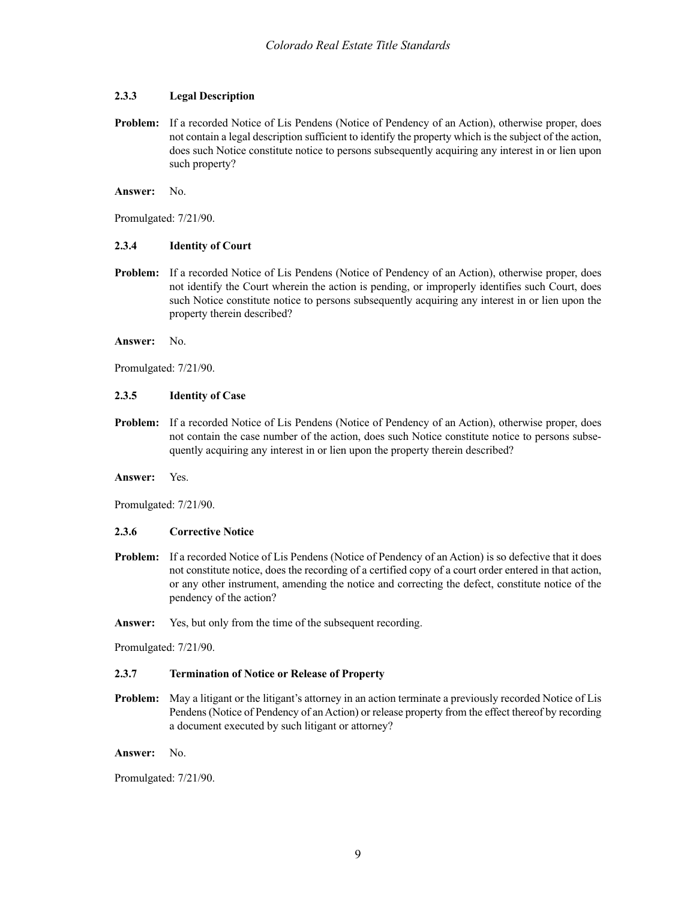## **2.3.3 Legal Description**

**Problem:** If a recorded Notice of Lis Pendens (Notice of Pendency of an Action), otherwise proper, does not contain a legal description sufficient to identify the property which is the subject of the action, does such Notice constitute notice to persons subsequently acquiring any interest in or lien upon such property?

## **Answer:** No.

Promulgated: 7/21/90.

#### **2.3.4 Identity of Court**

- **Problem:** If a recorded Notice of Lis Pendens (Notice of Pendency of an Action), otherwise proper, does not identify the Court wherein the action is pending, or improperly identifies such Court, does such Notice constitute notice to persons subsequently acquiring any interest in or lien upon the property therein described?
- **Answer:** No.

Promulgated: 7/21/90.

#### **2.3.5 Identity of Case**

- **Problem:** If a recorded Notice of Lis Pendens (Notice of Pendency of an Action), otherwise proper, does not contain the case number of the action, does such Notice constitute notice to persons subsequently acquiring any interest in or lien upon the property therein described?
- **Answer:** Yes.

Promulgated: 7/21/90.

## **2.3.6 Corrective Notice**

- **Problem:** If a recorded Notice of Lis Pendens (Notice of Pendency of an Action) is so defective that it does not constitute notice, does the recording of a certified copy of a court order entered in that action, or any other instrument, amending the notice and correcting the defect, constitute notice of the pendency of the action?
- **Answer:** Yes, but only from the time of the subsequent recording.

Promulgated: 7/21/90.

## **2.3.7 Termination of Notice or Release of Property**

**Problem:** May a litigant or the litigant's attorney in an action terminate a previously recorded Notice of Lis Pendens (Notice of Pendency of an Action) or release property from the effect thereof by recording a document executed by such litigant or attorney?

#### **Answer:** No.

Promulgated: 7/21/90.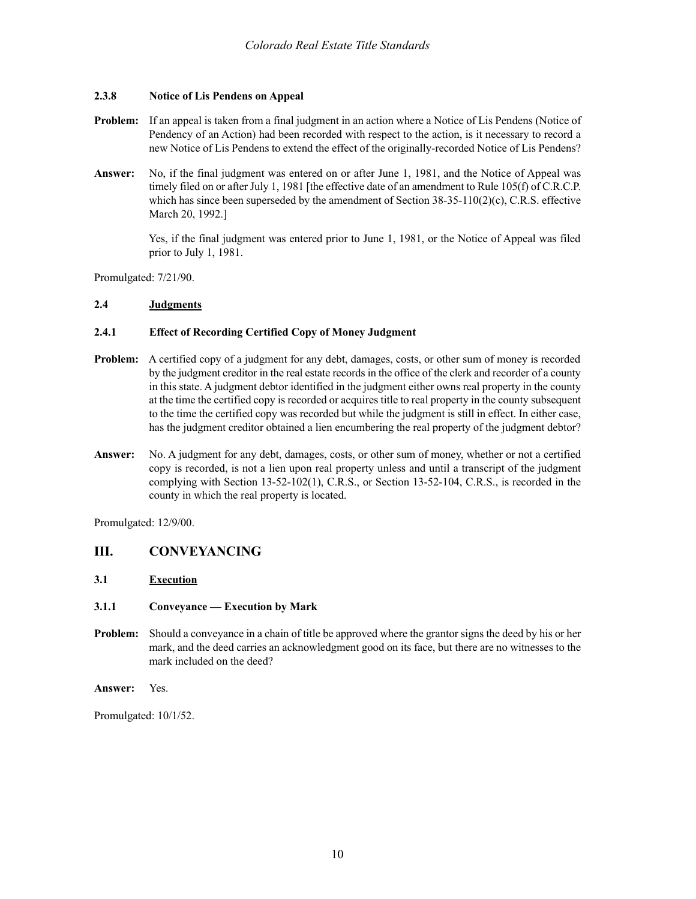## **2.3.8 Notice of Lis Pendens on Appeal**

- **Problem:** If an appeal is taken from a final judgment in an action where a Notice of Lis Pendens (Notice of Pendency of an Action) had been recorded with respect to the action, is it necessary to record a new Notice of Lis Pendens to extend the effect of the originally-recorded Notice of Lis Pendens?
- **Answer:** No, if the final judgment was entered on or after June 1, 1981, and the Notice of Appeal was timely filed on or after July 1, 1981 [the effective date of an amendment to Rule 105(f) of C.R.C.P. which has since been superseded by the amendment of Section  $38-35-110(2)(c)$ , C.R.S. effective March 20, 1992.]

 Yes, if the final judgment was entered prior to June 1, 1981, or the Notice of Appeal was filed prior to July 1, 1981.

Promulgated: 7/21/90.

#### **2.4 Judgments**

## **2.4.1 Effect of Recording Certified Copy of Money Judgment**

- **Problem:** A certified copy of a judgment for any debt, damages, costs, or other sum of money is recorded by the judgment creditor in the real estate records in the office of the clerk and recorder of a county in this state. A judgment debtor identified in the judgment either owns real property in the county at the time the certified copy is recorded or acquires title to real property in the county subsequent to the time the certified copy was recorded but while the judgment is still in effect. In either case, has the judgment creditor obtained a lien encumbering the real property of the judgment debtor?
- **Answer:** No. A judgment for any debt, damages, costs, or other sum of money, whether or not a certified copy is recorded, is not a lien upon real property unless and until a transcript of the judgment complying with Section 13-52-102(1), C.R.S., or Section 13-52-104, C.R.S., is recorded in the county in which the real property is located.

Promulgated: 12/9/00.

# **III. CONVEYANCING**

**3.1 Execution**

## **3.1.1 Conveyance — Execution by Mark**

**Problem:** Should a conveyance in a chain of title be approved where the grantor signs the deed by his or her mark, and the deed carries an acknowledgment good on its face, but there are no witnesses to the mark included on the deed?

**Answer:** Yes.

Promulgated: 10/1/52.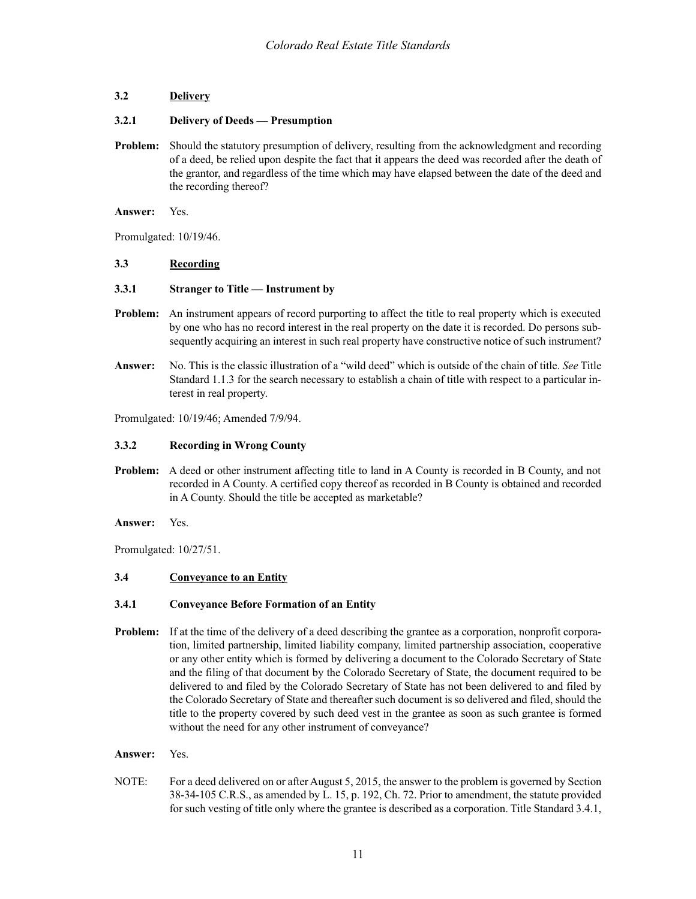# **3.2 Delivery**

#### **3.2.1 Delivery of Deeds — Presumption**

- **Problem:** Should the statutory presumption of delivery, resulting from the acknowledgment and recording of a deed, be relied upon despite the fact that it appears the deed was recorded after the death of the grantor, and regardless of the time which may have elapsed between the date of the deed and the recording thereof?
- **Answer:** Yes.

Promulgated: 10/19/46.

#### **3.3 Recording**

#### **3.3.1 Stranger to Title — Instrument by**

- **Problem:** An instrument appears of record purporting to affect the title to real property which is executed by one who has no record interest in the real property on the date it is recorded. Do persons subsequently acquiring an interest in such real property have constructive notice of such instrument?
- **Answer:** No. This is the classic illustration of a "wild deed" which is outside of the chain of title. *See* Title Standard 1.1.3 for the search necessary to establish a chain of title with respect to a particular interest in real property.

Promulgated: 10/19/46; Amended 7/9/94.

## **3.3.2 Recording in Wrong County**

- **Problem:** A deed or other instrument affecting title to land in A County is recorded in B County, and not recorded in A County. A certified copy thereof as recorded in B County is obtained and recorded in A County. Should the title be accepted as marketable?
- **Answer:** Yes.

Promulgated: 10/27/51.

## **3.4 Conveyance to an Entity**

#### **3.4.1 Conveyance Before Formation of an Entity**

**Problem:** If at the time of the delivery of a deed describing the grantee as a corporation, nonprofit corporation, limited partnership, limited liability company, limited partnership association, cooperative or any other entity which is formed by delivering a document to the Colorado Secretary of State and the filing of that document by the Colorado Secretary of State, the document required to be delivered to and filed by the Colorado Secretary of State has not been delivered to and filed by the Colorado Secretary of State and thereafter such document is so delivered and filed, should the title to the property covered by such deed vest in the grantee as soon as such grantee is formed without the need for any other instrument of conveyance?

## **Answer:** Yes.

NOTE: For a deed delivered on or after August 5, 2015, the answer to the problem is governed by Section 38-34-105 C.R.S., as amended by L. 15, p. 192, Ch. 72. Prior to amendment, the statute provided for such vesting of title only where the grantee is described as a corporation. Title Standard 3.4.1,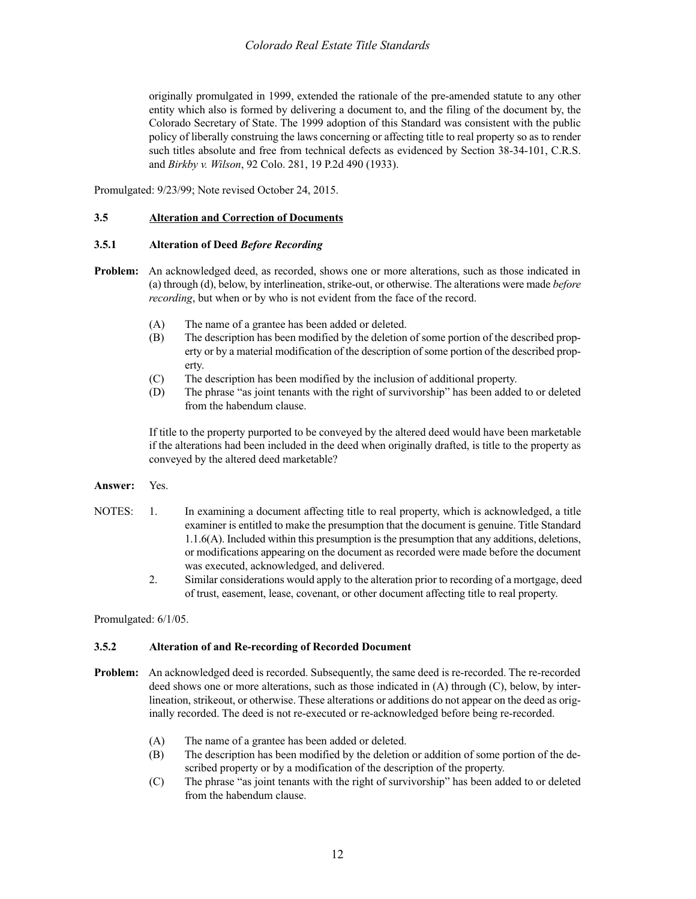originally promulgated in 1999, extended the rationale of the pre-amended statute to any other entity which also is formed by delivering a document to, and the filing of the document by, the Colorado Secretary of State. The 1999 adoption of this Standard was consistent with the public policy of liberally construing the laws concerning or affecting title to real property so as to render such titles absolute and free from technical defects as evidenced by Section 38-34-101, C.R.S. and *Birkby v. Wilson*, 92 Colo. 281, 19 P.2d 490 (1933).

Promulgated: 9/23/99; Note revised October 24, 2015.

#### **3.5 Alteration and Correction of Documents**

## **3.5.1 Alteration of Deed** *Before Recording*

- **Problem:** An acknowledged deed, as recorded, shows one or more alterations, such as those indicated in (a) through (d), below, by interlineation, strike-out, or otherwise. The alterations were made *before recording*, but when or by who is not evident from the face of the record.
	- (A) The name of a grantee has been added or deleted.
	- (B) The description has been modified by the deletion of some portion of the described property or by a material modification of the description of some portion of the described property.
	- (C) The description has been modified by the inclusion of additional property.
	- (D) The phrase "as joint tenants with the right of survivorship" has been added to or deleted from the habendum clause.

 If title to the property purported to be conveyed by the altered deed would have been marketable if the alterations had been included in the deed when originally drafted, is title to the property as conveyed by the altered deed marketable?

#### **Answer:** Yes.

- NOTES: 1. In examining a document affecting title to real property, which is acknowledged, a title examiner is entitled to make the presumption that the document is genuine. Title Standard 1.1.6(A). Included within this presumption is the presumption that any additions, deletions, or modifications appearing on the document as recorded were made before the document was executed, acknowledged, and delivered.
	- 2. Similar considerations would apply to the alteration prior to recording of a mortgage, deed of trust, easement, lease, covenant, or other document affecting title to real property.

Promulgated: 6/1/05.

#### **3.5.2 Alteration of and Re-recording of Recorded Document**

- **Problem:** An acknowledged deed is recorded. Subsequently, the same deed is re-recorded. The re-recorded deed shows one or more alterations, such as those indicated in (A) through (C), below, by interlineation, strikeout, or otherwise. These alterations or additions do not appear on the deed as originally recorded. The deed is not re-executed or re-acknowledged before being re-recorded.
	- (A) The name of a grantee has been added or deleted.
	- (B) The description has been modified by the deletion or addition of some portion of the described property or by a modification of the description of the property.
	- (C) The phrase "as joint tenants with the right of survivorship" has been added to or deleted from the habendum clause.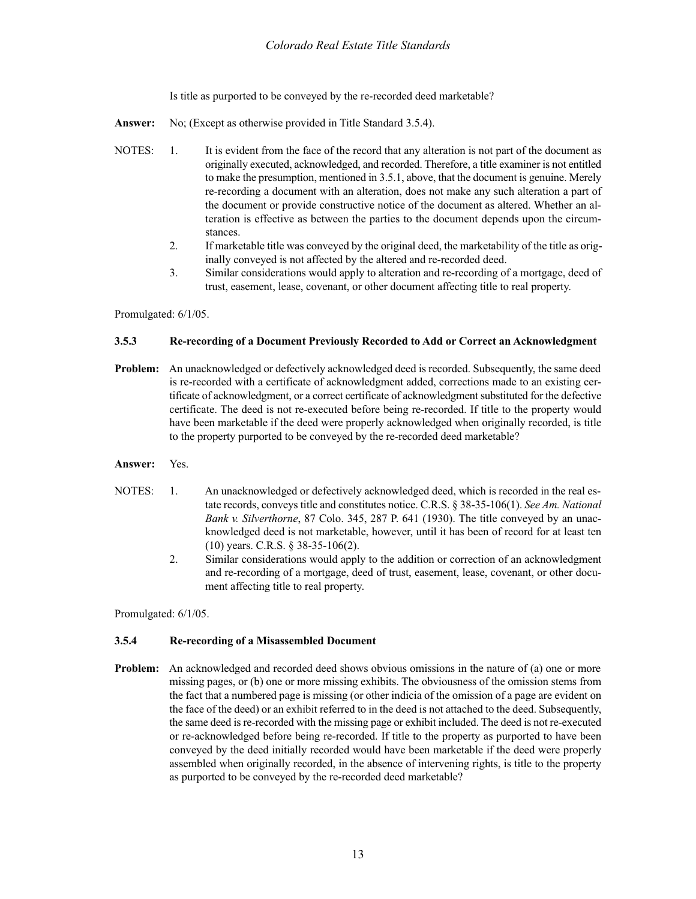Is title as purported to be conveyed by the re-recorded deed marketable?

- **Answer:** No; (Except as otherwise provided in Title Standard 3.5.4).
- NOTES: 1. It is evident from the face of the record that any alteration is not part of the document as originally executed, acknowledged, and recorded. Therefore, a title examiner is not entitled to make the presumption, mentioned in 3.5.1, above, that the document is genuine. Merely re-recording a document with an alteration, does not make any such alteration a part of the document or provide constructive notice of the document as altered. Whether an alteration is effective as between the parties to the document depends upon the circumstances.
	- 2. If marketable title was conveyed by the original deed, the marketability of the title as originally conveyed is not affected by the altered and re-recorded deed.
	- 3. Similar considerations would apply to alteration and re-recording of a mortgage, deed of trust, easement, lease, covenant, or other document affecting title to real property.

Promulgated: 6/1/05.

#### **3.5.3 Re-recording of a Document Previously Recorded to Add or Correct an Acknowledgment**

- **Problem:** An unacknowledged or defectively acknowledged deed is recorded. Subsequently, the same deed is re-recorded with a certificate of acknowledgment added, corrections made to an existing certificate of acknowledgment, or a correct certificate of acknowledgment substituted for the defective certificate. The deed is not re-executed before being re-recorded. If title to the property would have been marketable if the deed were properly acknowledged when originally recorded, is title to the property purported to be conveyed by the re-recorded deed marketable?
- **Answer:** Yes.
- NOTES: 1. An unacknowledged or defectively acknowledged deed, which is recorded in the real estate records, conveys title and constitutes notice. C.R.S. § 38-35-106(1). *See Am. National Bank v. Silverthorne*, 87 Colo. 345, 287 P. 641 (1930). The title conveyed by an unacknowledged deed is not marketable, however, until it has been of record for at least ten (10) years. C.R.S. § 38-35-106(2).
	- 2. Similar considerations would apply to the addition or correction of an acknowledgment and re-recording of a mortgage, deed of trust, easement, lease, covenant, or other document affecting title to real property.

Promulgated: 6/1/05.

#### **3.5.4 Re-recording of a Misassembled Document**

**Problem:** An acknowledged and recorded deed shows obvious omissions in the nature of (a) one or more missing pages, or (b) one or more missing exhibits. The obviousness of the omission stems from the fact that a numbered page is missing (or other indicia of the omission of a page are evident on the face of the deed) or an exhibit referred to in the deed is not attached to the deed. Subsequently, the same deed is re-recorded with the missing page or exhibit included. The deed is not re-executed or re-acknowledged before being re-recorded. If title to the property as purported to have been conveyed by the deed initially recorded would have been marketable if the deed were properly assembled when originally recorded, in the absence of intervening rights, is title to the property as purported to be conveyed by the re-recorded deed marketable?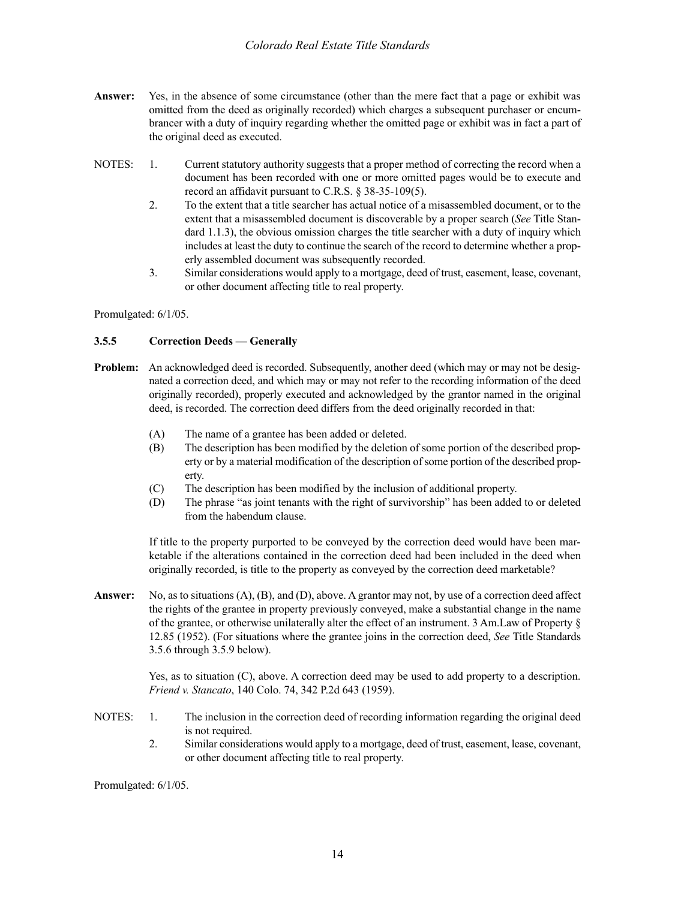- **Answer:** Yes, in the absence of some circumstance (other than the mere fact that a page or exhibit was omitted from the deed as originally recorded) which charges a subsequent purchaser or encumbrancer with a duty of inquiry regarding whether the omitted page or exhibit was in fact a part of the original deed as executed.
- NOTES: 1. Current statutory authority suggests that a proper method of correcting the record when a document has been recorded with one or more omitted pages would be to execute and record an affidavit pursuant to C.R.S. § 38-35-109(5).
	- 2. To the extent that a title searcher has actual notice of a misassembled document, or to the extent that a misassembled document is discoverable by a proper search (*See* Title Standard 1.1.3), the obvious omission charges the title searcher with a duty of inquiry which includes at least the duty to continue the search of the record to determine whether a properly assembled document was subsequently recorded.
	- 3. Similar considerations would apply to a mortgage, deed of trust, easement, lease, covenant, or other document affecting title to real property.

Promulgated: 6/1/05.

#### **3.5.5 Correction Deeds — Generally**

- **Problem:** An acknowledged deed is recorded. Subsequently, another deed (which may or may not be designated a correction deed, and which may or may not refer to the recording information of the deed originally recorded), properly executed and acknowledged by the grantor named in the original deed, is recorded. The correction deed differs from the deed originally recorded in that:
	- (A) The name of a grantee has been added or deleted.
	- (B) The description has been modified by the deletion of some portion of the described property or by a material modification of the description of some portion of the described property.
	- (C) The description has been modified by the inclusion of additional property.
	- (D) The phrase "as joint tenants with the right of survivorship" has been added to or deleted from the habendum clause.

 If title to the property purported to be conveyed by the correction deed would have been marketable if the alterations contained in the correction deed had been included in the deed when originally recorded, is title to the property as conveyed by the correction deed marketable?

**Answer:** No, as to situations (A), (B), and (D), above. A grantor may not, by use of a correction deed affect the rights of the grantee in property previously conveyed, make a substantial change in the name of the grantee, or otherwise unilaterally alter the effect of an instrument. 3 Am. Law of Property  $\S$ 12.85 (1952). (For situations where the grantee joins in the correction deed, *See* Title Standards 3.5.6 through 3.5.9 below).

> Yes, as to situation (C), above. A correction deed may be used to add property to a description. *Friend v. Stancato*, 140 Colo. 74, 342 P.2d 643 (1959).

- NOTES: 1. The inclusion in the correction deed of recording information regarding the original deed is not required.
	- 2. Similar considerations would apply to a mortgage, deed of trust, easement, lease, covenant, or other document affecting title to real property.

Promulgated: 6/1/05.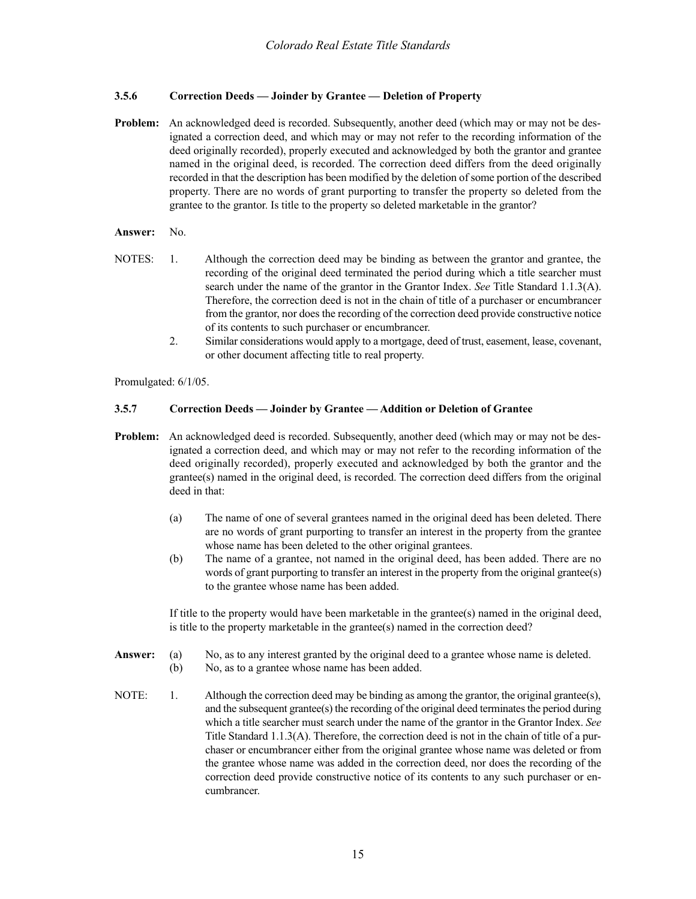## **3.5.6 Correction Deeds — Joinder by Grantee — Deletion of Property**

**Problem:** An acknowledged deed is recorded. Subsequently, another deed (which may or may not be designated a correction deed, and which may or may not refer to the recording information of the deed originally recorded), properly executed and acknowledged by both the grantor and grantee named in the original deed, is recorded. The correction deed differs from the deed originally recorded in that the description has been modified by the deletion of some portion of the described property. There are no words of grant purporting to transfer the property so deleted from the grantee to the grantor. Is title to the property so deleted marketable in the grantor?

## **Answer:** No.

- NOTES: 1. Although the correction deed may be binding as between the grantor and grantee, the recording of the original deed terminated the period during which a title searcher must search under the name of the grantor in the Grantor Index. *See* Title Standard 1.1.3(A). Therefore, the correction deed is not in the chain of title of a purchaser or encumbrancer from the grantor, nor does the recording of the correction deed provide constructive notice of its contents to such purchaser or encumbrancer.
	- 2. Similar considerations would apply to a mortgage, deed of trust, easement, lease, covenant, or other document affecting title to real property.

Promulgated: 6/1/05.

# **3.5.7 Correction Deeds — Joinder by Grantee — Addition or Deletion of Grantee**

- **Problem:** An acknowledged deed is recorded. Subsequently, another deed (which may or may not be designated a correction deed, and which may or may not refer to the recording information of the deed originally recorded), properly executed and acknowledged by both the grantor and the grantee(s) named in the original deed, is recorded. The correction deed differs from the original deed in that:
	- (a) The name of one of several grantees named in the original deed has been deleted. There are no words of grant purporting to transfer an interest in the property from the grantee whose name has been deleted to the other original grantees.
	- (b) The name of a grantee, not named in the original deed, has been added. There are no words of grant purporting to transfer an interest in the property from the original grantee(s) to the grantee whose name has been added.

If title to the property would have been marketable in the grantee(s) named in the original deed, is title to the property marketable in the grantee(s) named in the correction deed?

- Answer: (a) No, as to any interest granted by the original deed to a grantee whose name is deleted.
	- (b) No, as to a grantee whose name has been added.
- NOTE: 1. Although the correction deed may be binding as among the grantor, the original grantee(s), and the subsequent grantee(s) the recording of the original deed terminates the period during which a title searcher must search under the name of the grantor in the Grantor Index. *See* Title Standard 1.1.3(A). Therefore, the correction deed is not in the chain of title of a purchaser or encumbrancer either from the original grantee whose name was deleted or from the grantee whose name was added in the correction deed, nor does the recording of the correction deed provide constructive notice of its contents to any such purchaser or encumbrancer.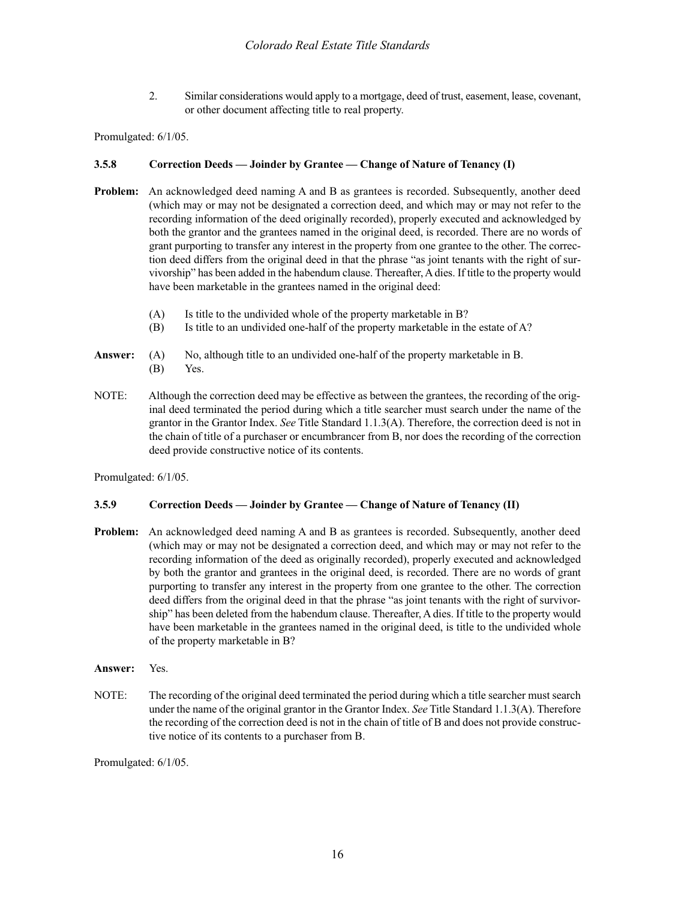2. Similar considerations would apply to a mortgage, deed of trust, easement, lease, covenant, or other document affecting title to real property.

Promulgated: 6/1/05.

#### **3.5.8 Correction Deeds — Joinder by Grantee — Change of Nature of Tenancy (I)**

- **Problem:** An acknowledged deed naming A and B as grantees is recorded. Subsequently, another deed (which may or may not be designated a correction deed, and which may or may not refer to the recording information of the deed originally recorded), properly executed and acknowledged by both the grantor and the grantees named in the original deed, is recorded. There are no words of grant purporting to transfer any interest in the property from one grantee to the other. The correction deed differs from the original deed in that the phrase "as joint tenants with the right of survivorship" has been added in the habendum clause. Thereafter, A dies. If title to the property would have been marketable in the grantees named in the original deed:
	- (A) Is title to the undivided whole of the property marketable in B?
	- (B) Is title to an undivided one-half of the property marketable in the estate of A?
- **Answer:** (A) No, although title to an undivided one-half of the property marketable in B.
	- (B) Yes.
- NOTE: Although the correction deed may be effective as between the grantees, the recording of the original deed terminated the period during which a title searcher must search under the name of the grantor in the Grantor Index. *See* Title Standard 1.1.3(A). Therefore, the correction deed is not in the chain of title of a purchaser or encumbrancer from B, nor does the recording of the correction deed provide constructive notice of its contents.

Promulgated: 6/1/05.

## **3.5.9 Correction Deeds — Joinder by Grantee — Change of Nature of Tenancy (II)**

- **Problem:** An acknowledged deed naming A and B as grantees is recorded. Subsequently, another deed (which may or may not be designated a correction deed, and which may or may not refer to the recording information of the deed as originally recorded), properly executed and acknowledged by both the grantor and grantees in the original deed, is recorded. There are no words of grant purporting to transfer any interest in the property from one grantee to the other. The correction deed differs from the original deed in that the phrase "as joint tenants with the right of survivorship" has been deleted from the habendum clause. Thereafter, A dies. If title to the property would have been marketable in the grantees named in the original deed, is title to the undivided whole of the property marketable in B?
- **Answer:** Yes.
- NOTE: The recording of the original deed terminated the period during which a title searcher must search under the name of the original grantor in the Grantor Index. *See* Title Standard 1.1.3(A). Therefore the recording of the correction deed is not in the chain of title of B and does not provide constructive notice of its contents to a purchaser from B.

Promulgated: 6/1/05.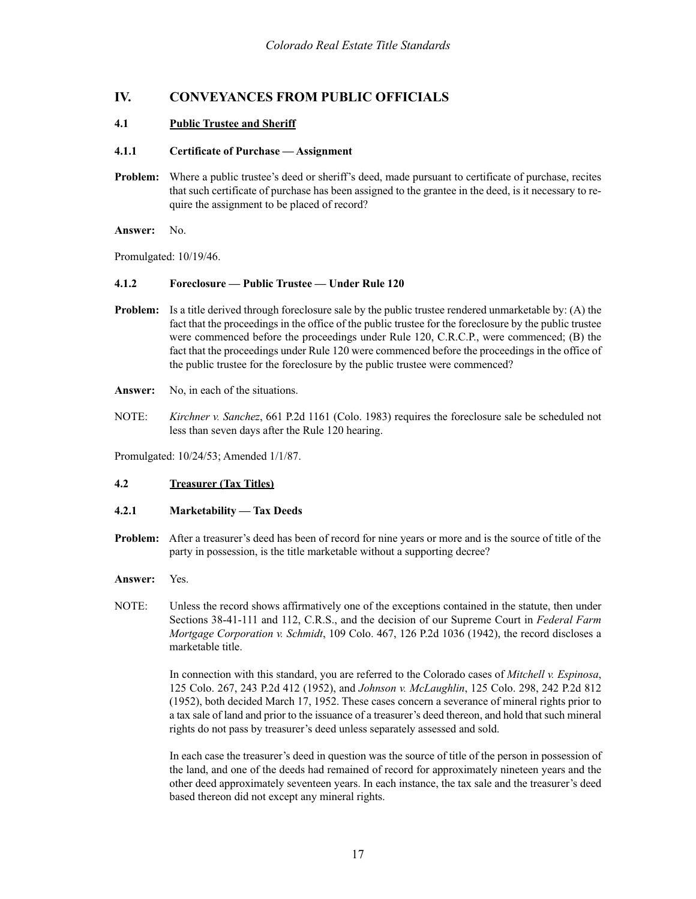# **IV. CONVEYANCES FROM PUBLIC OFFICIALS**

## **4.1 Public Trustee and Sheriff**

#### **4.1.1 Certificate of Purchase — Assignment**

- **Problem:** Where a public trustee's deed or sheriff's deed, made pursuant to certificate of purchase, recites that such certificate of purchase has been assigned to the grantee in the deed, is it necessary to require the assignment to be placed of record?
- **Answer:** No.

Promulgated: 10/19/46.

#### **4.1.2 Foreclosure — Public Trustee — Under Rule 120**

- **Problem:** Is a title derived through foreclosure sale by the public trustee rendered unmarketable by: (A) the fact that the proceedings in the office of the public trustee for the foreclosure by the public trustee were commenced before the proceedings under Rule 120, C.R.C.P., were commenced; (B) the fact that the proceedings under Rule 120 were commenced before the proceedings in the office of the public trustee for the foreclosure by the public trustee were commenced?
- **Answer:** No, in each of the situations.
- NOTE: *Kirchner v. Sanchez*, 661 P.2d 1161 (Colo. 1983) requires the foreclosure sale be scheduled not less than seven days after the Rule 120 hearing.

Promulgated: 10/24/53; Amended 1/1/87.

## **4.2 Treasurer (Tax Titles)**

#### **4.2.1 Marketability — Tax Deeds**

- **Problem:** After a treasurer's deed has been of record for nine years or more and is the source of title of the party in possession, is the title marketable without a supporting decree?
- **Answer:** Yes.
- NOTE: Unless the record shows affirmatively one of the exceptions contained in the statute, then under Sections 38-41-111 and 112, C.R.S., and the decision of our Supreme Court in *Federal Farm Mortgage Corporation v. Schmidt*, 109 Colo. 467, 126 P.2d 1036 (1942), the record discloses a marketable title.

 In connection with this standard, you are referred to the Colorado cases of *Mitchell v. Espinosa*, 125 Colo. 267, 243 P.2d 412 (1952), and *Johnson v. McLaughlin*, 125 Colo. 298, 242 P.2d 812 (1952), both decided March 17, 1952. These cases concern a severance of mineral rights prior to a tax sale of land and prior to the issuance of a treasurer's deed thereon, and hold that such mineral rights do not pass by treasurer's deed unless separately assessed and sold.

 In each case the treasurer's deed in question was the source of title of the person in possession of the land, and one of the deeds had remained of record for approximately nineteen years and the other deed approximately seventeen years. In each instance, the tax sale and the treasurer's deed based thereon did not except any mineral rights.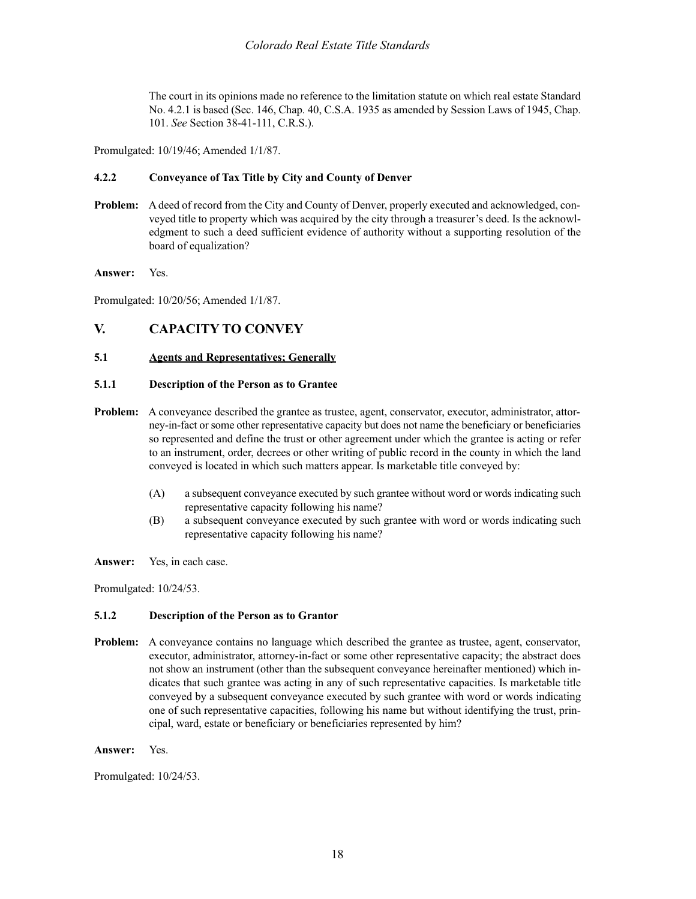The court in its opinions made no reference to the limitation statute on which real estate Standard No. 4.2.1 is based (Sec. 146, Chap. 40, C.S.A. 1935 as amended by Session Laws of 1945, Chap. 101. *See* Section 38-41-111, C.R.S.).

Promulgated: 10/19/46; Amended 1/1/87.

#### **4.2.2 Conveyance of Tax Title by City and County of Denver**

- **Problem:** A deed of record from the City and County of Denver, properly executed and acknowledged, conveyed title to property which was acquired by the city through a treasurer's deed. Is the acknowledgment to such a deed sufficient evidence of authority without a supporting resolution of the board of equalization?
- **Answer:** Yes.

Promulgated: 10/20/56; Amended 1/1/87.

## **V. CAPACITY TO CONVEY**

#### **5.1 Agents and Representatives; Generally**

#### **5.1.1 Description of the Person as to Grantee**

- **Problem:** A conveyance described the grantee as trustee, agent, conservator, executor, administrator, attorney-in-fact or some other representative capacity but does not name the beneficiary or beneficiaries so represented and define the trust or other agreement under which the grantee is acting or refer to an instrument, order, decrees or other writing of public record in the county in which the land conveyed is located in which such matters appear. Is marketable title conveyed by:
	- (A) a subsequent conveyance executed by such grantee without word or words indicating such representative capacity following his name?
	- (B) a subsequent conveyance executed by such grantee with word or words indicating such representative capacity following his name?
- **Answer:** Yes, in each case.

Promulgated: 10/24/53.

#### **5.1.2 Description of the Person as to Grantor**

**Problem:** A conveyance contains no language which described the grantee as trustee, agent, conservator, executor, administrator, attorney-in-fact or some other representative capacity; the abstract does not show an instrument (other than the subsequent conveyance hereinafter mentioned) which indicates that such grantee was acting in any of such representative capacities. Is marketable title conveyed by a subsequent conveyance executed by such grantee with word or words indicating one of such representative capacities, following his name but without identifying the trust, principal, ward, estate or beneficiary or beneficiaries represented by him?

**Answer:** Yes.

Promulgated: 10/24/53.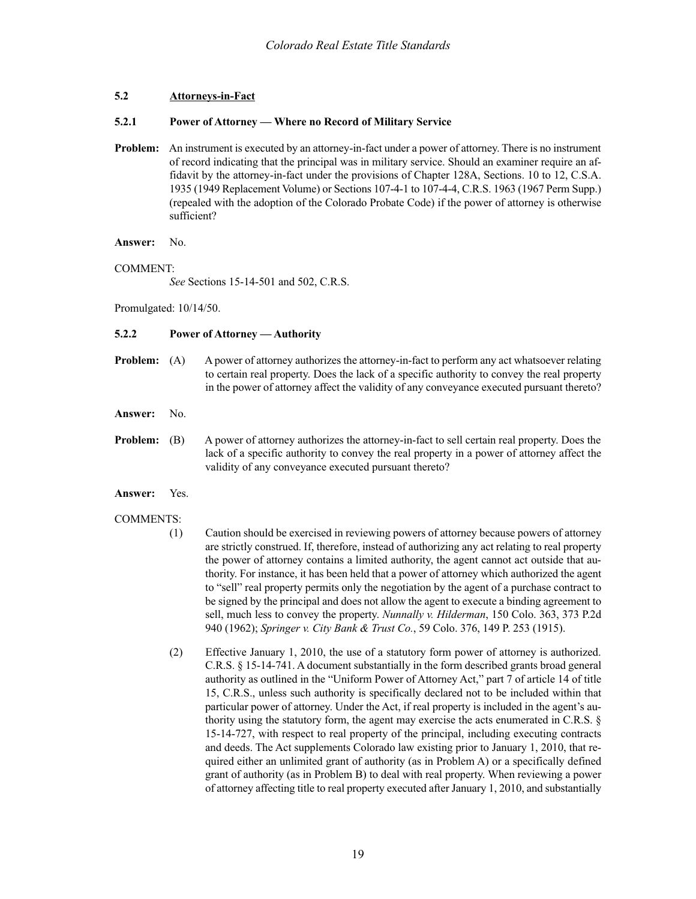## **5.2 Attorneys-in-Fact**

## **5.2.1 Power of Attorney — Where no Record of Military Service**

**Problem:** An instrument is executed by an attorney-in-fact under a power of attorney. There is no instrument of record indicating that the principal was in military service. Should an examiner require an affidavit by the attorney-in-fact under the provisions of Chapter 128A, Sections. 10 to 12, C.S.A. 1935 (1949 Replacement Volume) or Sections 107-4-1 to 107-4-4, C.R.S. 1963 (1967 Perm Supp.) (repealed with the adoption of the Colorado Probate Code) if the power of attorney is otherwise sufficient?

#### **Answer:** No.

#### COMMENT:

 *See* Sections 15-14-501 and 502, C.R.S.

Promulgated: 10/14/50.

## **5.2.2 Power of Attorney — Authority**

- **Problem:** (A) A power of attorney authorizes the attorney-in-fact to perform any act whatsoever relating to certain real property. Does the lack of a specific authority to convey the real property in the power of attorney affect the validity of any conveyance executed pursuant thereto?
- **Answer:** No.
- **Problem:** (B) A power of attorney authorizes the attorney-in-fact to sell certain real property. Does the lack of a specific authority to convey the real property in a power of attorney affect the validity of any conveyance executed pursuant thereto?

## **Answer:** Yes.

## COMMENTS:

- (1) Caution should be exercised in reviewing powers of attorney because powers of attorney are strictly construed. If, therefore, instead of authorizing any act relating to real property the power of attorney contains a limited authority, the agent cannot act outside that authority. For instance, it has been held that a power of attorney which authorized the agent to "sell" real property permits only the negotiation by the agent of a purchase contract to be signed by the principal and does not allow the agent to execute a binding agreement to sell, much less to convey the property. *Nunnally v. Hilderman*, 150 Colo. 363, 373 P.2d 940 (1962); *Springer v. City Bank & Trust Co.*, 59 Colo. 376, 149 P. 253 (1915).
- (2) Effective January 1, 2010, the use of a statutory form power of attorney is authorized. C.R.S. § 15-14-741. A document substantially in the form described grants broad general authority as outlined in the "Uniform Power of Attorney Act," part 7 of article 14 of title 15, C.R.S., unless such authority is specifically declared not to be included within that particular power of attorney. Under the Act, if real property is included in the agent's authority using the statutory form, the agent may exercise the acts enumerated in C.R.S. § 15-14-727, with respect to real property of the principal, including executing contracts and deeds. The Act supplements Colorado law existing prior to January 1, 2010, that required either an unlimited grant of authority (as in Problem A) or a specifically defined grant of authority (as in Problem B) to deal with real property. When reviewing a power of attorney affecting title to real property executed after January 1, 2010, and substantially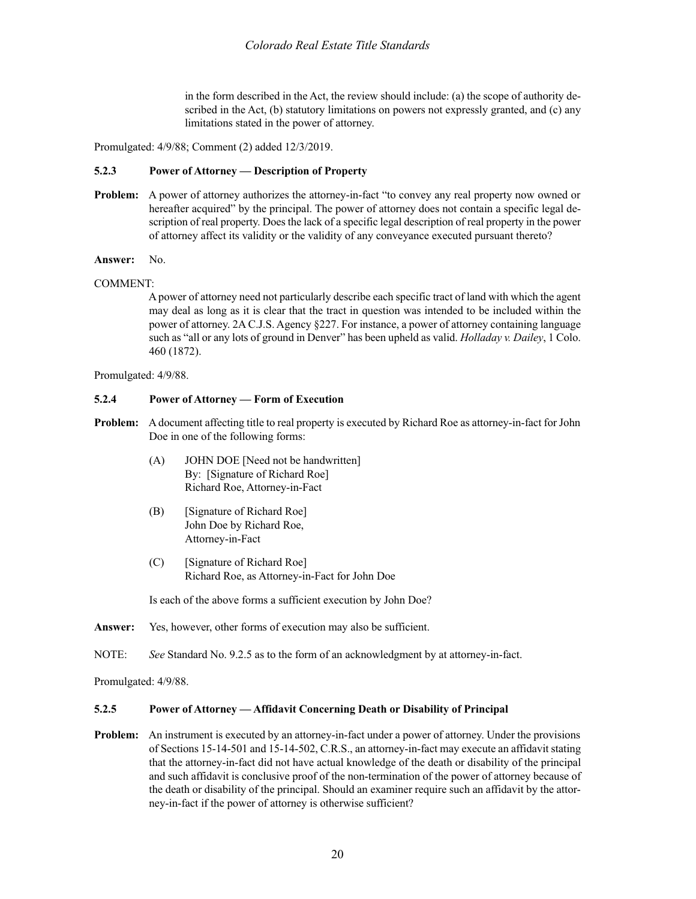in the form described in the Act, the review should include: (a) the scope of authority described in the Act, (b) statutory limitations on powers not expressly granted, and (c) any limitations stated in the power of attorney.

Promulgated: 4/9/88; Comment (2) added 12/3/2019.

#### **5.2.3 Power of Attorney — Description of Property**

**Problem:** A power of attorney authorizes the attorney-in-fact "to convey any real property now owned or hereafter acquired" by the principal. The power of attorney does not contain a specific legal description of real property. Does the lack of a specific legal description of real property in the power of attorney affect its validity or the validity of any conveyance executed pursuant thereto?

#### **Answer:** No.

COMMENT:

 A power of attorney need not particularly describe each specific tract of land with which the agent may deal as long as it is clear that the tract in question was intended to be included within the power of attorney. 2A C.J.S. Agency §227. For instance, a power of attorney containing language such as "all or any lots of ground in Denver" has been upheld as valid. *Holladay v. Dailey*, 1 Colo. 460 (1872).

Promulgated: 4/9/88.

#### **5.2.4 Power of Attorney — Form of Execution**

- **Problem:** A document affecting title to real property is executed by Richard Roe as attorney-in-fact for John Doe in one of the following forms:
	- (A) JOHN DOE [Need not be handwritten] By: [Signature of Richard Roe] Richard Roe, Attorney-in-Fact
	- (B) [Signature of Richard Roe] John Doe by Richard Roe, Attorney-in-Fact
	- (C) [Signature of Richard Roe] Richard Roe, as Attorney-in-Fact for John Doe

Is each of the above forms a sufficient execution by John Doe?

Answer: Yes, however, other forms of execution may also be sufficient.

NOTE: *See* Standard No. 9.2.5 as to the form of an acknowledgment by at attorney-in-fact.

Promulgated: 4/9/88.

#### **5.2.5 Power of Attorney — Affidavit Concerning Death or Disability of Principal**

**Problem:** An instrument is executed by an attorney-in-fact under a power of attorney. Under the provisions of Sections 15-14-501 and 15-14-502, C.R.S., an attorney-in-fact may execute an affidavit stating that the attorney-in-fact did not have actual knowledge of the death or disability of the principal and such affidavit is conclusive proof of the non-termination of the power of attorney because of the death or disability of the principal. Should an examiner require such an affidavit by the attorney-in-fact if the power of attorney is otherwise sufficient?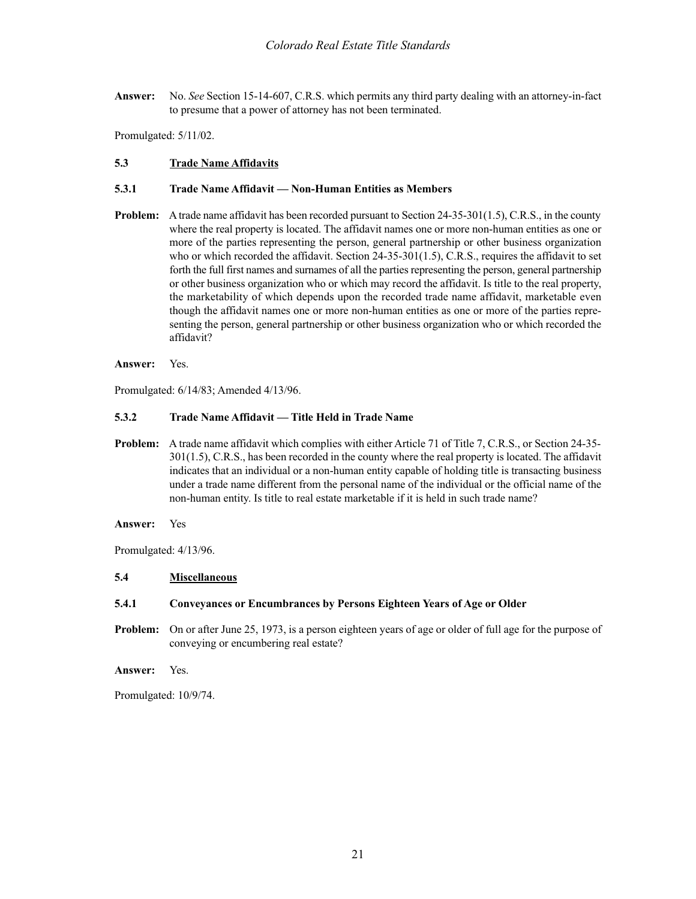**Answer:** No. *See* Section 15-14-607, C.R.S. which permits any third party dealing with an attorney-in-fact to presume that a power of attorney has not been terminated.

Promulgated: 5/11/02.

#### **5.3 Trade Name Affidavits**

#### **5.3.1 Trade Name Affidavit — Non-Human Entities as Members**

**Problem:** A trade name affidavit has been recorded pursuant to Section 24-35-301(1.5), C.R.S., in the county where the real property is located. The affidavit names one or more non-human entities as one or more of the parties representing the person, general partnership or other business organization who or which recorded the affidavit. Section 24-35-301(1.5), C.R.S., requires the affidavit to set forth the full first names and surnames of all the parties representing the person, general partnership or other business organization who or which may record the affidavit. Is title to the real property, the marketability of which depends upon the recorded trade name affidavit, marketable even though the affidavit names one or more non-human entities as one or more of the parties representing the person, general partnership or other business organization who or which recorded the affidavit?

**Answer:** Yes.

Promulgated: 6/14/83; Amended 4/13/96.

#### **5.3.2 Trade Name Affidavit — Title Held in Trade Name**

**Problem:** A trade name affidavit which complies with either Article 71 of Title 7, C.R.S., or Section 24-35-301(1.5), C.R.S., has been recorded in the county where the real property is located. The affidavit indicates that an individual or a non-human entity capable of holding title is transacting business under a trade name different from the personal name of the individual or the official name of the non-human entity. Is title to real estate marketable if it is held in such trade name?

#### **Answer:** Yes

Promulgated: 4/13/96.

#### **5.4 Miscellaneous**

#### **5.4.1 Conveyances or Encumbrances by Persons Eighteen Years of Age or Older**

**Problem:** On or after June 25, 1973, is a person eighteen years of age or older of full age for the purpose of conveying or encumbering real estate?

**Answer:** Yes.

Promulgated: 10/9/74.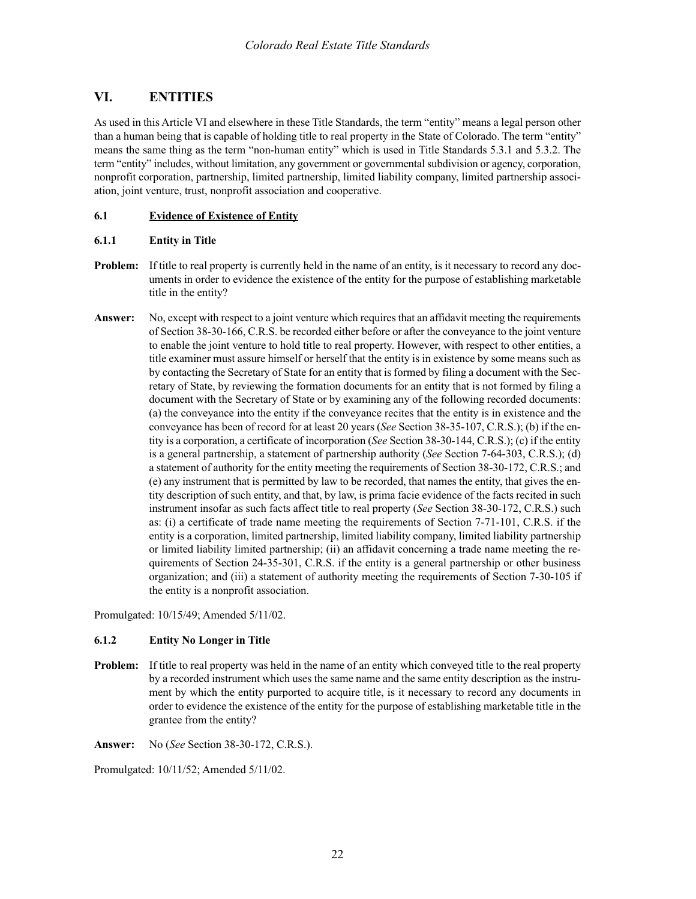# **VI. ENTITIES**

As used in this Article VI and elsewhere in these Title Standards, the term "entity" means a legal person other than a human being that is capable of holding title to real property in the State of Colorado. The term "entity" means the same thing as the term "non-human entity" which is used in Title Standards 5.3.1 and 5.3.2. The term "entity" includes, without limitation, any government or governmental subdivision or agency, corporation, nonprofit corporation, partnership, limited partnership, limited liability company, limited partnership association, joint venture, trust, nonprofit association and cooperative.

# **6.1 Evidence of Existence of Entity**

# **6.1.1 Entity in Title**

- **Problem:** If title to real property is currently held in the name of an entity, is it necessary to record any documents in order to evidence the existence of the entity for the purpose of establishing marketable title in the entity?
- **Answer:** No, except with respect to a joint venture which requires that an affidavit meeting the requirements of Section 38-30-166, C.R.S. be recorded either before or after the conveyance to the joint venture to enable the joint venture to hold title to real property. However, with respect to other entities, a title examiner must assure himself or herself that the entity is in existence by some means such as by contacting the Secretary of State for an entity that is formed by filing a document with the Secretary of State, by reviewing the formation documents for an entity that is not formed by filing a document with the Secretary of State or by examining any of the following recorded documents: (a) the conveyance into the entity if the conveyance recites that the entity is in existence and the conveyance has been of record for at least 20 years (*See* Section 38-35-107, C.R.S.); (b) if the entity is a corporation, a certificate of incorporation (*See* Section 38-30-144, C.R.S.); (c) if the entity is a general partnership, a statement of partnership authority (*See* Section 7-64-303, C.R.S.); (d) a statement of authority for the entity meeting the requirements of Section 38-30-172, C.R.S.; and (e) any instrument that is permitted by law to be recorded, that names the entity, that gives the entity description of such entity, and that, by law, is prima facie evidence of the facts recited in such instrument insofar as such facts affect title to real property (*See* Section 38-30-172, C.R.S.) such as: (i) a certificate of trade name meeting the requirements of Section 7-71-101, C.R.S. if the entity is a corporation, limited partnership, limited liability company, limited liability partnership or limited liability limited partnership; (ii) an affidavit concerning a trade name meeting the requirements of Section 24-35-301, C.R.S. if the entity is a general partnership or other business organization; and (iii) a statement of authority meeting the requirements of Section 7-30-105 if the entity is a nonprofit association.

Promulgated: 10/15/49; Amended 5/11/02.

# **6.1.2 Entity No Longer in Title**

**Problem:** If title to real property was held in the name of an entity which conveyed title to the real property by a recorded instrument which uses the same name and the same entity description as the instrument by which the entity purported to acquire title, is it necessary to record any documents in order to evidence the existence of the entity for the purpose of establishing marketable title in the grantee from the entity?

**Answer:** No (*See* Section 38-30-172, C.R.S.).

Promulgated: 10/11/52; Amended 5/11/02.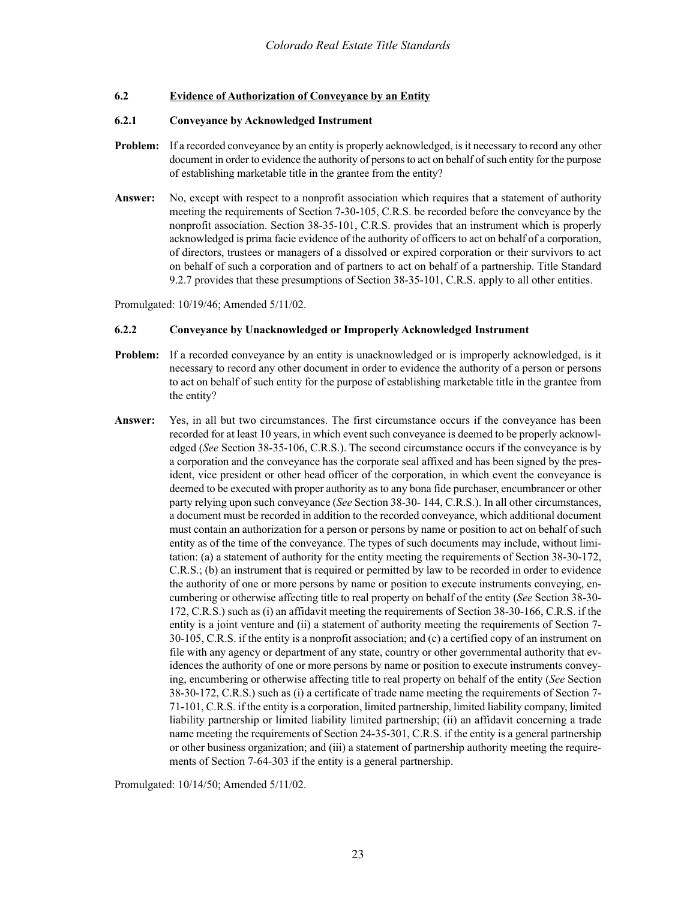#### **6.2 Evidence of Authorization of Conveyance by an Entity**

#### **6.2.1 Conveyance by Acknowledged Instrument**

- **Problem:** If a recorded conveyance by an entity is properly acknowledged, is it necessary to record any other document in order to evidence the authority of persons to act on behalf of such entity for the purpose of establishing marketable title in the grantee from the entity?
- **Answer:** No, except with respect to a nonprofit association which requires that a statement of authority meeting the requirements of Section 7-30-105, C.R.S. be recorded before the conveyance by the nonprofit association. Section 38-35-101, C.R.S. provides that an instrument which is properly acknowledged is prima facie evidence of the authority of officers to act on behalf of a corporation, of directors, trustees or managers of a dissolved or expired corporation or their survivors to act on behalf of such a corporation and of partners to act on behalf of a partnership. Title Standard 9.2.7 provides that these presumptions of Section 38-35-101, C.R.S. apply to all other entities.

Promulgated: 10/19/46; Amended 5/11/02.

#### **6.2.2 Conveyance by Unacknowledged or Improperly Acknowledged Instrument**

- **Problem:** If a recorded conveyance by an entity is unacknowledged or is improperly acknowledged, is it necessary to record any other document in order to evidence the authority of a person or persons to act on behalf of such entity for the purpose of establishing marketable title in the grantee from the entity?
- **Answer:** Yes, in all but two circumstances. The first circumstance occurs if the conveyance has been recorded for at least 10 years, in which event such conveyance is deemed to be properly acknowledged (*See* Section 38-35-106, C.R.S.). The second circumstance occurs if the conveyance is by a corporation and the conveyance has the corporate seal affixed and has been signed by the president, vice president or other head officer of the corporation, in which event the conveyance is deemed to be executed with proper authority as to any bona fide purchaser, encumbrancer or other party relying upon such conveyance (*See* Section 38-30- 144, C.R.S.). In all other circumstances, a document must be recorded in addition to the recorded conveyance, which additional document must contain an authorization for a person or persons by name or position to act on behalf of such entity as of the time of the conveyance. The types of such documents may include, without limitation: (a) a statement of authority for the entity meeting the requirements of Section 38-30-172, C.R.S.; (b) an instrument that is required or permitted by law to be recorded in order to evidence the authority of one or more persons by name or position to execute instruments conveying, encumbering or otherwise affecting title to real property on behalf of the entity (*See* Section 38-30- 172, C.R.S.) such as (i) an affidavit meeting the requirements of Section 38-30-166, C.R.S. if the entity is a joint venture and (ii) a statement of authority meeting the requirements of Section 7- 30-105, C.R.S. if the entity is a nonprofit association; and (c) a certified copy of an instrument on file with any agency or department of any state, country or other governmental authority that evidences the authority of one or more persons by name or position to execute instruments conveying, encumbering or otherwise affecting title to real property on behalf of the entity (*See* Section 38-30-172, C.R.S.) such as (i) a certificate of trade name meeting the requirements of Section 7- 71-101, C.R.S. if the entity is a corporation, limited partnership, limited liability company, limited liability partnership or limited liability limited partnership; (ii) an affidavit concerning a trade name meeting the requirements of Section 24-35-301, C.R.S. if the entity is a general partnership or other business organization; and (iii) a statement of partnership authority meeting the requirements of Section 7-64-303 if the entity is a general partnership.

Promulgated: 10/14/50; Amended 5/11/02.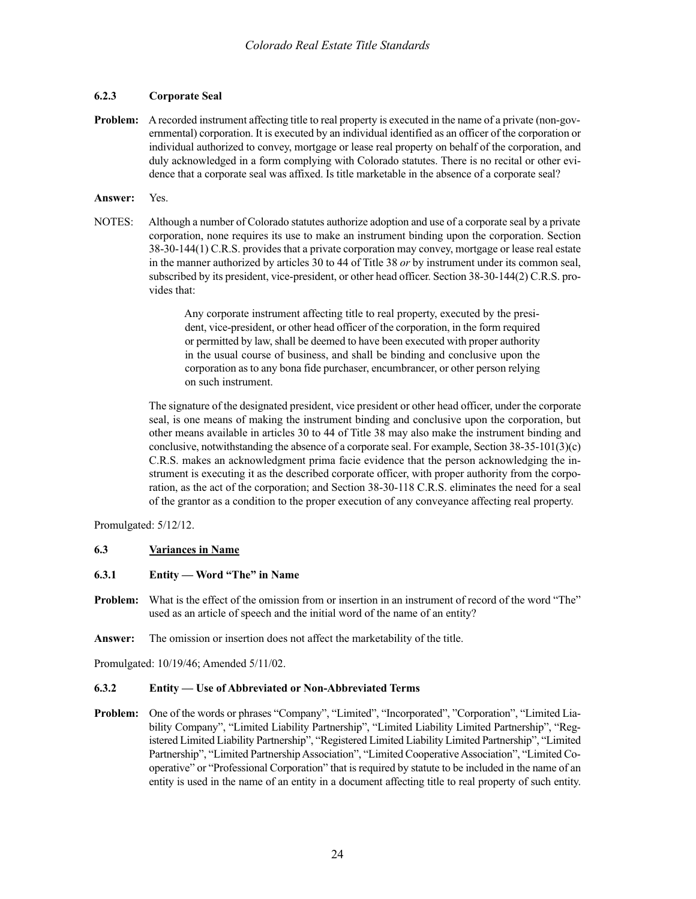## **6.2.3 Corporate Seal**

**Problem:** A recorded instrument affecting title to real property is executed in the name of a private (non-governmental) corporation. It is executed by an individual identified as an officer of the corporation or individual authorized to convey, mortgage or lease real property on behalf of the corporation, and duly acknowledged in a form complying with Colorado statutes. There is no recital or other evidence that a corporate seal was affixed. Is title marketable in the absence of a corporate seal?

## **Answer:** Yes.

NOTES: Although a number of Colorado statutes authorize adoption and use of a corporate seal by a private corporation, none requires its use to make an instrument binding upon the corporation. Section 38-30-144(1) C.R.S. provides that a private corporation may convey, mortgage or lease real estate in the manner authorized by articles 30 to 44 of Title 38 *or* by instrument under its common seal, subscribed by its president, vice-president, or other head officer. Section 38-30-144(2) C.R.S. provides that:

> Any corporate instrument affecting title to real property, executed by the president, vice-president, or other head officer of the corporation, in the form required or permitted by law, shall be deemed to have been executed with proper authority in the usual course of business, and shall be binding and conclusive upon the corporation as to any bona fide purchaser, encumbrancer, or other person relying on such instrument.

 The signature of the designated president, vice president or other head officer, under the corporate seal, is one means of making the instrument binding and conclusive upon the corporation, but other means available in articles 30 to 44 of Title 38 may also make the instrument binding and conclusive, notwithstanding the absence of a corporate seal. For example, Section 38-35-101(3)(c) C.R.S. makes an acknowledgment prima facie evidence that the person acknowledging the instrument is executing it as the described corporate officer, with proper authority from the corporation, as the act of the corporation; and Section 38-30-118 C.R.S. eliminates the need for a seal of the grantor as a condition to the proper execution of any conveyance affecting real property.

Promulgated: 5/12/12.

## **6.3 Variances in Name**

## **6.3.1 Entity — Word "The" in Name**

- **Problem:** What is the effect of the omission from or insertion in an instrument of record of the word "The" used as an article of speech and the initial word of the name of an entity?
- **Answer:** The omission or insertion does not affect the marketability of the title.

Promulgated: 10/19/46; Amended 5/11/02.

#### **6.3.2 Entity — Use of Abbreviated or Non-Abbreviated Terms**

Problem: One of the words or phrases "Company", "Limited", "Incorporated", "Corporation", "Limited Liability Company", "Limited Liability Partnership", "Limited Liability Limited Partnership", "Registered Limited Liability Partnership", "Registered Limited Liability Limited Partnership", "Limited Partnership", "Limited Partnership Association", "Limited Cooperative Association", "Limited Cooperative" or "Professional Corporation" that is required by statute to be included in the name of an entity is used in the name of an entity in a document affecting title to real property of such entity.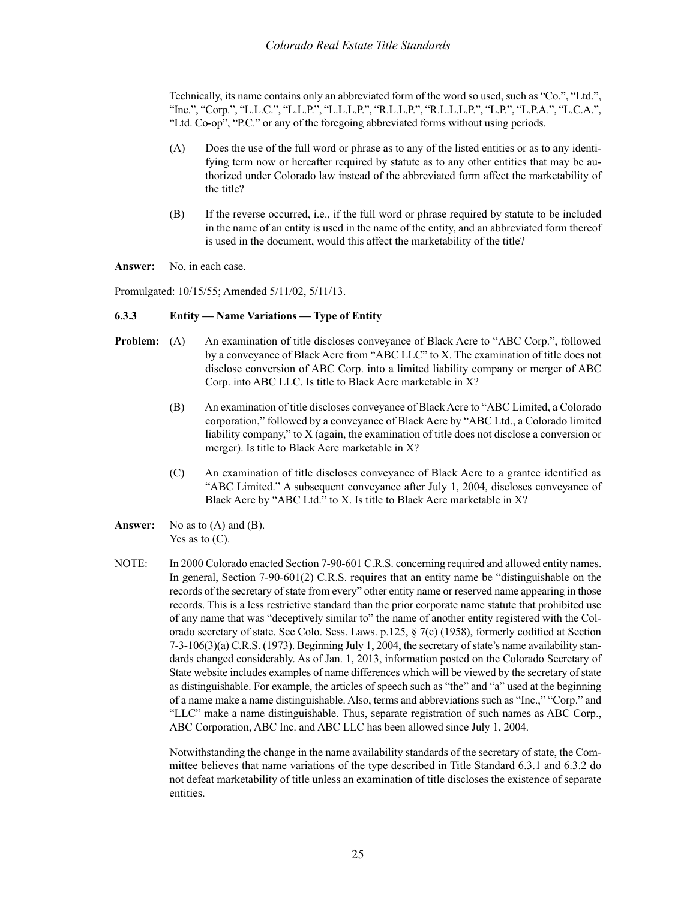Technically, its name contains only an abbreviated form of the word so used, such as "Co.", "Ltd.", "Inc.", "Corp.", "L.L.C.", "L.L.P.", "L.L.L.P.", "R.L.L.P.", "R.L.L.L.P.", "L.P.", "L.P.A.", "L.C.A.", "Ltd. Co-op", "P.C." or any of the foregoing abbreviated forms without using periods.

- (A) Does the use of the full word or phrase as to any of the listed entities or as to any identifying term now or hereafter required by statute as to any other entities that may be authorized under Colorado law instead of the abbreviated form affect the marketability of the title?
- (B) If the reverse occurred, i.e., if the full word or phrase required by statute to be included in the name of an entity is used in the name of the entity, and an abbreviated form thereof is used in the document, would this affect the marketability of the title?

**Answer:** No, in each case.

Promulgated: 10/15/55; Amended 5/11/02, 5/11/13.

#### **6.3.3 Entity — Name Variations — Type of Entity**

- **Problem:** (A) An examination of title discloses conveyance of Black Acre to "ABC Corp.", followed by a conveyance of Black Acre from "ABC LLC" to X. The examination of title does not disclose conversion of ABC Corp. into a limited liability company or merger of ABC Corp. into ABC LLC. Is title to Black Acre marketable in X?
	- (B) An examination of title discloses conveyance of Black Acre to "ABC Limited, a Colorado corporation," followed by a conveyance of Black Acre by "ABC Ltd., a Colorado limited liability company," to X (again, the examination of title does not disclose a conversion or merger). Is title to Black Acre marketable in X?
	- (C) An examination of title discloses conveyance of Black Acre to a grantee identified as "ABC Limited." A subsequent conveyance after July 1, 2004, discloses conveyance of Black Acre by "ABC Ltd." to X. Is title to Black Acre marketable in X?
- **Answer:** No as to (A) and (B). Yes as to  $(C)$ .
- NOTE: In 2000 Colorado enacted Section 7-90-601 C.R.S. concerning required and allowed entity names. In general, Section 7-90-601(2) C.R.S. requires that an entity name be "distinguishable on the records of the secretary of state from every" other entity name or reserved name appearing in those records. This is a less restrictive standard than the prior corporate name statute that prohibited use of any name that was "deceptively similar to" the name of another entity registered with the Colorado secretary of state. See Colo. Sess. Laws. p.125, § 7(c) (1958), formerly codified at Section 7-3-106(3)(a) C.R.S. (1973). Beginning July 1, 2004, the secretary of state's name availability standards changed considerably. As of Jan. 1, 2013, information posted on the Colorado Secretary of State website includes examples of name differences which will be viewed by the secretary of state as distinguishable. For example, the articles of speech such as "the" and "a" used at the beginning of a name make a name distinguishable. Also, terms and abbreviations such as "Inc.," "Corp." and "LLC" make a name distinguishable. Thus, separate registration of such names as ABC Corp., ABC Corporation, ABC Inc. and ABC LLC has been allowed since July 1, 2004.

 Notwithstanding the change in the name availability standards of the secretary of state, the Committee believes that name variations of the type described in Title Standard 6.3.1 and 6.3.2 do not defeat marketability of title unless an examination of title discloses the existence of separate entities.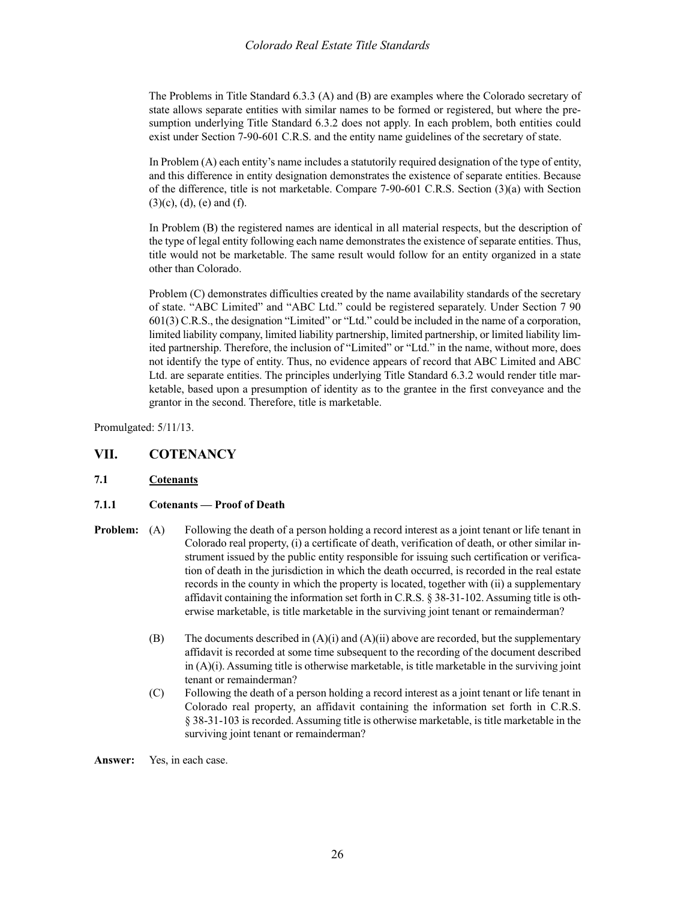The Problems in Title Standard 6.3.3 (A) and (B) are examples where the Colorado secretary of state allows separate entities with similar names to be formed or registered, but where the presumption underlying Title Standard 6.3.2 does not apply. In each problem, both entities could exist under Section 7-90-601 C.R.S. and the entity name guidelines of the secretary of state.

 In Problem (A) each entity's name includes a statutorily required designation of the type of entity, and this difference in entity designation demonstrates the existence of separate entities. Because of the difference, title is not marketable. Compare 7-90-601 C.R.S. Section (3)(a) with Section  $(3)(c)$ ,  $(d)$ ,  $(e)$  and  $(f)$ .

 In Problem (B) the registered names are identical in all material respects, but the description of the type of legal entity following each name demonstrates the existence of separate entities. Thus, title would not be marketable. The same result would follow for an entity organized in a state other than Colorado.

 Problem (C) demonstrates difficulties created by the name availability standards of the secretary of state. "ABC Limited" and "ABC Ltd." could be registered separately. Under Section 7 90 601(3) C.R.S., the designation "Limited" or "Ltd." could be included in the name of a corporation, limited liability company, limited liability partnership, limited partnership, or limited liability limited partnership. Therefore, the inclusion of "Limited" or "Ltd." in the name, without more, does not identify the type of entity. Thus, no evidence appears of record that ABC Limited and ABC Ltd. are separate entities. The principles underlying Title Standard 6.3.2 would render title marketable, based upon a presumption of identity as to the grantee in the first conveyance and the grantor in the second. Therefore, title is marketable.

Promulgated: 5/11/13.

# **VII. COTENANCY**

## **7.1 Cotenants**

## **7.1.1 Cotenants — Proof of Death**

- **Problem:** (A) Following the death of a person holding a record interest as a joint tenant or life tenant in Colorado real property, (i) a certificate of death, verification of death, or other similar instrument issued by the public entity responsible for issuing such certification or verification of death in the jurisdiction in which the death occurred, is recorded in the real estate records in the county in which the property is located, together with (ii) a supplementary affidavit containing the information set forth in C.R.S. § 38-31-102. Assuming title is otherwise marketable, is title marketable in the surviving joint tenant or remainderman?
	- (B) The documents described in  $(A)(i)$  and  $(A)(ii)$  above are recorded, but the supplementary affidavit is recorded at some time subsequent to the recording of the document described in  $(A)(i)$ . Assuming title is otherwise marketable, is title marketable in the surviving joint tenant or remainderman?
	- (C) Following the death of a person holding a record interest as a joint tenant or life tenant in Colorado real property, an affidavit containing the information set forth in C.R.S. § 38-31-103 is recorded. Assuming title is otherwise marketable, is title marketable in the surviving joint tenant or remainderman?

**Answer:** Yes, in each case.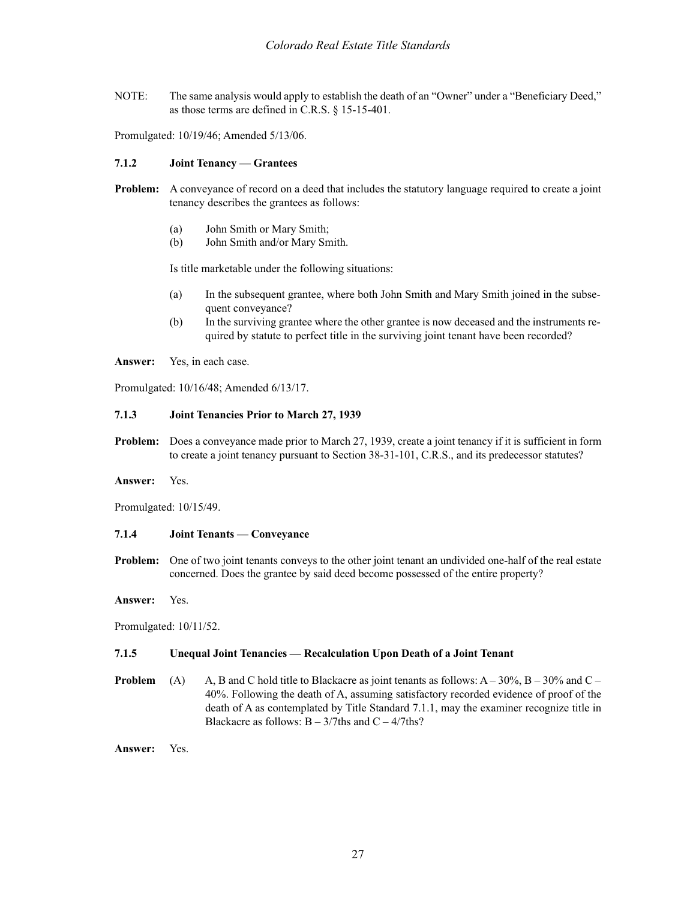NOTE: The same analysis would apply to establish the death of an "Owner" under a "Beneficiary Deed," as those terms are defined in C.R.S. § 15-15-401.

Promulgated: 10/19/46; Amended 5/13/06.

#### **7.1.2 Joint Tenancy — Grantees**

- **Problem:** A conveyance of record on a deed that includes the statutory language required to create a joint tenancy describes the grantees as follows:
	- (a) John Smith or Mary Smith;
	- (b) John Smith and/or Mary Smith.

Is title marketable under the following situations:

- (a) In the subsequent grantee, where both John Smith and Mary Smith joined in the subsequent conveyance?
- (b) In the surviving grantee where the other grantee is now deceased and the instruments required by statute to perfect title in the surviving joint tenant have been recorded?

**Answer:** Yes, in each case.

Promulgated: 10/16/48; Amended 6/13/17.

#### **7.1.3 Joint Tenancies Prior to March 27, 1939**

**Problem:** Does a conveyance made prior to March 27, 1939, create a joint tenancy if it is sufficient in form to create a joint tenancy pursuant to Section 38-31-101, C.R.S., and its predecessor statutes?

**Answer:** Yes.

Promulgated: 10/15/49.

#### **7.1.4 Joint Tenants — Conveyance**

**Problem:** One of two joint tenants conveys to the other joint tenant an undivided one-half of the real estate concerned. Does the grantee by said deed become possessed of the entire property?

**Answer:** Yes.

Promulgated: 10/11/52.

#### **7.1.5 Unequal Joint Tenancies — Recalculation Upon Death of a Joint Tenant**

**Problem** (A) A, B and C hold title to Blackacre as joint tenants as follows:  $A - 30\%$ ,  $B - 30\%$  and C – 40%. Following the death of A, assuming satisfactory recorded evidence of proof of the death of A as contemplated by Title Standard 7.1.1, may the examiner recognize title in Blackacre as follows:  $B - 3/7$ ths and  $C - 4/7$ ths?

**Answer:** Yes.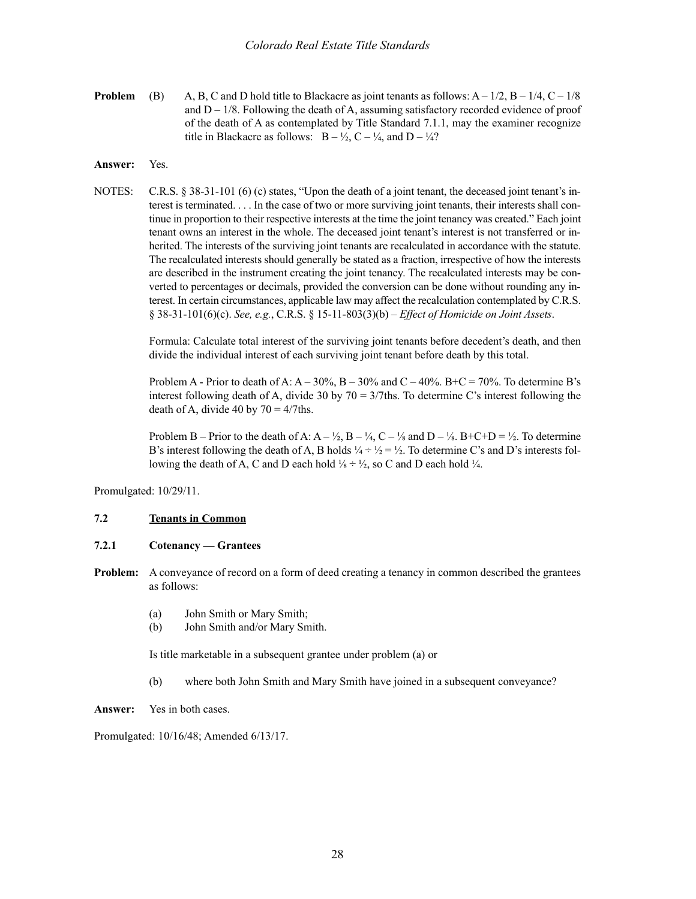**Problem** (B) A, B, C and D hold title to Blackacre as joint tenants as follows:  $A - \frac{1}{2}$ ,  $B - \frac{1}{4}$ ,  $C - \frac{1}{8}$ and  $D - 1/8$ . Following the death of A, assuming satisfactory recorded evidence of proof of the death of A as contemplated by Title Standard 7.1.1, may the examiner recognize title in Blackacre as follows:  $B - \frac{1}{2}$ ,  $C - \frac{1}{4}$ , and  $D - \frac{1}{4}$ ?

#### **Answer:** Yes.

NOTES: C.R.S. § 38-31-101 (6) (c) states, "Upon the death of a joint tenant, the deceased joint tenant's interest is terminated. . . . In the case of two or more surviving joint tenants, their interests shall continue in proportion to their respective interests at the time the joint tenancy was created." Each joint tenant owns an interest in the whole. The deceased joint tenant's interest is not transferred or inherited. The interests of the surviving joint tenants are recalculated in accordance with the statute. The recalculated interests should generally be stated as a fraction, irrespective of how the interests are described in the instrument creating the joint tenancy. The recalculated interests may be converted to percentages or decimals, provided the conversion can be done without rounding any interest. In certain circumstances, applicable law may affect the recalculation contemplated by C.R.S. § 38-31-101(6)(c). *See, e.g.*, C.R.S. § 15-11-803(3)(b) – *Effect of Homicide on Joint Assets*.

> Formula: Calculate total interest of the surviving joint tenants before decedent's death, and then divide the individual interest of each surviving joint tenant before death by this total.

> Problem A - Prior to death of A:  $A - 30\%$ ,  $B - 30\%$  and  $C - 40\%$ .  $B + C = 70\%$ . To determine B's interest following death of A, divide 30 by  $70 = \frac{3}{7}$ ths. To determine C's interest following the death of A, divide 40 by  $70 = 4/7$ ths.

> Problem B – Prior to the death of A:  $A - \frac{1}{2}$ , B –  $\frac{1}{4}$ , C –  $\frac{1}{8}$  and D –  $\frac{1}{8}$ . B+C+D =  $\frac{1}{2}$ . To determine B's interest following the death of A, B holds  $\frac{1}{4} \div \frac{1}{2} = \frac{1}{2}$ . To determine C's and D's interests following the death of A, C and D each hold  $\frac{1}{8} \div \frac{1}{2}$ , so C and D each hold  $\frac{1}{4}$ .

Promulgated: 10/29/11.

## **7.2 Tenants in Common**

#### **7.2.1 Cotenancy — Grantees**

- **Problem:** A conveyance of record on a form of deed creating a tenancy in common described the grantees as follows:
	- (a) John Smith or Mary Smith;
	- (b) John Smith and/or Mary Smith.

Is title marketable in a subsequent grantee under problem (a) or

(b) where both John Smith and Mary Smith have joined in a subsequent conveyance?

**Answer:** Yes in both cases.

Promulgated: 10/16/48; Amended 6/13/17.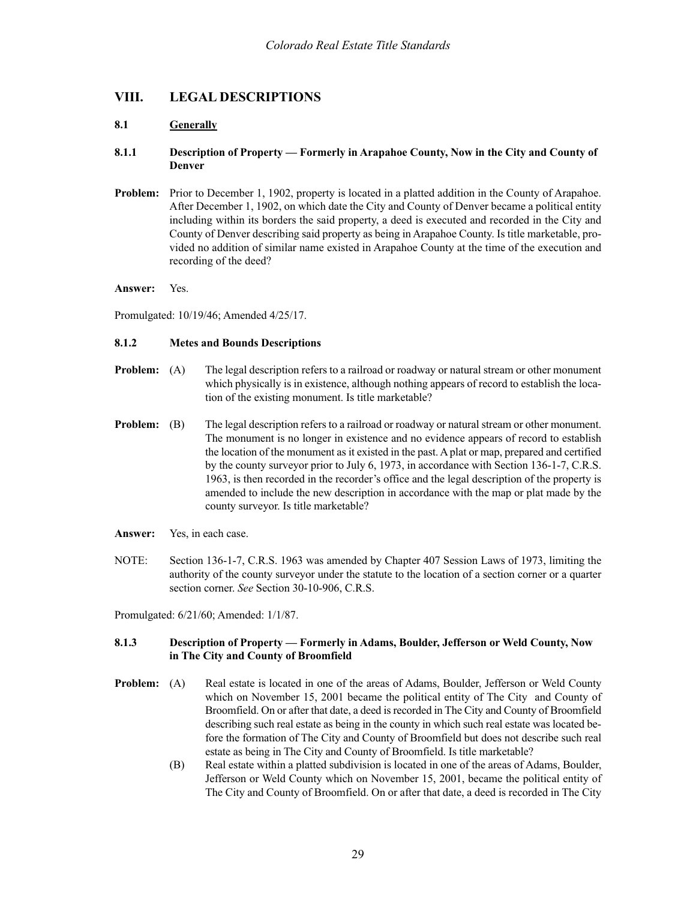## **VIII. LEGAL DESCRIPTIONS**

## **8.1 Generally**

## **8.1.1 Description of Property — Formerly in Arapahoe County, Now in the City and County of Denver**

**Problem:** Prior to December 1, 1902, property is located in a platted addition in the County of Arapahoe. After December 1, 1902, on which date the City and County of Denver became a political entity including within its borders the said property, a deed is executed and recorded in the City and County of Denver describing said property as being in Arapahoe County. Is title marketable, provided no addition of similar name existed in Arapahoe County at the time of the execution and recording of the deed?

### **Answer:** Yes.

Promulgated: 10/19/46; Amended 4/25/17.

### **8.1.2 Metes and Bounds Descriptions**

- **Problem:** (A) The legal description refers to a railroad or roadway or natural stream or other monument which physically is in existence, although nothing appears of record to establish the location of the existing monument. Is title marketable?
- **Problem:** (B) The legal description refers to a railroad or roadway or natural stream or other monument. The monument is no longer in existence and no evidence appears of record to establish the location of the monument as it existed in the past. A plat or map, prepared and certified by the county surveyor prior to July 6, 1973, in accordance with Section 136-1-7, C.R.S. 1963, is then recorded in the recorder's office and the legal description of the property is amended to include the new description in accordance with the map or plat made by the county surveyor. Is title marketable?
- **Answer:** Yes, in each case.
- NOTE: Section 136-1-7, C.R.S. 1963 was amended by Chapter 407 Session Laws of 1973, limiting the authority of the county surveyor under the statute to the location of a section corner or a quarter section corner. *See* Section 30-10-906, C.R.S.

Promulgated: 6/21/60; Amended: 1/1/87.

## **8.1.3 Description of Property — Formerly in Adams, Boulder, Jefferson or Weld County, Now in The City and County of Broomfield**

- **Problem:** (A) Real estate is located in one of the areas of Adams, Boulder, Jefferson or Weld County which on November 15, 2001 became the political entity of The City and County of Broomfield. On or after that date, a deed is recorded in The City and County of Broomfield describing such real estate as being in the county in which such real estate was located before the formation of The City and County of Broomfield but does not describe such real estate as being in The City and County of Broomfield. Is title marketable?
	- (B) Real estate within a platted subdivision is located in one of the areas of Adams, Boulder, Jefferson or Weld County which on November 15, 2001, became the political entity of The City and County of Broomfield. On or after that date, a deed is recorded in The City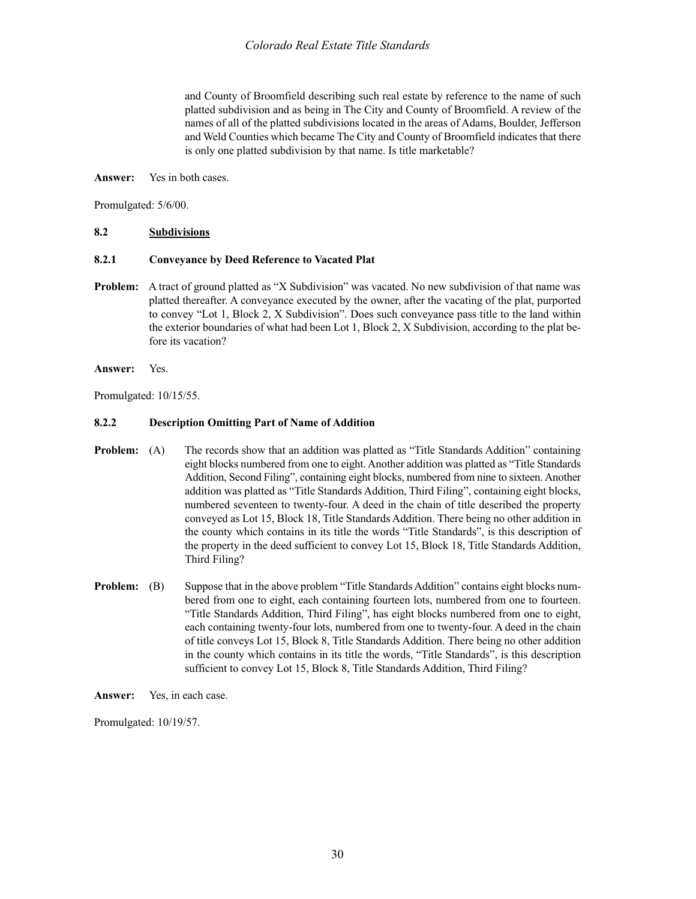and County of Broomfield describing such real estate by reference to the name of such platted subdivision and as being in The City and County of Broomfield. A review of the names of all of the platted subdivisions located in the areas of Adams, Boulder, Jefferson and Weld Counties which became The City and County of Broomfield indicates that there is only one platted subdivision by that name. Is title marketable?

**Answer:** Yes in both cases.

Promulgated: 5/6/00.

## **8.2 Subdivisions**

### **8.2.1 Conveyance by Deed Reference to Vacated Plat**

**Problem:** A tract of ground platted as "X Subdivision" was vacated. No new subdivision of that name was platted thereafter. A conveyance executed by the owner, after the vacating of the plat, purported to convey "Lot 1, Block 2, X Subdivision". Does such conveyance pass title to the land within the exterior boundaries of what had been Lot 1, Block 2, X Subdivision, according to the plat before its vacation?

**Answer:** Yes.

Promulgated: 10/15/55.

### **8.2.2 Description Omitting Part of Name of Addition**

- **Problem:** (A) The records show that an addition was platted as "Title Standards Addition" containing eight blocks numbered from one to eight. Another addition was platted as "Title Standards Addition, Second Filing", containing eight blocks, numbered from nine to sixteen. Another addition was platted as "Title Standards Addition, Third Filing", containing eight blocks, numbered seventeen to twenty-four. A deed in the chain of title described the property conveyed as Lot 15, Block 18, Title Standards Addition. There being no other addition in the county which contains in its title the words "Title Standards", is this description of the property in the deed sufficient to convey Lot 15, Block 18, Title Standards Addition, Third Filing?
- **Problem:** (B) Suppose that in the above problem "Title Standards Addition" contains eight blocks numbered from one to eight, each containing fourteen lots, numbered from one to fourteen. "Title Standards Addition, Third Filing", has eight blocks numbered from one to eight, each containing twenty-four lots, numbered from one to twenty-four. A deed in the chain of title conveys Lot 15, Block 8, Title Standards Addition. There being no other addition in the county which contains in its title the words, "Title Standards", is this description sufficient to convey Lot 15, Block 8, Title Standards Addition, Third Filing?
- **Answer:** Yes, in each case.

Promulgated: 10/19/57.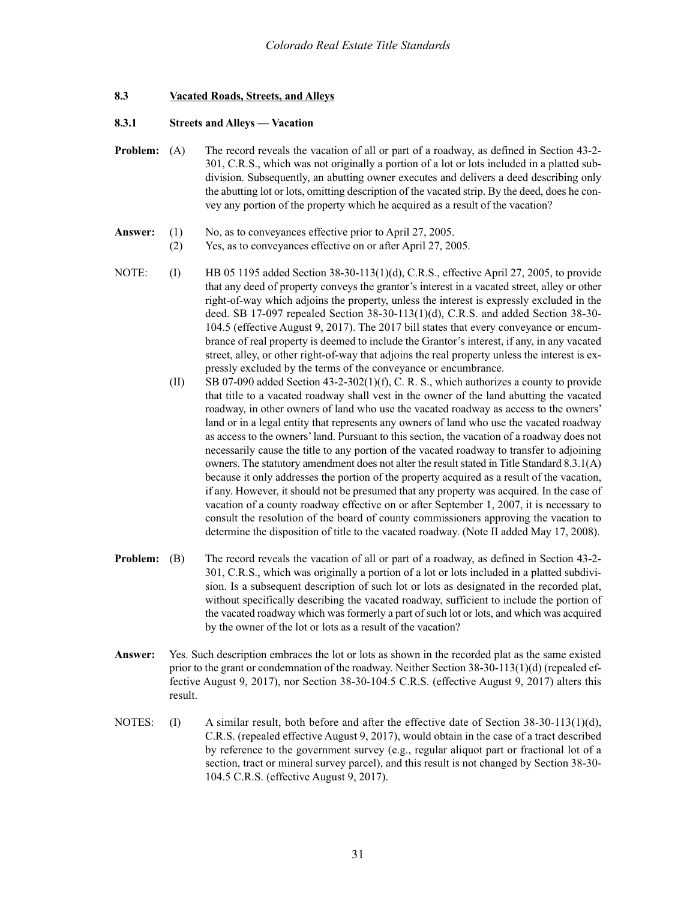## **8.3 Vacated Roads, Streets, and Alleys**

#### **8.3.1 Streets and Alleys — Vacation**

**Problem:** (A) The record reveals the vacation of all or part of a roadway, as defined in Section 43-2-301, C.R.S., which was not originally a portion of a lot or lots included in a platted subdivision. Subsequently, an abutting owner executes and delivers a deed describing only the abutting lot or lots, omitting description of the vacated strip. By the deed, does he convey any portion of the property which he acquired as a result of the vacation?

### Answer: (1) No, as to conveyances effective prior to April 27, 2005.

- (2) Yes, as to conveyances effective on or after April 27, 2005.
- NOTE: (I) HB 05 1195 added Section 38-30-113(1)(d), C.R.S., effective April 27, 2005, to provide that any deed of property conveys the grantor's interest in a vacated street, alley or other right-of-way which adjoins the property, unless the interest is expressly excluded in the deed. SB 17-097 repealed Section 38-30-113(1)(d), C.R.S. and added Section 38-30- 104.5 (effective August 9, 2017). The 2017 bill states that every conveyance or encumbrance of real property is deemed to include the Grantor's interest, if any, in any vacated street, alley, or other right-of-way that adjoins the real property unless the interest is expressly excluded by the terms of the conveyance or encumbrance.
	- (II) SB 07-090 added Section 43-2-302(1)(f), C. R. S., which authorizes a county to provide that title to a vacated roadway shall vest in the owner of the land abutting the vacated roadway, in other owners of land who use the vacated roadway as access to the owners' land or in a legal entity that represents any owners of land who use the vacated roadway as access to the owners' land. Pursuant to this section, the vacation of a roadway does not necessarily cause the title to any portion of the vacated roadway to transfer to adjoining owners. The statutory amendment does not alter the result stated in Title Standard 8.3.1(A) because it only addresses the portion of the property acquired as a result of the vacation, if any. However, it should not be presumed that any property was acquired. In the case of vacation of a county roadway effective on or after September 1, 2007, it is necessary to consult the resolution of the board of county commissioners approving the vacation to determine the disposition of title to the vacated roadway. (Note II added May 17, 2008).
- **Problem:** (B) The record reveals the vacation of all or part of a roadway, as defined in Section 43-2-301, C.R.S., which was originally a portion of a lot or lots included in a platted subdivision. Is a subsequent description of such lot or lots as designated in the recorded plat, without specifically describing the vacated roadway, sufficient to include the portion of the vacated roadway which was formerly a part of such lot or lots, and which was acquired by the owner of the lot or lots as a result of the vacation?
- **Answer:** Yes. Such description embraces the lot or lots as shown in the recorded plat as the same existed prior to the grant or condemnation of the roadway. Neither Section 38-30-113(1)(d) (repealed effective August 9, 2017), nor Section 38-30-104.5 C.R.S. (effective August 9, 2017) alters this result.
- NOTES: (I) A similar result, both before and after the effective date of Section 38-30-113(1)(d), C.R.S. (repealed effective August 9, 2017), would obtain in the case of a tract described by reference to the government survey (e.g., regular aliquot part or fractional lot of a section, tract or mineral survey parcel), and this result is not changed by Section 38-30- 104.5 C.R.S. (effective August 9, 2017).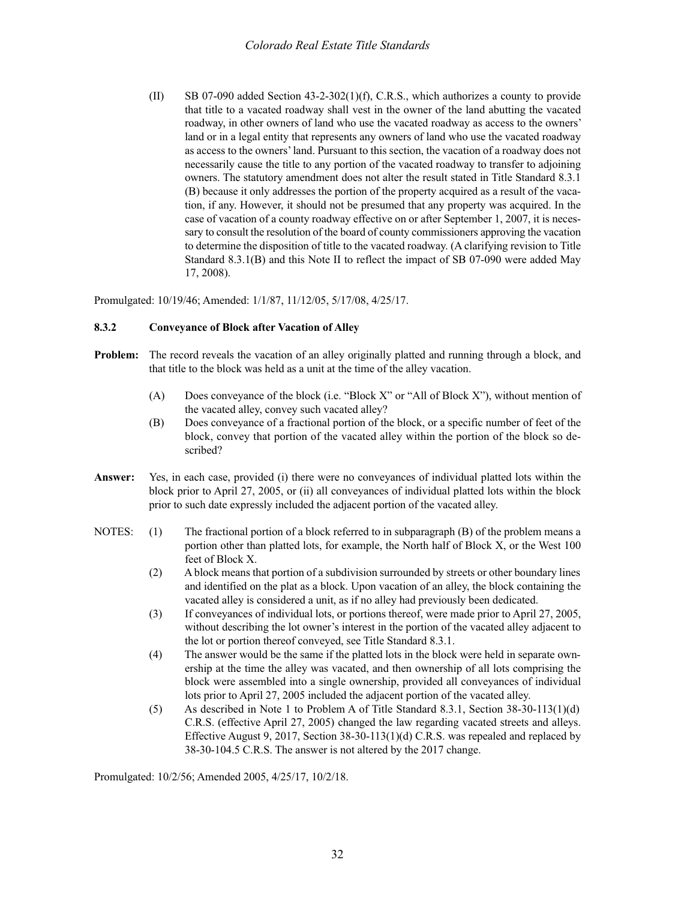(II) SB 07-090 added Section 43-2-302(1)(f), C.R.S., which authorizes a county to provide that title to a vacated roadway shall vest in the owner of the land abutting the vacated roadway, in other owners of land who use the vacated roadway as access to the owners' land or in a legal entity that represents any owners of land who use the vacated roadway as access to the owners' land. Pursuant to this section, the vacation of a roadway does not necessarily cause the title to any portion of the vacated roadway to transfer to adjoining owners. The statutory amendment does not alter the result stated in Title Standard 8.3.1 (B) because it only addresses the portion of the property acquired as a result of the vacation, if any. However, it should not be presumed that any property was acquired. In the case of vacation of a county roadway effective on or after September 1, 2007, it is necessary to consult the resolution of the board of county commissioners approving the vacation to determine the disposition of title to the vacated roadway. (A clarifying revision to Title Standard 8.3.1(B) and this Note II to reflect the impact of SB 07-090 were added May 17, 2008).

Promulgated: 10/19/46; Amended: 1/1/87, 11/12/05, 5/17/08, 4/25/17.

## **8.3.2 Conveyance of Block after Vacation of Alley**

- **Problem:** The record reveals the vacation of an alley originally platted and running through a block, and that title to the block was held as a unit at the time of the alley vacation.
	- (A) Does conveyance of the block (i.e. "Block X" or "All of Block X"), without mention of the vacated alley, convey such vacated alley?
	- (B) Does conveyance of a fractional portion of the block, or a specific number of feet of the block, convey that portion of the vacated alley within the portion of the block so described?
- **Answer:** Yes, in each case, provided (i) there were no conveyances of individual platted lots within the block prior to April 27, 2005, or (ii) all conveyances of individual platted lots within the block prior to such date expressly included the adjacent portion of the vacated alley.
- NOTES: (1) The fractional portion of a block referred to in subparagraph (B) of the problem means a portion other than platted lots, for example, the North half of Block X, or the West 100 feet of Block X.
	- (2) A block means that portion of a subdivision surrounded by streets or other boundary lines and identified on the plat as a block. Upon vacation of an alley, the block containing the vacated alley is considered a unit, as if no alley had previously been dedicated.
	- (3) If conveyances of individual lots, or portions thereof, were made prior to April 27, 2005, without describing the lot owner's interest in the portion of the vacated alley adjacent to the lot or portion thereof conveyed, see Title Standard 8.3.1.
	- (4) The answer would be the same if the platted lots in the block were held in separate ownership at the time the alley was vacated, and then ownership of all lots comprising the block were assembled into a single ownership, provided all conveyances of individual lots prior to April 27, 2005 included the adjacent portion of the vacated alley.
	- (5) As described in Note 1 to Problem A of Title Standard 8.3.1, Section 38-30-113(1)(d) C.R.S. (effective April 27, 2005) changed the law regarding vacated streets and alleys. Effective August 9, 2017, Section 38-30-113(1)(d) C.R.S. was repealed and replaced by 38-30-104.5 C.R.S. The answer is not altered by the 2017 change.

Promulgated: 10/2/56; Amended 2005, 4/25/17, 10/2/18.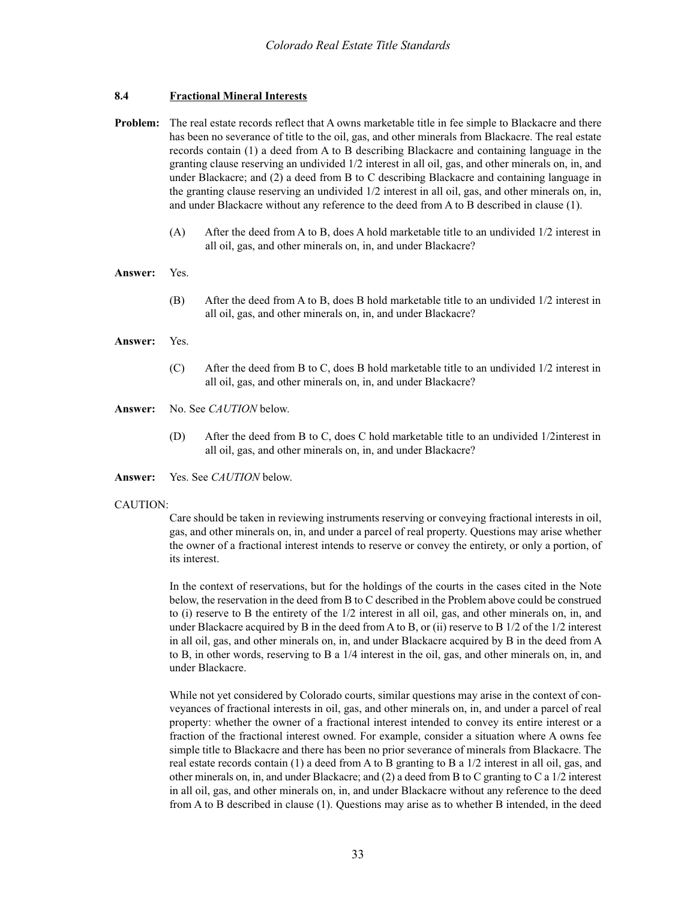## **8.4 Fractional Mineral Interests**

- **Problem:** The real estate records reflect that A owns marketable title in fee simple to Blackacre and there has been no severance of title to the oil, gas, and other minerals from Blackacre. The real estate records contain (1) a deed from A to B describing Blackacre and containing language in the granting clause reserving an undivided 1/2 interest in all oil, gas, and other minerals on, in, and under Blackacre; and (2) a deed from B to C describing Blackacre and containing language in the granting clause reserving an undivided 1/2 interest in all oil, gas, and other minerals on, in, and under Blackacre without any reference to the deed from A to B described in clause (1).
	- (A) After the deed from A to B, does A hold marketable title to an undivided 1/2 interest in all oil, gas, and other minerals on, in, and under Blackacre?

#### **Answer:** Yes.

 (B) After the deed from A to B, does B hold marketable title to an undivided 1/2 interest in all oil, gas, and other minerals on, in, and under Blackacre?

#### **Answer:** Yes.

 (C) After the deed from B to C, does B hold marketable title to an undivided 1/2 interest in all oil, gas, and other minerals on, in, and under Blackacre?

**Answer:** No. See *CAUTION* below.

 (D) After the deed from B to C, does C hold marketable title to an undivided 1/2interest in all oil, gas, and other minerals on, in, and under Blackacre?

**Answer:** Yes. See *CAUTION* below.

#### CAUTION:

 Care should be taken in reviewing instruments reserving or conveying fractional interests in oil, gas, and other minerals on, in, and under a parcel of real property. Questions may arise whether the owner of a fractional interest intends to reserve or convey the entirety, or only a portion, of its interest.

 In the context of reservations, but for the holdings of the courts in the cases cited in the Note below, the reservation in the deed from B to C described in the Problem above could be construed to (i) reserve to B the entirety of the 1/2 interest in all oil, gas, and other minerals on, in, and under Blackacre acquired by B in the deed from A to B, or (ii) reserve to B  $1/2$  of the  $1/2$  interest in all oil, gas, and other minerals on, in, and under Blackacre acquired by B in the deed from A to B, in other words, reserving to B a 1/4 interest in the oil, gas, and other minerals on, in, and under Blackacre.

 While not yet considered by Colorado courts, similar questions may arise in the context of conveyances of fractional interests in oil, gas, and other minerals on, in, and under a parcel of real property: whether the owner of a fractional interest intended to convey its entire interest or a fraction of the fractional interest owned. For example, consider a situation where A owns fee simple title to Blackacre and there has been no prior severance of minerals from Blackacre. The real estate records contain (1) a deed from A to B granting to B a 1/2 interest in all oil, gas, and other minerals on, in, and under Blackacre; and (2) a deed from B to C granting to C a 1/2 interest in all oil, gas, and other minerals on, in, and under Blackacre without any reference to the deed from A to B described in clause (1). Questions may arise as to whether B intended, in the deed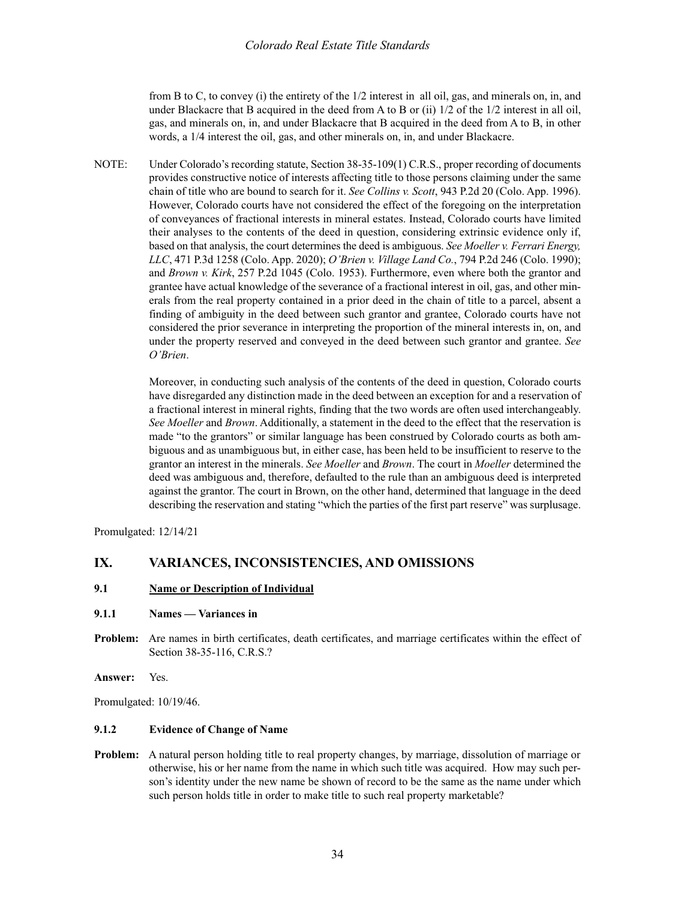from B to C, to convey (i) the entirety of the 1/2 interest in all oil, gas, and minerals on, in, and under Blackacre that B acquired in the deed from A to B or (ii) 1/2 of the 1/2 interest in all oil, gas, and minerals on, in, and under Blackacre that B acquired in the deed from A to B, in other words, a 1/4 interest the oil, gas, and other minerals on, in, and under Blackacre.

NOTE: Under Colorado's recording statute, Section 38-35-109(1) C.R.S., proper recording of documents provides constructive notice of interests affecting title to those persons claiming under the same chain of title who are bound to search for it. *See Collins v. Scott*, 943 P.2d 20 (Colo. App. 1996). However, Colorado courts have not considered the effect of the foregoing on the interpretation of conveyances of fractional interests in mineral estates. Instead, Colorado courts have limited their analyses to the contents of the deed in question, considering extrinsic evidence only if, based on that analysis, the court determines the deed is ambiguous. *See Moeller v. Ferrari Energy, LLC*, 471 P.3d 1258 (Colo. App. 2020); *O'Brien v. Village Land Co.*, 794 P.2d 246 (Colo. 1990); and *Brown v. Kirk*, 257 P.2d 1045 (Colo. 1953). Furthermore, even where both the grantor and grantee have actual knowledge of the severance of a fractional interest in oil, gas, and other minerals from the real property contained in a prior deed in the chain of title to a parcel, absent a finding of ambiguity in the deed between such grantor and grantee, Colorado courts have not considered the prior severance in interpreting the proportion of the mineral interests in, on, and under the property reserved and conveyed in the deed between such grantor and grantee. *See O'Brien*.

> Moreover, in conducting such analysis of the contents of the deed in question, Colorado courts have disregarded any distinction made in the deed between an exception for and a reservation of a fractional interest in mineral rights, finding that the two words are often used interchangeably. *See Moeller* and *Brown*. Additionally, a statement in the deed to the effect that the reservation is made "to the grantors" or similar language has been construed by Colorado courts as both ambiguous and as unambiguous but, in either case, has been held to be insufficient to reserve to the grantor an interest in the minerals. *See Moeller* and *Brown*. The court in *Moeller* determined the deed was ambiguous and, therefore, defaulted to the rule than an ambiguous deed is interpreted against the grantor. The court in Brown, on the other hand, determined that language in the deed describing the reservation and stating "which the parties of the first part reserve" was surplusage.

Promulgated: 12/14/21

## **IX. VARIANCES, INCONSISTENCIES, AND OMISSIONS**

- **9.1 Name or Description of Individual**
- **9.1.1 Names Variances in**
- **Problem:** Are names in birth certificates, death certificates, and marriage certificates within the effect of Section 38-35-116, C.R.S.?
- **Answer:** Yes.

Promulgated: 10/19/46.

#### **9.1.2 Evidence of Change of Name**

**Problem:** A natural person holding title to real property changes, by marriage, dissolution of marriage or otherwise, his or her name from the name in which such title was acquired. How may such person's identity under the new name be shown of record to be the same as the name under which such person holds title in order to make title to such real property marketable?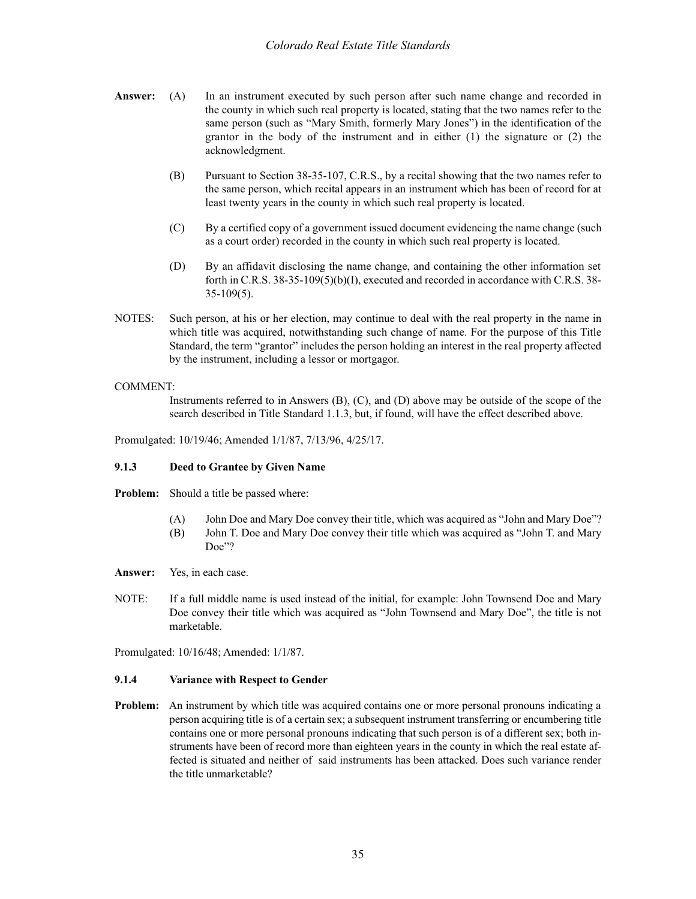- **Answer:** (A) In an instrument executed by such person after such name change and recorded in the county in which such real property is located, stating that the two names refer to the same person (such as "Mary Smith, formerly Mary Jones") in the identification of the grantor in the body of the instrument and in either (1) the signature or (2) the acknowledgment.
	- (B) Pursuant to Section 38-35-107, C.R.S., by a recital showing that the two names refer to the same person, which recital appears in an instrument which has been of record for at least twenty years in the county in which such real property is located.
	- (C) By a certified copy of a government issued document evidencing the name change (such as a court order) recorded in the county in which such real property is located.
	- (D) By an affidavit disclosing the name change, and containing the other information set forth in C.R.S. 38-35-109(5)(b)(I), executed and recorded in accordance with C.R.S. 38- 35-109(5).
- NOTES: Such person, at his or her election, may continue to deal with the real property in the name in which title was acquired, notwithstanding such change of name. For the purpose of this Title Standard, the term "grantor" includes the person holding an interest in the real property affected by the instrument, including a lessor or mortgagor.

#### COMMENT:

 Instruments referred to in Answers (B), (C), and (D) above may be outside of the scope of the search described in Title Standard 1.1.3, but, if found, will have the effect described above.

Promulgated: 10/19/46; Amended 1/1/87, 7/13/96, 4/25/17.

## **9.1.3 Deed to Grantee by Given Name**

**Problem:** Should a title be passed where:

- (A) John Doe and Mary Doe convey their title, which was acquired as "John and Mary Doe"?
- (B) John T. Doe and Mary Doe convey their title which was acquired as "John T. and Mary Doe"?
- **Answer:** Yes, in each case.
- NOTE: If a full middle name is used instead of the initial, for example: John Townsend Doe and Mary Doe convey their title which was acquired as "John Townsend and Mary Doe", the title is not marketable.

Promulgated: 10/16/48; Amended: 1/1/87.

#### **9.1.4 Variance with Respect to Gender**

**Problem:** An instrument by which title was acquired contains one or more personal pronouns indicating a person acquiring title is of a certain sex; a subsequent instrument transferring or encumbering title contains one or more personal pronouns indicating that such person is of a different sex; both instruments have been of record more than eighteen years in the county in which the real estate affected is situated and neither of said instruments has been attacked. Does such variance render the title unmarketable?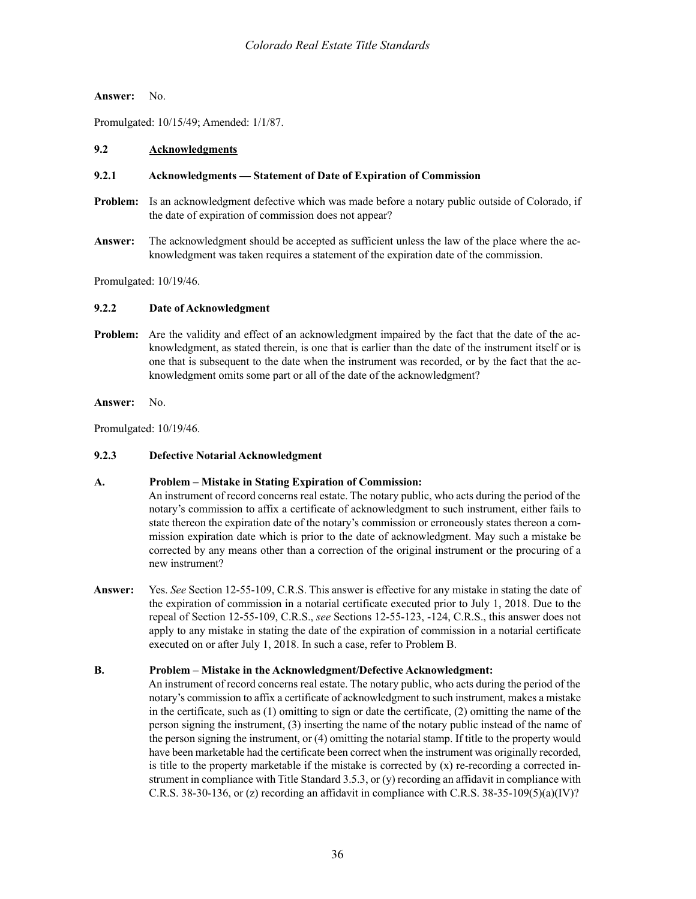## **Answer:** No.

Promulgated: 10/15/49; Amended: 1/1/87.

## **9.2 Acknowledgments**

## **9.2.1 Acknowledgments — Statement of Date of Expiration of Commission**

- **Problem:** Is an acknowledgment defective which was made before a notary public outside of Colorado, if the date of expiration of commission does not appear?
- **Answer:** The acknowledgment should be accepted as sufficient unless the law of the place where the acknowledgment was taken requires a statement of the expiration date of the commission.

Promulgated: 10/19/46.

## **9.2.2 Date of Acknowledgment**

- **Problem:** Are the validity and effect of an acknowledgment impaired by the fact that the date of the acknowledgment, as stated therein, is one that is earlier than the date of the instrument itself or is one that is subsequent to the date when the instrument was recorded, or by the fact that the acknowledgment omits some part or all of the date of the acknowledgment?
- **Answer:** No.

Promulgated: 10/19/46.

## **9.2.3 Defective Notarial Acknowledgment**

## **A. Problem – Mistake in Stating Expiration of Commission:**

- An instrument of record concerns real estate. The notary public, who acts during the period of the notary's commission to affix a certificate of acknowledgment to such instrument, either fails to state thereon the expiration date of the notary's commission or erroneously states thereon a commission expiration date which is prior to the date of acknowledgment. May such a mistake be corrected by any means other than a correction of the original instrument or the procuring of a new instrument?
- **Answer:** Yes. *See* Section 12-55-109, C.R.S. This answer is effective for any mistake in stating the date of the expiration of commission in a notarial certificate executed prior to July 1, 2018. Due to the repeal of Section 12-55-109, C.R.S., *see* Sections 12-55-123, -124, C.R.S., this answer does not apply to any mistake in stating the date of the expiration of commission in a notarial certificate executed on or after July 1, 2018. In such a case, refer to Problem B.

## **B. Problem – Mistake in the Acknowledgment/Defective Acknowledgment:**

 An instrument of record concerns real estate. The notary public, who acts during the period of the notary's commission to affix a certificate of acknowledgment to such instrument, makes a mistake in the certificate, such as (1) omitting to sign or date the certificate, (2) omitting the name of the person signing the instrument, (3) inserting the name of the notary public instead of the name of the person signing the instrument, or (4) omitting the notarial stamp. If title to the property would have been marketable had the certificate been correct when the instrument was originally recorded, is title to the property marketable if the mistake is corrected by  $(x)$  re-recording a corrected instrument in compliance with Title Standard 3.5.3, or (y) recording an affidavit in compliance with C.R.S.  $38-30-136$ , or (z) recording an affidavit in compliance with C.R.S.  $38-35-109(5)(a)(IV)?$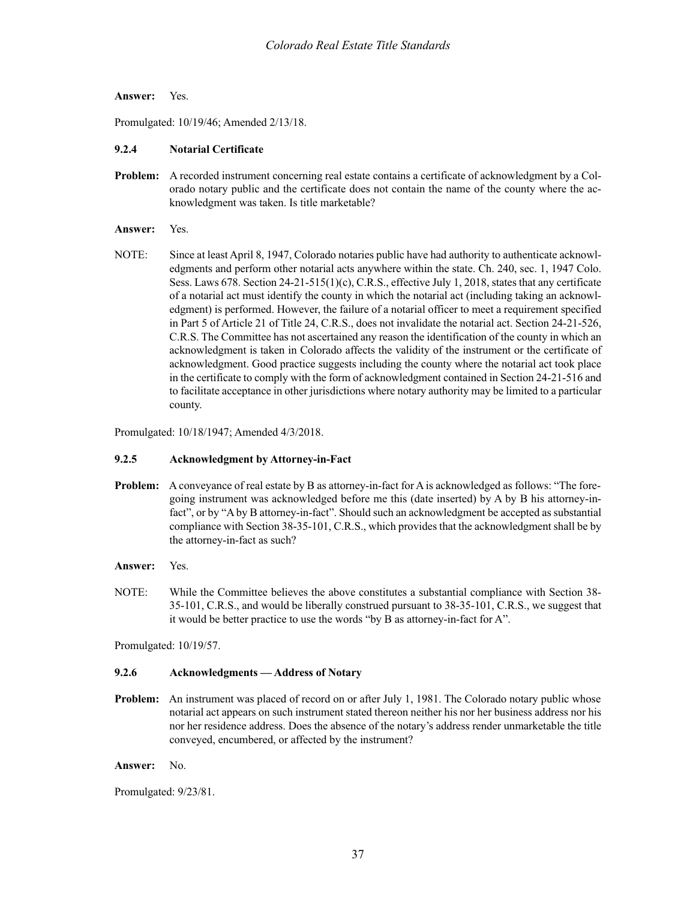## **Answer:** Yes.

Promulgated: 10/19/46; Amended 2/13/18.

## **9.2.4 Notarial Certificate**

**Problem:** A recorded instrument concerning real estate contains a certificate of acknowledgment by a Colorado notary public and the certificate does not contain the name of the county where the acknowledgment was taken. Is title marketable?

## **Answer:** Yes.

NOTE: Since at least April 8, 1947, Colorado notaries public have had authority to authenticate acknowledgments and perform other notarial acts anywhere within the state. Ch. 240, sec. 1, 1947 Colo. Sess. Laws 678. Section 24-21-515(1)(c), C.R.S., effective July 1, 2018, states that any certificate of a notarial act must identify the county in which the notarial act (including taking an acknowledgment) is performed. However, the failure of a notarial officer to meet a requirement specified in Part 5 of Article 21 of Title 24, C.R.S., does not invalidate the notarial act. Section 24-21-526, C.R.S. The Committee has not ascertained any reason the identification of the county in which an acknowledgment is taken in Colorado affects the validity of the instrument or the certificate of acknowledgment. Good practice suggests including the county where the notarial act took place in the certificate to comply with the form of acknowledgment contained in Section 24-21-516 and to facilitate acceptance in other jurisdictions where notary authority may be limited to a particular county.

Promulgated: 10/18/1947; Amended 4/3/2018.

## **9.2.5 Acknowledgment by Attorney-in-Fact**

**Problem:** A conveyance of real estate by B as attorney-in-fact for A is acknowledged as follows: "The foregoing instrument was acknowledged before me this (date inserted) by A by B his attorney-infact", or by "A by B attorney-in-fact". Should such an acknowledgment be accepted as substantial compliance with Section 38-35-101, C.R.S., which provides that the acknowledgment shall be by the attorney-in-fact as such?

## **Answer:** Yes.

NOTE: While the Committee believes the above constitutes a substantial compliance with Section 38- 35-101, C.R.S., and would be liberally construed pursuant to 38-35-101, C.R.S., we suggest that it would be better practice to use the words "by B as attorney-in-fact for A".

Promulgated: 10/19/57.

## **9.2.6 Acknowledgments — Address of Notary**

**Problem:** An instrument was placed of record on or after July 1, 1981. The Colorado notary public whose notarial act appears on such instrument stated thereon neither his nor her business address nor his nor her residence address. Does the absence of the notary's address render unmarketable the title conveyed, encumbered, or affected by the instrument?

## **Answer:** No.

Promulgated: 9/23/81.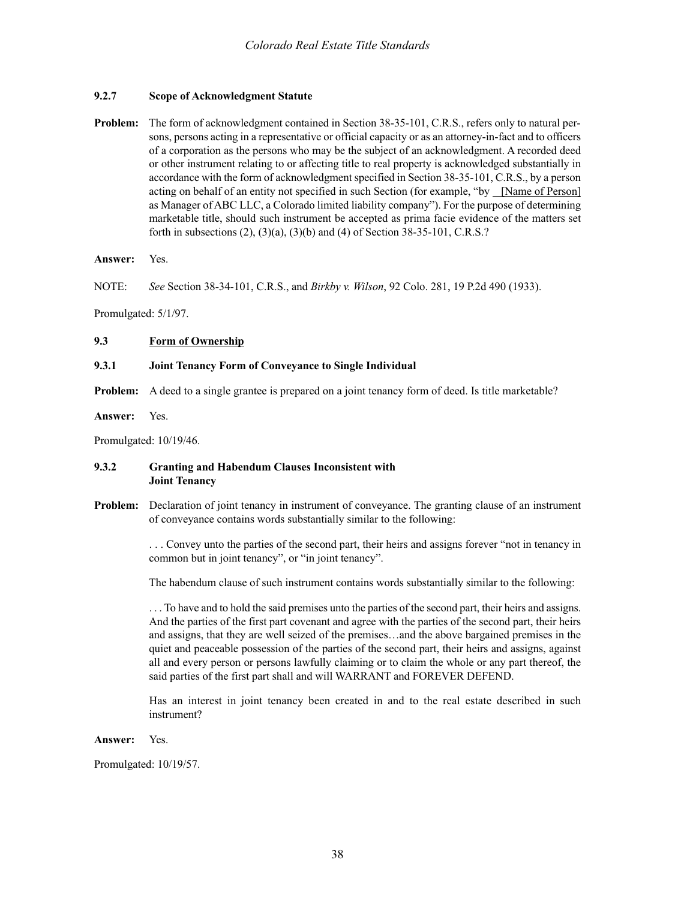### **9.2.7 Scope of Acknowledgment Statute**

**Problem:** The form of acknowledgment contained in Section 38-35-101, C.R.S., refers only to natural persons, persons acting in a representative or official capacity or as an attorney-in-fact and to officers of a corporation as the persons who may be the subject of an acknowledgment. A recorded deed or other instrument relating to or affecting title to real property is acknowledged substantially in accordance with the form of acknowledgment specified in Section 38-35-101, C.R.S., by a person acting on behalf of an entity not specified in such Section (for example, "by [Name of Person] as Manager of ABC LLC, a Colorado limited liability company"). For the purpose of determining marketable title, should such instrument be accepted as prima facie evidence of the matters set forth in subsections (2), (3)(a), (3)(b) and (4) of Section 38-35-101, C.R.S.?

#### **Answer:** Yes.

NOTE: *See* Section 38-34-101, C.R.S., and *Birkby v. Wilson*, 92 Colo. 281, 19 P.2d 490 (1933).

Promulgated: 5/1/97.

### **9.3 Form of Ownership**

### **9.3.1 Joint Tenancy Form of Conveyance to Single Individual**

**Problem:** A deed to a single grantee is prepared on a joint tenancy form of deed. Is title marketable?

**Answer:** Yes.

Promulgated: 10/19/46.

### **9.3.2 Granting and Habendum Clauses Inconsistent with Joint Tenancy**

**Problem:** Declaration of joint tenancy in instrument of conveyance. The granting clause of an instrument of conveyance contains words substantially similar to the following:

> . . . Convey unto the parties of the second part, their heirs and assigns forever "not in tenancy in common but in joint tenancy", or "in joint tenancy".

The habendum clause of such instrument contains words substantially similar to the following:

 . . . To have and to hold the said premises unto the parties of the second part, their heirs and assigns. And the parties of the first part covenant and agree with the parties of the second part, their heirs and assigns, that they are well seized of the premises…and the above bargained premises in the quiet and peaceable possession of the parties of the second part, their heirs and assigns, against all and every person or persons lawfully claiming or to claim the whole or any part thereof, the said parties of the first part shall and will WARRANT and FOREVER DEFEND.

 Has an interest in joint tenancy been created in and to the real estate described in such instrument?

**Answer:** Yes.

Promulgated: 10/19/57.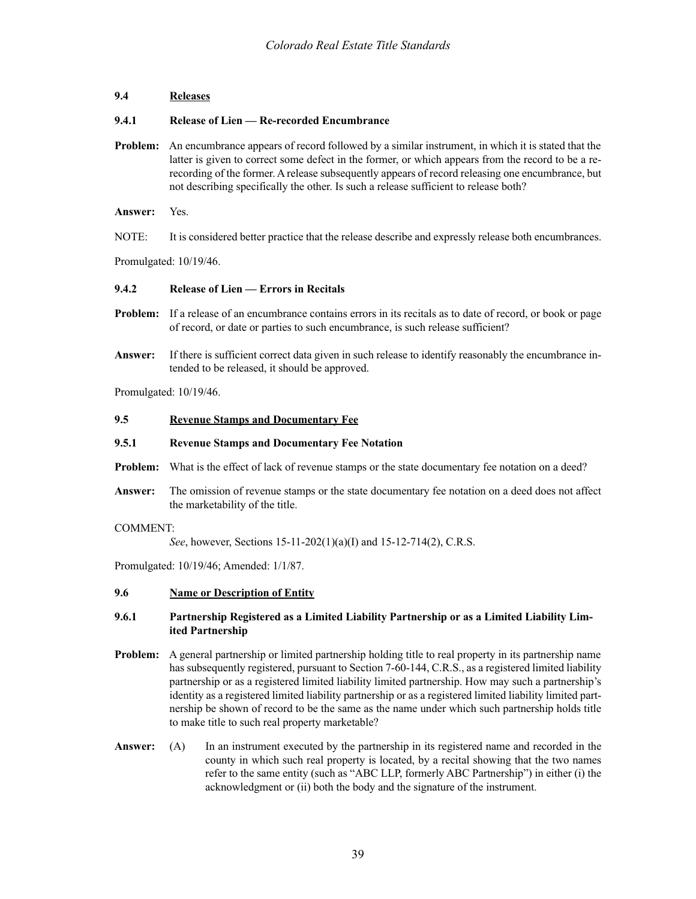## **9.4 Releases**

## **9.4.1 Release of Lien — Re-recorded Encumbrance**

- **Problem:** An encumbrance appears of record followed by a similar instrument, in which it is stated that the latter is given to correct some defect in the former, or which appears from the record to be a rerecording of the former. A release subsequently appears of record releasing one encumbrance, but not describing specifically the other. Is such a release sufficient to release both?
- **Answer:** Yes.
- NOTE: It is considered better practice that the release describe and expressly release both encumbrances.

Promulgated: 10/19/46.

### **9.4.2 Release of Lien — Errors in Recitals**

- **Problem:** If a release of an encumbrance contains errors in its recitals as to date of record, or book or page of record, or date or parties to such encumbrance, is such release sufficient?
- **Answer:** If there is sufficient correct data given in such release to identify reasonably the encumbrance intended to be released, it should be approved.

Promulgated: 10/19/46.

## **9.5 Revenue Stamps and Documentary Fee**

### **9.5.1 Revenue Stamps and Documentary Fee Notation**

- **Problem:** What is the effect of lack of revenue stamps or the state documentary fee notation on a deed?
- **Answer:** The omission of revenue stamps or the state documentary fee notation on a deed does not affect the marketability of the title.

#### COMMENT:

 *See*, however, Sections 15-11-202(1)(a)(I) and 15-12-714(2), C.R.S.

Promulgated: 10/19/46; Amended: 1/1/87.

## **9.6 Name or Description of Entity**

### **9.6.1 Partnership Registered as a Limited Liability Partnership or as a Limited Liability Limited Partnership**

- **Problem:** A general partnership or limited partnership holding title to real property in its partnership name has subsequently registered, pursuant to Section 7-60-144, C.R.S., as a registered limited liability partnership or as a registered limited liability limited partnership. How may such a partnership's identity as a registered limited liability partnership or as a registered limited liability limited partnership be shown of record to be the same as the name under which such partnership holds title to make title to such real property marketable?
- **Answer:** (A) In an instrument executed by the partnership in its registered name and recorded in the county in which such real property is located, by a recital showing that the two names refer to the same entity (such as "ABC LLP, formerly ABC Partnership") in either (i) the acknowledgment or (ii) both the body and the signature of the instrument.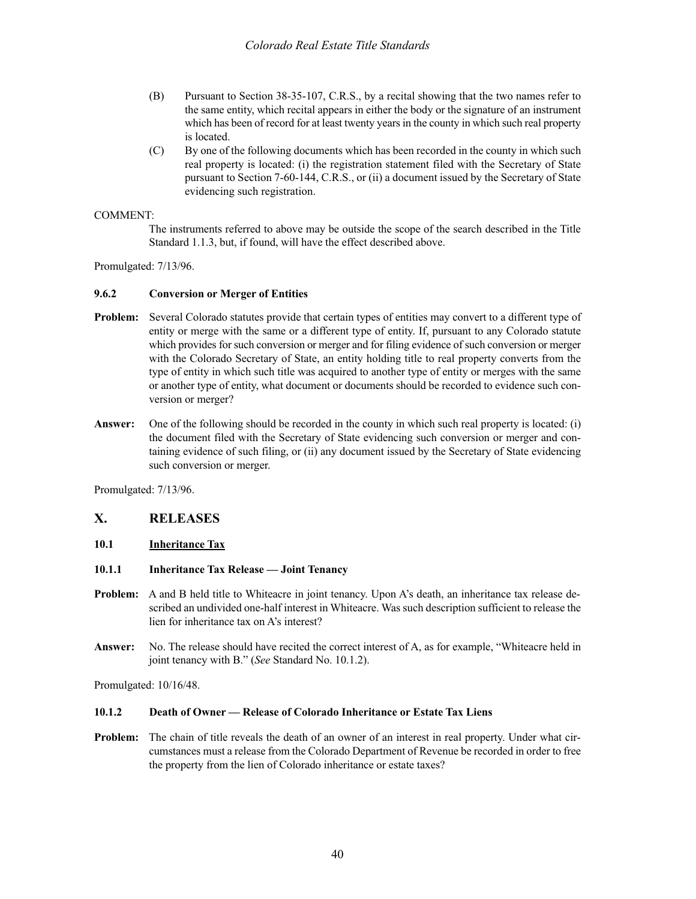- (B) Pursuant to Section 38-35-107, C.R.S., by a recital showing that the two names refer to the same entity, which recital appears in either the body or the signature of an instrument which has been of record for at least twenty years in the county in which such real property is located.
- (C) By one of the following documents which has been recorded in the county in which such real property is located: (i) the registration statement filed with the Secretary of State pursuant to Section 7-60-144, C.R.S., or (ii) a document issued by the Secretary of State evidencing such registration.

## COMMENT:

 The instruments referred to above may be outside the scope of the search described in the Title Standard 1.1.3, but, if found, will have the effect described above.

Promulgated: 7/13/96.

## **9.6.2 Conversion or Merger of Entities**

- **Problem:** Several Colorado statutes provide that certain types of entities may convert to a different type of entity or merge with the same or a different type of entity. If, pursuant to any Colorado statute which provides for such conversion or merger and for filing evidence of such conversion or merger with the Colorado Secretary of State, an entity holding title to real property converts from the type of entity in which such title was acquired to another type of entity or merges with the same or another type of entity, what document or documents should be recorded to evidence such conversion or merger?
- **Answer:** One of the following should be recorded in the county in which such real property is located: (i) the document filed with the Secretary of State evidencing such conversion or merger and containing evidence of such filing, or (ii) any document issued by the Secretary of State evidencing such conversion or merger.

Promulgated: 7/13/96.

## **X. RELEASES**

## **10.1 Inheritance Tax**

- **10.1.1 Inheritance Tax Release Joint Tenancy**
- **Problem:** A and B held title to Whiteacre in joint tenancy. Upon A's death, an inheritance tax release described an undivided one-half interest in Whiteacre. Was such description sufficient to release the lien for inheritance tax on A's interest?
- **Answer:** No. The release should have recited the correct interest of A, as for example, "Whiteacre held in joint tenancy with B." (*See* Standard No. 10.1.2).

Promulgated: 10/16/48.

#### **10.1.2 Death of Owner — Release of Colorado Inheritance or Estate Tax Liens**

**Problem:** The chain of title reveals the death of an owner of an interest in real property. Under what circumstances must a release from the Colorado Department of Revenue be recorded in order to free the property from the lien of Colorado inheritance or estate taxes?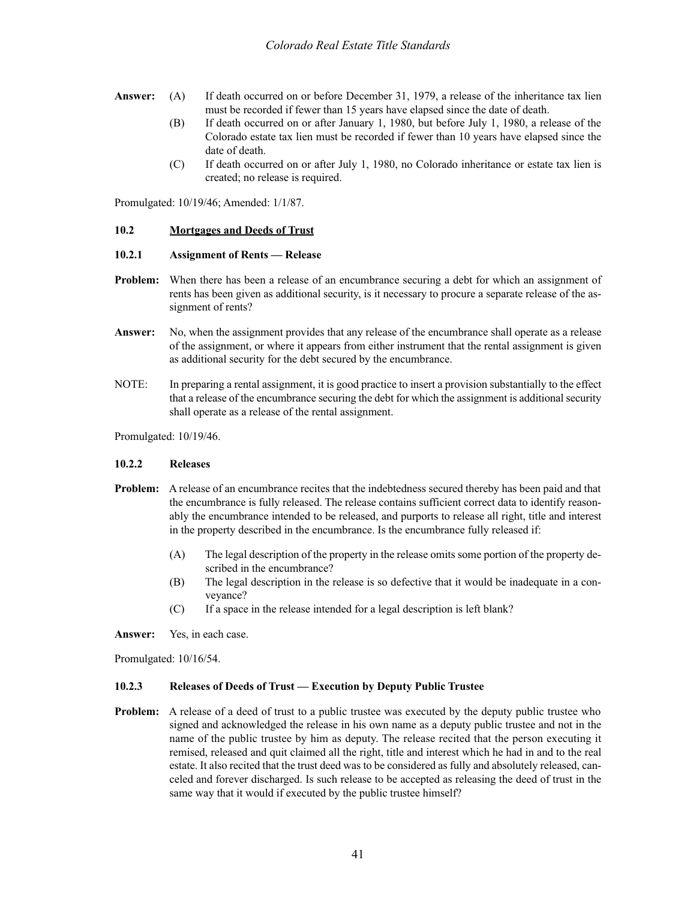- **Answer:** (A) If death occurred on or before December 31, 1979, a release of the inheritance tax lien must be recorded if fewer than 15 years have elapsed since the date of death.
	- (B) If death occurred on or after January 1, 1980, but before July 1, 1980, a release of the Colorado estate tax lien must be recorded if fewer than 10 years have elapsed since the date of death.
	- (C) If death occurred on or after July 1, 1980, no Colorado inheritance or estate tax lien is created; no release is required.

Promulgated: 10/19/46; Amended: 1/1/87.

#### **10.2 Mortgages and Deeds of Trust**

#### **10.2.1 Assignment of Rents — Release**

- **Problem:** When there has been a release of an encumbrance securing a debt for which an assignment of rents has been given as additional security, is it necessary to procure a separate release of the assignment of rents?
- **Answer:** No, when the assignment provides that any release of the encumbrance shall operate as a release of the assignment, or where it appears from either instrument that the rental assignment is given as additional security for the debt secured by the encumbrance.
- NOTE: In preparing a rental assignment, it is good practice to insert a provision substantially to the effect that a release of the encumbrance securing the debt for which the assignment is additional security shall operate as a release of the rental assignment.

Promulgated: 10/19/46.

#### **10.2.2 Releases**

- **Problem:** A release of an encumbrance recites that the indebtedness secured thereby has been paid and that the encumbrance is fully released. The release contains sufficient correct data to identify reasonably the encumbrance intended to be released, and purports to release all right, title and interest in the property described in the encumbrance. Is the encumbrance fully released if:
	- (A) The legal description of the property in the release omits some portion of the property described in the encumbrance?
	- (B) The legal description in the release is so defective that it would be inadequate in a conveyance?
	- (C) If a space in the release intended for a legal description is left blank?

**Answer:** Yes, in each case.

Promulgated: 10/16/54.

#### **10.2.3 Releases of Deeds of Trust — Execution by Deputy Public Trustee**

**Problem:** A release of a deed of trust to a public trustee was executed by the deputy public trustee who signed and acknowledged the release in his own name as a deputy public trustee and not in the name of the public trustee by him as deputy. The release recited that the person executing it remised, released and quit claimed all the right, title and interest which he had in and to the real estate. It also recited that the trust deed was to be considered as fully and absolutely released, canceled and forever discharged. Is such release to be accepted as releasing the deed of trust in the same way that it would if executed by the public trustee himself?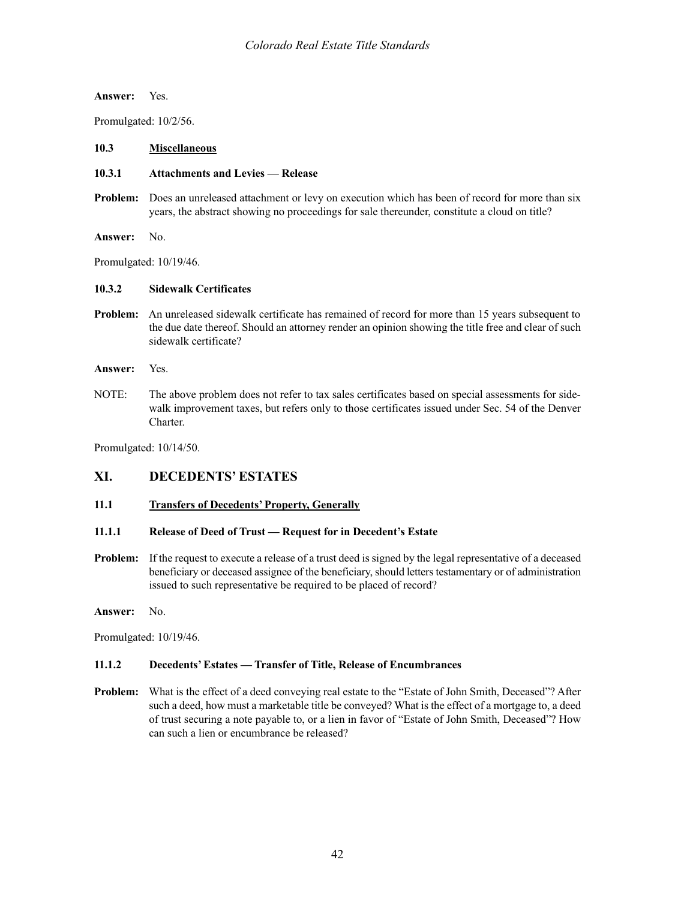### **Answer:** Yes.

Promulgated: 10/2/56.

### **10.3 Miscellaneous**

#### **10.3.1 Attachments and Levies — Release**

**Problem:** Does an unreleased attachment or levy on execution which has been of record for more than six years, the abstract showing no proceedings for sale thereunder, constitute a cloud on title?

**Answer:** No.

Promulgated: 10/19/46.

### **10.3.2 Sidewalk Certificates**

**Problem:** An unreleased sidewalk certificate has remained of record for more than 15 years subsequent to the due date thereof. Should an attorney render an opinion showing the title free and clear of such sidewalk certificate?

**Answer:** Yes.

NOTE: The above problem does not refer to tax sales certificates based on special assessments for sidewalk improvement taxes, but refers only to those certificates issued under Sec. 54 of the Denver Charter.

Promulgated: 10/14/50.

## **XI. DECEDENTS' ESTATES**

## **11.1 Transfers of Decedents' Property, Generally**

## **11.1.1 Release of Deed of Trust — Request for in Decedent's Estate**

**Problem:** If the request to execute a release of a trust deed is signed by the legal representative of a deceased beneficiary or deceased assignee of the beneficiary, should letters testamentary or of administration issued to such representative be required to be placed of record?

**Answer:** No.

Promulgated: 10/19/46.

#### **11.1.2 Decedents' Estates — Transfer of Title, Release of Encumbrances**

**Problem:** What is the effect of a deed conveying real estate to the "Estate of John Smith, Deceased"? After such a deed, how must a marketable title be conveyed? What is the effect of a mortgage to, a deed of trust securing a note payable to, or a lien in favor of "Estate of John Smith, Deceased"? How can such a lien or encumbrance be released?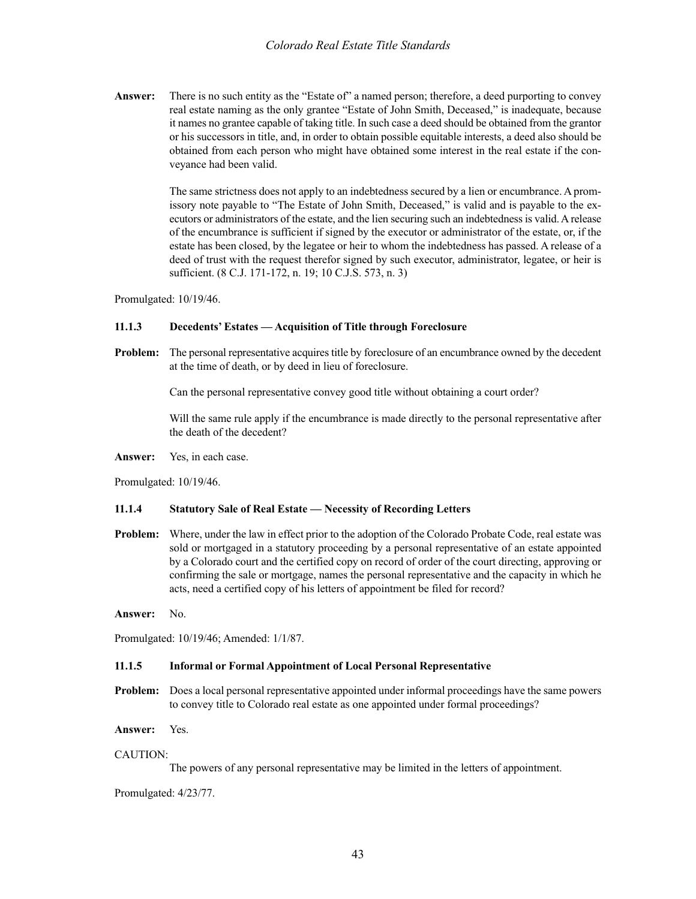**Answer:** There is no such entity as the "Estate of" a named person; therefore, a deed purporting to convey real estate naming as the only grantee "Estate of John Smith, Deceased," is inadequate, because it names no grantee capable of taking title. In such case a deed should be obtained from the grantor or his successors in title, and, in order to obtain possible equitable interests, a deed also should be obtained from each person who might have obtained some interest in the real estate if the conveyance had been valid.

> The same strictness does not apply to an indebtedness secured by a lien or encumbrance. A promissory note payable to "The Estate of John Smith, Deceased," is valid and is payable to the executors or administrators of the estate, and the lien securing such an indebtedness is valid. A release of the encumbrance is sufficient if signed by the executor or administrator of the estate, or, if the estate has been closed, by the legatee or heir to whom the indebtedness has passed. A release of a deed of trust with the request therefor signed by such executor, administrator, legatee, or heir is sufficient. (8 C.J. 171-172, n. 19; 10 C.J.S. 573, n. 3)

Promulgated: 10/19/46.

#### **11.1.3 Decedents' Estates — Acquisition of Title through Foreclosure**

**Problem:** The personal representative acquires title by foreclosure of an encumbrance owned by the decedent at the time of death, or by deed in lieu of foreclosure.

Can the personal representative convey good title without obtaining a court order?

 Will the same rule apply if the encumbrance is made directly to the personal representative after the death of the decedent?

**Answer:** Yes, in each case.

Promulgated: 10/19/46.

## **11.1.4 Statutory Sale of Real Estate — Necessity of Recording Letters**

- **Problem:** Where, under the law in effect prior to the adoption of the Colorado Probate Code, real estate was sold or mortgaged in a statutory proceeding by a personal representative of an estate appointed by a Colorado court and the certified copy on record of order of the court directing, approving or confirming the sale or mortgage, names the personal representative and the capacity in which he acts, need a certified copy of his letters of appointment be filed for record?
- **Answer:** No.

Promulgated: 10/19/46; Amended: 1/1/87.

#### **11.1.5 Informal or Formal Appointment of Local Personal Representative**

- **Problem:** Does a local personal representative appointed under informal proceedings have the same powers to convey title to Colorado real estate as one appointed under formal proceedings?
- **Answer:** Yes.

#### CAUTION:

The powers of any personal representative may be limited in the letters of appointment.

Promulgated: 4/23/77.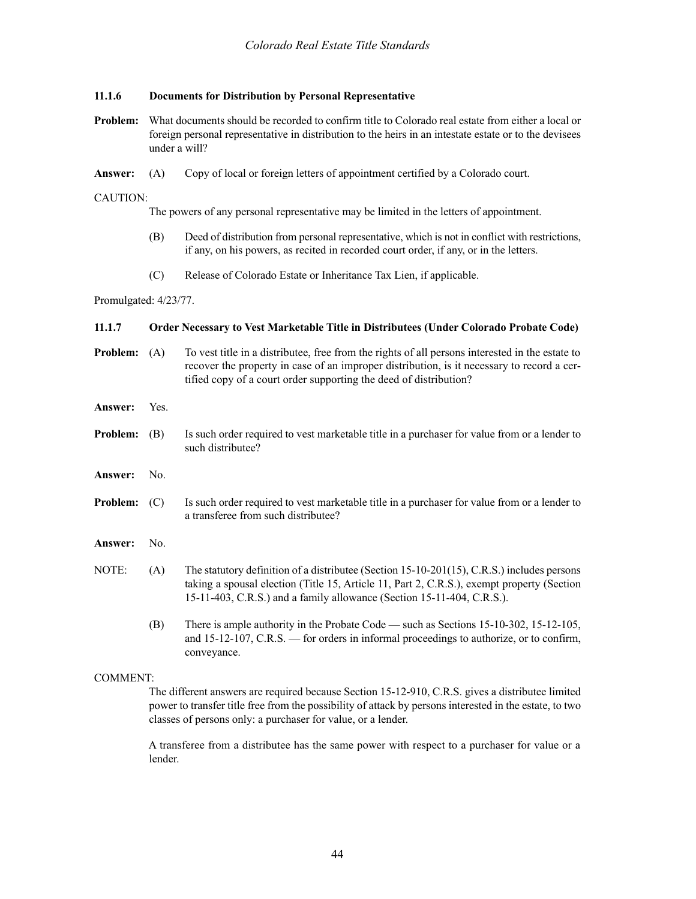#### **11.1.6 Documents for Distribution by Personal Representative**

- **Problem:** What documents should be recorded to confirm title to Colorado real estate from either a local or foreign personal representative in distribution to the heirs in an intestate estate or to the devisees under a will?
- **Answer:** (A) Copy of local or foreign letters of appointment certified by a Colorado court.

CAUTION:

The powers of any personal representative may be limited in the letters of appointment.

- (B) Deed of distribution from personal representative, which is not in conflict with restrictions, if any, on his powers, as recited in recorded court order, if any, or in the letters.
- (C) Release of Colorado Estate or Inheritance Tax Lien, if applicable.

Promulgated: 4/23/77.

#### **11.1.7 Order Necessary to Vest Marketable Title in Distributees (Under Colorado Probate Code)**

- **Problem:** (A) To vest title in a distributee, free from the rights of all persons interested in the estate to recover the property in case of an improper distribution, is it necessary to record a certified copy of a court order supporting the deed of distribution?
- **Answer:** Yes.
- **Problem:** (B) Is such order required to vest marketable title in a purchaser for value from or a lender to such distributee?
- **Answer:** No.
- **Problem:** (C) Is such order required to vest marketable title in a purchaser for value from or a lender to a transferee from such distributee?
- **Answer:** No.
- NOTE: (A) The statutory definition of a distributee (Section 15-10-201(15), C.R.S.) includes persons taking a spousal election (Title 15, Article 11, Part 2, C.R.S.), exempt property (Section 15-11-403, C.R.S.) and a family allowance (Section 15-11-404, C.R.S.).
	- (B) There is ample authority in the Probate Code such as Sections 15-10-302, 15-12-105, and 15-12-107, C.R.S. — for orders in informal proceedings to authorize, or to confirm, conveyance.

#### COMMENT:

 The different answers are required because Section 15-12-910, C.R.S. gives a distributee limited power to transfer title free from the possibility of attack by persons interested in the estate, to two classes of persons only: a purchaser for value, or a lender.

 A transferee from a distributee has the same power with respect to a purchaser for value or a lender.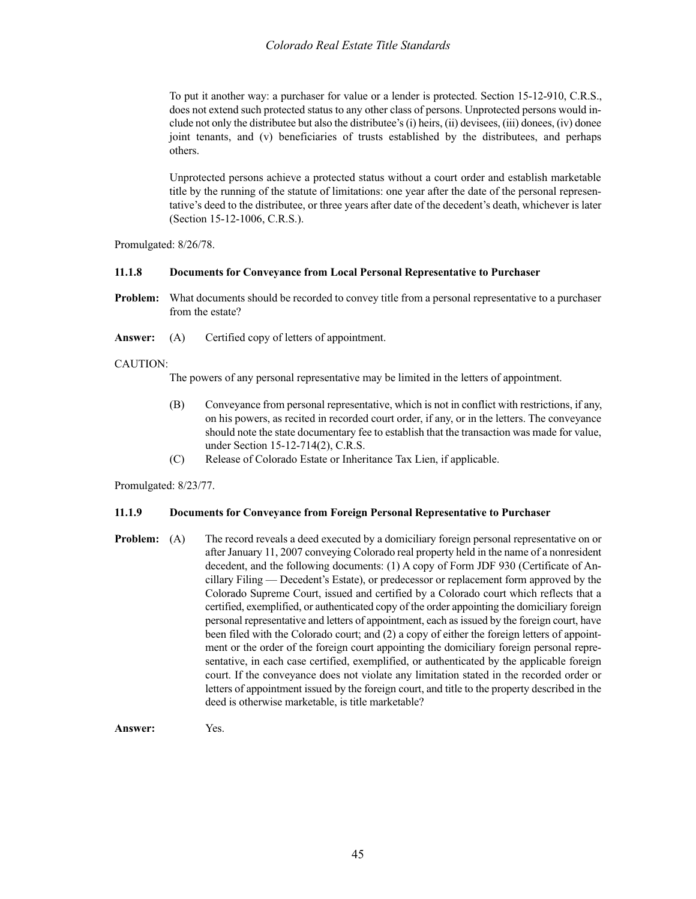To put it another way: a purchaser for value or a lender is protected. Section 15-12-910, C.R.S., does not extend such protected status to any other class of persons. Unprotected persons would include not only the distributee but also the distributee's (i) heirs, (ii) devisees, (iii) donees, (iv) donee joint tenants, and (v) beneficiaries of trusts established by the distributees, and perhaps others.

 Unprotected persons achieve a protected status without a court order and establish marketable title by the running of the statute of limitations: one year after the date of the personal representative's deed to the distributee, or three years after date of the decedent's death, whichever is later (Section 15-12-1006, C.R.S.).

Promulgated: 8/26/78.

### **11.1.8 Documents for Conveyance from Local Personal Representative to Purchaser**

- **Problem:** What documents should be recorded to convey title from a personal representative to a purchaser from the estate?
- Answer: (A) Certified copy of letters of appointment.

CAUTION:

The powers of any personal representative may be limited in the letters of appointment.

- (B) Conveyance from personal representative, which is not in conflict with restrictions, if any, on his powers, as recited in recorded court order, if any, or in the letters. The conveyance should note the state documentary fee to establish that the transaction was made for value, under Section 15-12-714(2), C.R.S.
- (C) Release of Colorado Estate or Inheritance Tax Lien, if applicable.

Promulgated: 8/23/77.

#### **11.1.9 Documents for Conveyance from Foreign Personal Representative to Purchaser**

**Problem:** (A) The record reveals a deed executed by a domiciliary foreign personal representative on or after January 11, 2007 conveying Colorado real property held in the name of a nonresident decedent, and the following documents: (1) A copy of Form JDF 930 (Certificate of Ancillary Filing — Decedent's Estate), or predecessor or replacement form approved by the Colorado Supreme Court, issued and certified by a Colorado court which reflects that a certified, exemplified, or authenticated copy of the order appointing the domiciliary foreign personal representative and letters of appointment, each as issued by the foreign court, have been filed with the Colorado court; and (2) a copy of either the foreign letters of appointment or the order of the foreign court appointing the domiciliary foreign personal representative, in each case certified, exemplified, or authenticated by the applicable foreign court. If the conveyance does not violate any limitation stated in the recorded order or letters of appointment issued by the foreign court, and title to the property described in the deed is otherwise marketable, is title marketable?

**Answer:** Yes.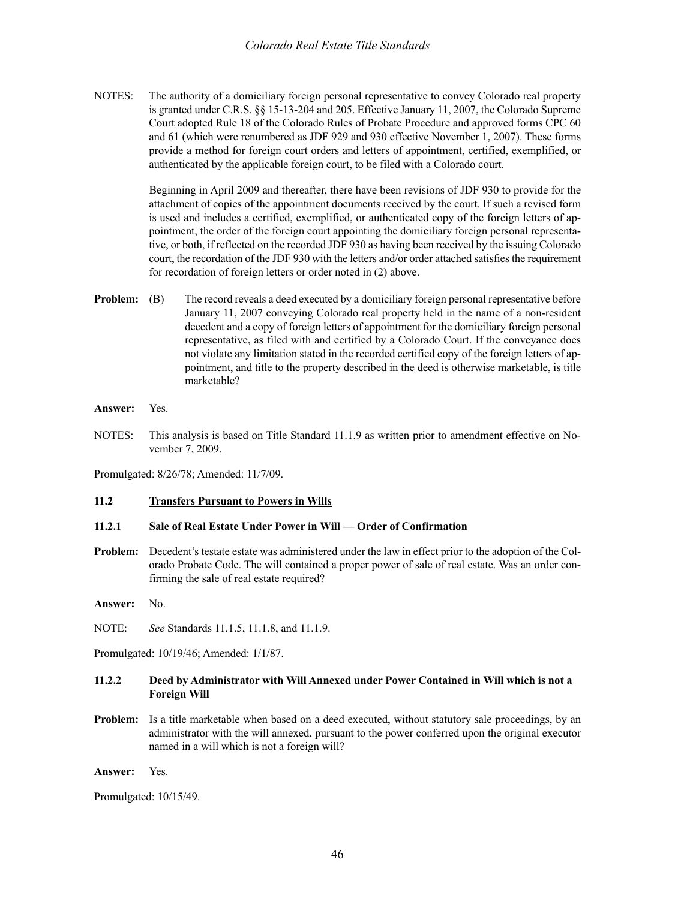NOTES: The authority of a domiciliary foreign personal representative to convey Colorado real property is granted under C.R.S. §§ 15-13-204 and 205. Effective January 11, 2007, the Colorado Supreme Court adopted Rule 18 of the Colorado Rules of Probate Procedure and approved forms CPC 60 and 61 (which were renumbered as JDF 929 and 930 effective November 1, 2007). These forms provide a method for foreign court orders and letters of appointment, certified, exemplified, or authenticated by the applicable foreign court, to be filed with a Colorado court.

> Beginning in April 2009 and thereafter, there have been revisions of JDF 930 to provide for the attachment of copies of the appointment documents received by the court. If such a revised form is used and includes a certified, exemplified, or authenticated copy of the foreign letters of appointment, the order of the foreign court appointing the domiciliary foreign personal representative, or both, if reflected on the recorded JDF 930 as having been received by the issuing Colorado court, the recordation of the JDF 930 with the letters and/or order attached satisfies the requirement for recordation of foreign letters or order noted in (2) above.

- **Problem:** (B) The record reveals a deed executed by a domiciliary foreign personal representative before January 11, 2007 conveying Colorado real property held in the name of a non-resident decedent and a copy of foreign letters of appointment for the domiciliary foreign personal representative, as filed with and certified by a Colorado Court. If the conveyance does not violate any limitation stated in the recorded certified copy of the foreign letters of appointment, and title to the property described in the deed is otherwise marketable, is title marketable?
- **Answer:** Yes.
- NOTES: This analysis is based on Title Standard 11.1.9 as written prior to amendment effective on November 7, 2009.

Promulgated: 8/26/78; Amended: 11/7/09.

### **11.2 Transfers Pursuant to Powers in Wills**

### **11.2.1 Sale of Real Estate Under Power in Will — Order of Confirmation**

- **Problem:** Decedent's testate estate was administered under the law in effect prior to the adoption of the Colorado Probate Code. The will contained a proper power of sale of real estate. Was an order confirming the sale of real estate required?
- **Answer:** No.

NOTE: *See* Standards 11.1.5, 11.1.8, and 11.1.9.

Promulgated: 10/19/46; Amended: 1/1/87.

## **11.2.2 Deed by Administrator with Will Annexed under Power Contained in Will which is not a Foreign Will**

**Problem:** Is a title marketable when based on a deed executed, without statutory sale proceedings, by an administrator with the will annexed, pursuant to the power conferred upon the original executor named in a will which is not a foreign will?

**Answer:** Yes.

Promulgated: 10/15/49.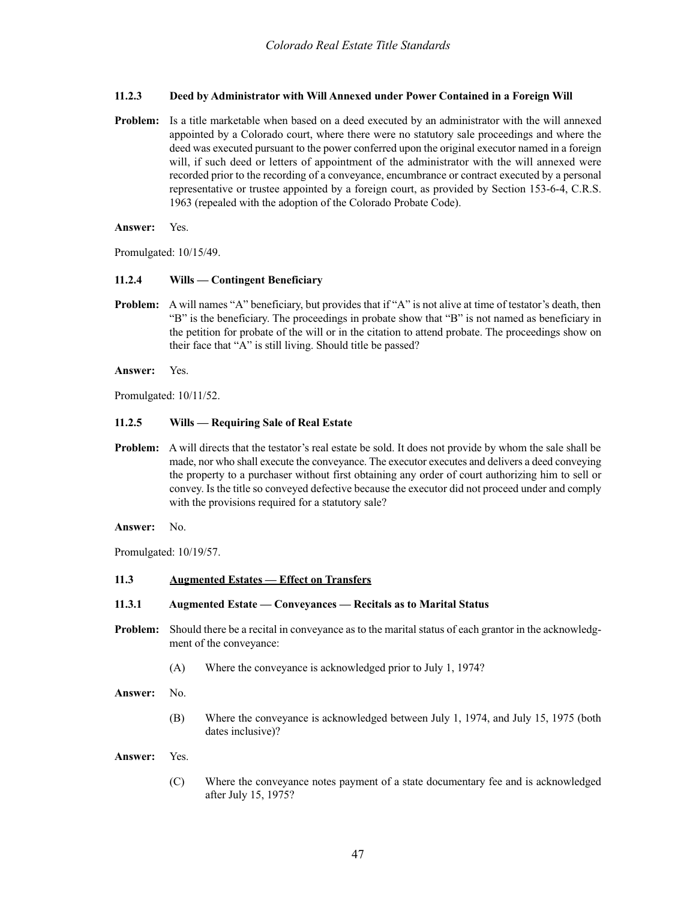## **11.2.3 Deed by Administrator with Will Annexed under Power Contained in a Foreign Will**

- **Problem:** Is a title marketable when based on a deed executed by an administrator with the will annexed appointed by a Colorado court, where there were no statutory sale proceedings and where the deed was executed pursuant to the power conferred upon the original executor named in a foreign will, if such deed or letters of appointment of the administrator with the will annexed were recorded prior to the recording of a conveyance, encumbrance or contract executed by a personal representative or trustee appointed by a foreign court, as provided by Section 153-6-4, C.R.S. 1963 (repealed with the adoption of the Colorado Probate Code).
- **Answer:** Yes.

Promulgated: 10/15/49.

### **11.2.4 Wills — Contingent Beneficiary**

**Problem:** A will names "A" beneficiary, but provides that if "A" is not alive at time of testator's death, then "B" is the beneficiary. The proceedings in probate show that "B" is not named as beneficiary in the petition for probate of the will or in the citation to attend probate. The proceedings show on their face that "A" is still living. Should title be passed?

**Answer:** Yes.

Promulgated: 10/11/52.

### **11.2.5 Wills — Requiring Sale of Real Estate**

**Problem:** A will directs that the testator's real estate be sold. It does not provide by whom the sale shall be made, nor who shall execute the conveyance. The executor executes and delivers a deed conveying the property to a purchaser without first obtaining any order of court authorizing him to sell or convey. Is the title so conveyed defective because the executor did not proceed under and comply with the provisions required for a statutory sale?

**Answer:** No.

Promulgated: 10/19/57.

| 11.3 | <b>Augmented Estates — Effect on Transfers</b> |
|------|------------------------------------------------|
|      |                                                |

## **11.3.1 Augmented Estate — Conveyances — Recitals as to Marital Status**

- **Problem:** Should there be a recital in conveyance as to the marital status of each grantor in the acknowledgment of the conveyance:
	- (A) Where the conveyance is acknowledged prior to July 1, 1974?

**Answer:** No.

 (B) Where the conveyance is acknowledged between July 1, 1974, and July 15, 1975 (both dates inclusive)?

#### **Answer:** Yes.

 (C) Where the conveyance notes payment of a state documentary fee and is acknowledged after July 15, 1975?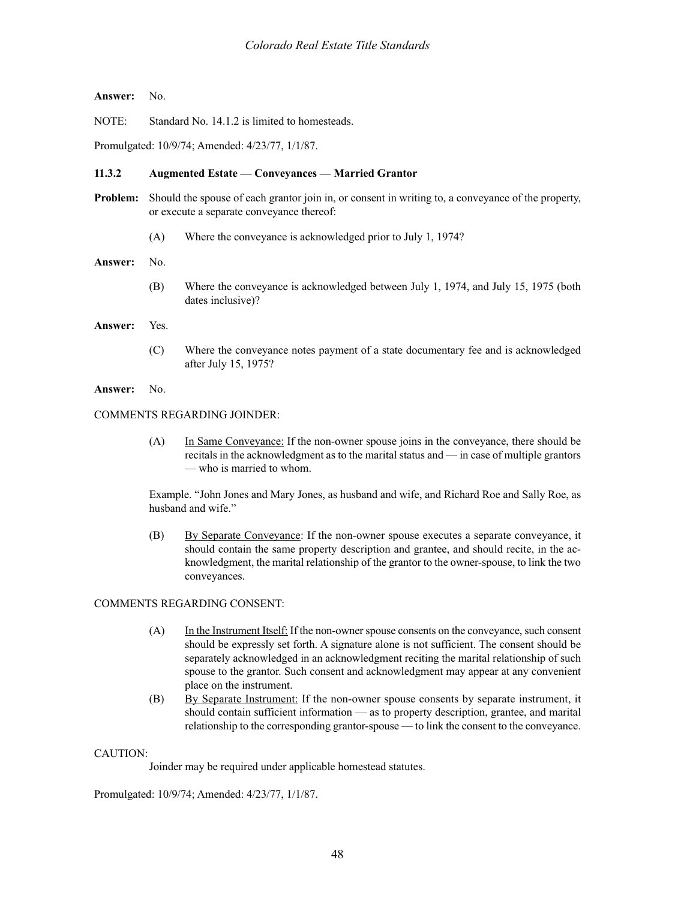#### **Answer:** No.

NOTE: Standard No. 14.1.2 is limited to homesteads.

Promulgated: 10/9/74; Amended: 4/23/77, 1/1/87.

#### **11.3.2 Augmented Estate — Conveyances — Married Grantor**

- **Problem:** Should the spouse of each grantor join in, or consent in writing to, a conveyance of the property, or execute a separate conveyance thereof:
	- (A) Where the conveyance is acknowledged prior to July 1, 1974?

## **Answer:** No.

 (B) Where the conveyance is acknowledged between July 1, 1974, and July 15, 1975 (both dates inclusive)?

#### **Answer:** Yes.

- (C) Where the conveyance notes payment of a state documentary fee and is acknowledged after July 15, 1975?
- **Answer:** No.

### COMMENTS REGARDING JOINDER:

 (A) In Same Conveyance: If the non-owner spouse joins in the conveyance, there should be recitals in the acknowledgment as to the marital status and — in case of multiple grantors — who is married to whom.

 Example. "John Jones and Mary Jones, as husband and wife, and Richard Roe and Sally Roe, as husband and wife."

 (B) By Separate Conveyance: If the non-owner spouse executes a separate conveyance, it should contain the same property description and grantee, and should recite, in the acknowledgment, the marital relationship of the grantor to the owner-spouse, to link the two conveyances.

#### COMMENTS REGARDING CONSENT:

- (A) In the Instrument Itself: If the non-owner spouse consents on the conveyance, such consent should be expressly set forth. A signature alone is not sufficient. The consent should be separately acknowledged in an acknowledgment reciting the marital relationship of such spouse to the grantor. Such consent and acknowledgment may appear at any convenient place on the instrument.
- (B) By Separate Instrument: If the non-owner spouse consents by separate instrument, it should contain sufficient information — as to property description, grantee, and marital relationship to the corresponding grantor-spouse — to link the consent to the conveyance.

#### CAUTION:

Joinder may be required under applicable homestead statutes.

Promulgated: 10/9/74; Amended: 4/23/77, 1/1/87.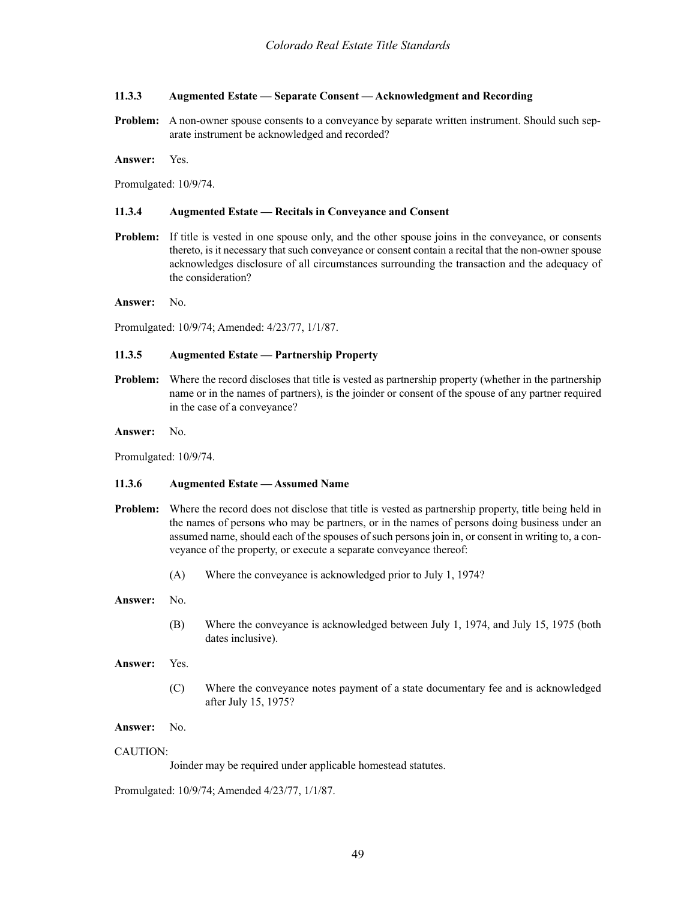#### **11.3.3 Augmented Estate — Separate Consent — Acknowledgment and Recording**

**Problem:** A non-owner spouse consents to a conveyance by separate written instrument. Should such separate instrument be acknowledged and recorded?

**Answer:** Yes.

Promulgated: 10/9/74.

#### **11.3.4 Augmented Estate — Recitals in Conveyance and Consent**

**Problem:** If title is vested in one spouse only, and the other spouse joins in the conveyance, or consents thereto, is it necessary that such conveyance or consent contain a recital that the non-owner spouse acknowledges disclosure of all circumstances surrounding the transaction and the adequacy of the consideration?

**Answer:** No.

Promulgated: 10/9/74; Amended: 4/23/77, 1/1/87.

### **11.3.5 Augmented Estate — Partnership Property**

**Problem:** Where the record discloses that title is vested as partnership property (whether in the partnership name or in the names of partners), is the joinder or consent of the spouse of any partner required in the case of a conveyance?

**Answer:** No.

Promulgated: 10/9/74.

#### **11.3.6 Augmented Estate — Assumed Name**

- **Problem:** Where the record does not disclose that title is vested as partnership property, title being held in the names of persons who may be partners, or in the names of persons doing business under an assumed name, should each of the spouses of such persons join in, or consent in writing to, a conveyance of the property, or execute a separate conveyance thereof:
	- (A) Where the conveyance is acknowledged prior to July 1, 1974?

**Answer:** No.

- (B) Where the conveyance is acknowledged between July 1, 1974, and July 15, 1975 (both dates inclusive).
- **Answer:** Yes.
	- (C) Where the conveyance notes payment of a state documentary fee and is acknowledged after July 15, 1975?
- **Answer:** No.
- CAUTION:

Joinder may be required under applicable homestead statutes.

Promulgated: 10/9/74; Amended 4/23/77, 1/1/87.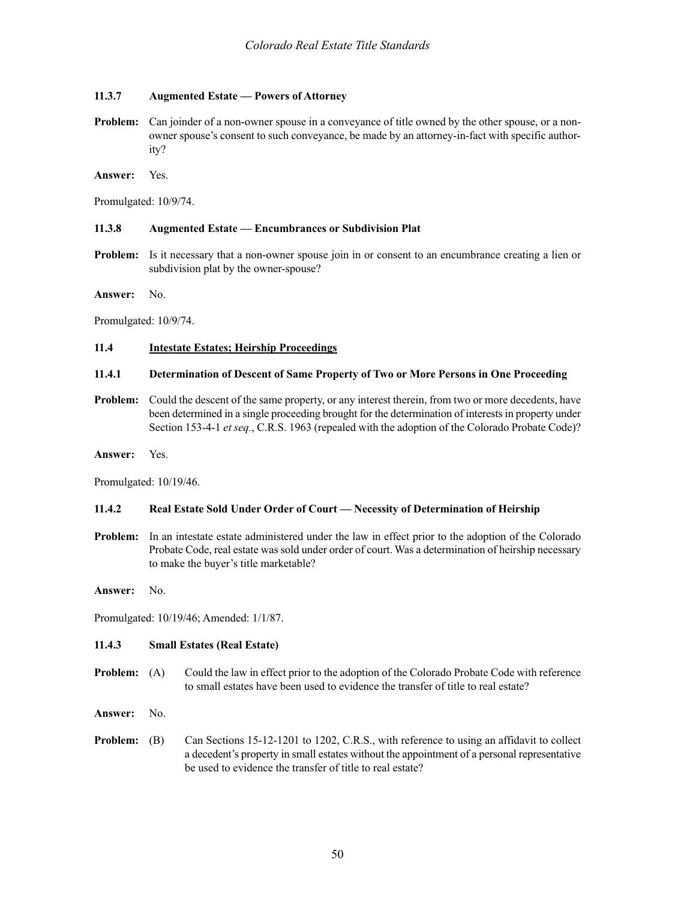#### **11.3.7 Augmented Estate — Powers of Attorney**

- **Problem:** Can joinder of a non-owner spouse in a conveyance of title owned by the other spouse, or a nonowner spouse's consent to such conveyance, be made by an attorney-in-fact with specific authority?
- **Answer:** Yes.

Promulgated: 10/9/74.

#### **11.3.8 Augmented Estate — Encumbrances or Subdivision Plat**

**Problem:** Is it necessary that a non-owner spouse join in or consent to an encumbrance creating a lien or subdivision plat by the owner-spouse?

**Answer:** No.

Promulgated: 10/9/74.

#### **11.4 Intestate Estates; Heirship Proceedings**

#### **11.4.1 Determination of Descent of Same Property of Two or More Persons in One Proceeding**

- **Problem:** Could the descent of the same property, or any interest therein, from two or more decedents, have been determined in a single proceeding brought for the determination of interests in property under Section 153-4-1 *et seq.*, C.R.S. 1963 (repealed with the adoption of the Colorado Probate Code)?
- **Answer:** Yes.

Promulgated: 10/19/46.

#### **11.4.2 Real Estate Sold Under Order of Court — Necessity of Determination of Heirship**

**Problem:** In an intestate estate administered under the law in effect prior to the adoption of the Colorado Probate Code, real estate was sold under order of court. Was a determination of heirship necessary to make the buyer's title marketable?

**Answer:** No.

Promulgated: 10/19/46; Amended: 1/1/87.

## **11.4.3 Small Estates (Real Estate)**

- **Problem:** (A) Could the law in effect prior to the adoption of the Colorado Probate Code with reference to small estates have been used to evidence the transfer of title to real estate?
- **Answer:** No.
- **Problem:** (B) Can Sections 15-12-1201 to 1202, C.R.S., with reference to using an affidavit to collect a decedent's property in small estates without the appointment of a personal representative be used to evidence the transfer of title to real estate?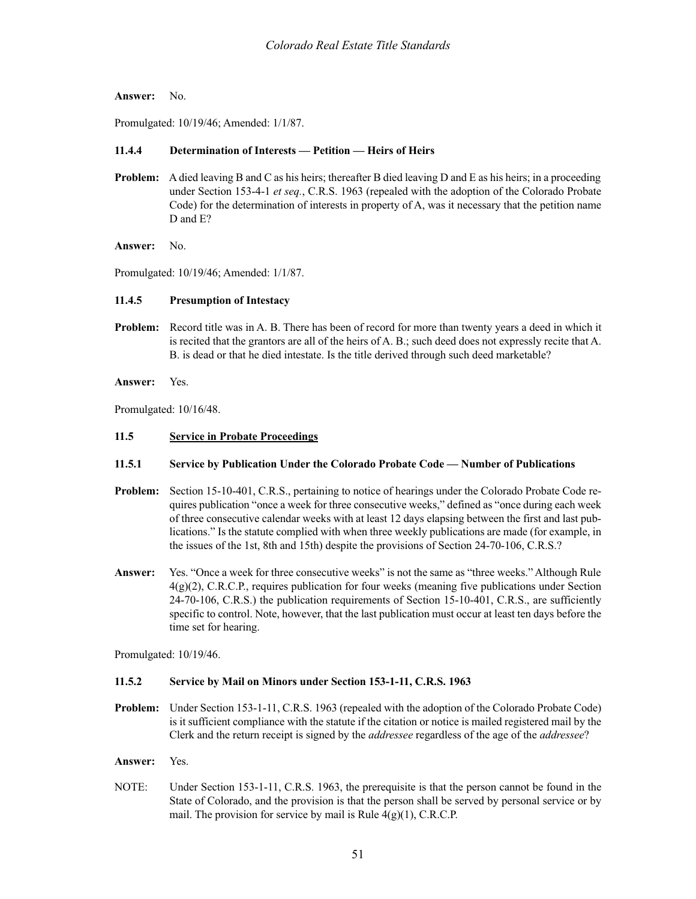**Answer:** No.

Promulgated: 10/19/46; Amended: 1/1/87.

## **11.4.4 Determination of Interests — Petition — Heirs of Heirs**

- **Problem:** A died leaving B and C as his heirs; thereafter B died leaving D and E as his heirs; in a proceeding under Section 153-4-1 *et seq.*, C.R.S. 1963 (repealed with the adoption of the Colorado Probate Code) for the determination of interests in property of A, was it necessary that the petition name D and E?
- **Answer:** No.

Promulgated: 10/19/46; Amended: 1/1/87.

### **11.4.5 Presumption of Intestacy**

- **Problem:** Record title was in A. B. There has been of record for more than twenty years a deed in which it is recited that the grantors are all of the heirs of A. B.; such deed does not expressly recite that A. B. is dead or that he died intestate. Is the title derived through such deed marketable?
- **Answer:** Yes.

Promulgated: 10/16/48.

## **11.5 Service in Probate Proceedings**

## **11.5.1 Service by Publication Under the Colorado Probate Code — Number of Publications**

- **Problem:** Section 15-10-401, C.R.S., pertaining to notice of hearings under the Colorado Probate Code requires publication "once a week for three consecutive weeks," defined as "once during each week of three consecutive calendar weeks with at least 12 days elapsing between the first and last publications." Is the statute complied with when three weekly publications are made (for example, in the issues of the 1st, 8th and 15th) despite the provisions of Section 24-70-106, C.R.S.?
- **Answer:** Yes. "Once a week for three consecutive weeks" is not the same as "three weeks." Although Rule 4(g)(2), C.R.C.P., requires publication for four weeks (meaning five publications under Section 24-70-106, C.R.S.) the publication requirements of Section 15-10-401, C.R.S., are sufficiently specific to control. Note, however, that the last publication must occur at least ten days before the time set for hearing.

Promulgated: 10/19/46.

### **11.5.2 Service by Mail on Minors under Section 153-1-11, C.R.S. 1963**

**Problem:** Under Section 153-1-11, C.R.S. 1963 (repealed with the adoption of the Colorado Probate Code) is it sufficient compliance with the statute if the citation or notice is mailed registered mail by the Clerk and the return receipt is signed by the *addressee* regardless of the age of the *addressee*?

## **Answer:** Yes.

NOTE: Under Section 153-1-11, C.R.S. 1963, the prerequisite is that the person cannot be found in the State of Colorado, and the provision is that the person shall be served by personal service or by mail. The provision for service by mail is Rule  $4(g)(1)$ , C.R.C.P.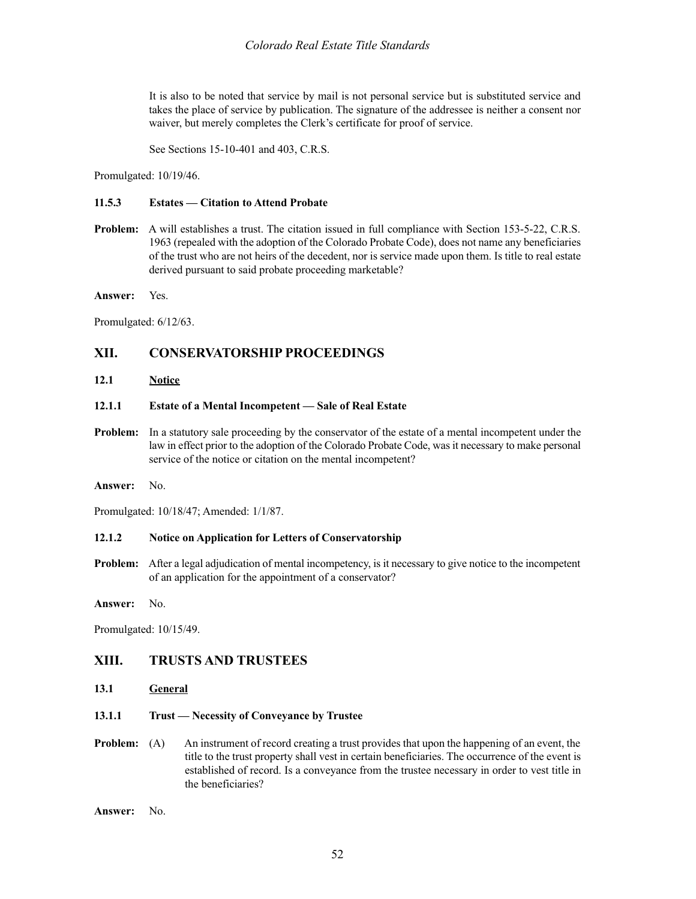It is also to be noted that service by mail is not personal service but is substituted service and takes the place of service by publication. The signature of the addressee is neither a consent nor waiver, but merely completes the Clerk's certificate for proof of service.

See Sections 15-10-401 and 403, C.R.S.

Promulgated: 10/19/46.

### **11.5.3 Estates — Citation to Attend Probate**

**Problem:** A will establishes a trust. The citation issued in full compliance with Section 153-5-22, C.R.S. 1963 (repealed with the adoption of the Colorado Probate Code), does not name any beneficiaries of the trust who are not heirs of the decedent, nor is service made upon them. Is title to real estate derived pursuant to said probate proceeding marketable?

**Answer:** Yes.

Promulgated: 6/12/63.

## **XII. CONSERVATORSHIP PROCEEDINGS**

**12.1 Notice**

### **12.1.1 Estate of a Mental Incompetent — Sale of Real Estate**

**Problem:** In a statutory sale proceeding by the conservator of the estate of a mental incompetent under the law in effect prior to the adoption of the Colorado Probate Code, was it necessary to make personal service of the notice or citation on the mental incompetent?

**Answer:** No.

Promulgated: 10/18/47; Amended: 1/1/87.

### **12.1.2 Notice on Application for Letters of Conservatorship**

**Problem:** After a legal adjudication of mental incompetency, is it necessary to give notice to the incompetent of an application for the appointment of a conservator?

**Answer:** No.

Promulgated: 10/15/49.

## **XIII. TRUSTS AND TRUSTEES**

**13.1 General**

#### **13.1.1 Trust — Necessity of Conveyance by Trustee**

**Problem:** (A) An instrument of record creating a trust provides that upon the happening of an event, the title to the trust property shall vest in certain beneficiaries. The occurrence of the event is established of record. Is a conveyance from the trustee necessary in order to vest title in the beneficiaries?

**Answer:** No.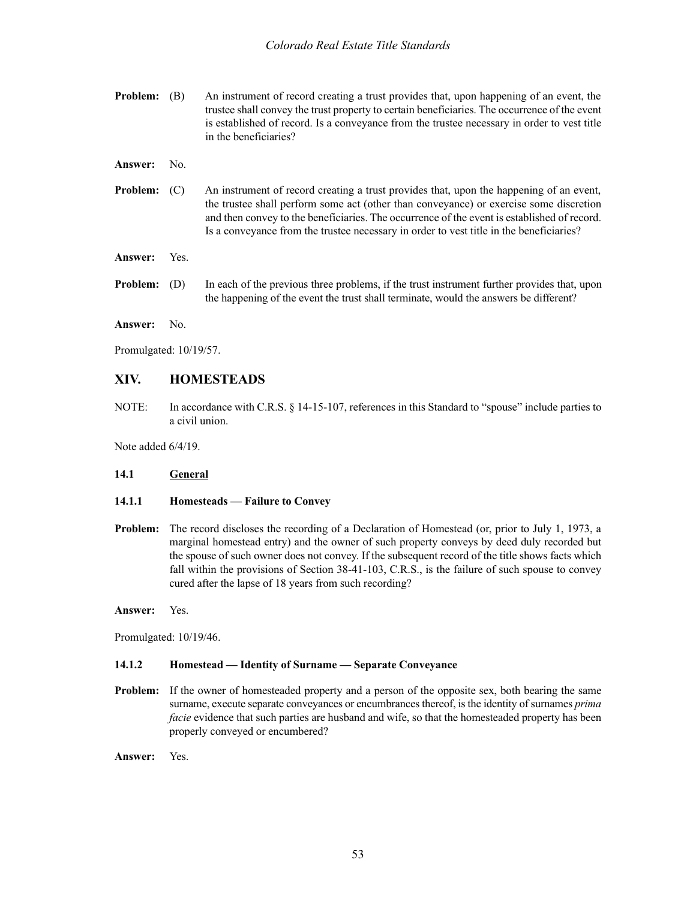| <b>Problem:</b> (B) | An instrument of record creating a trust provides that, upon happening of an event, the       |
|---------------------|-----------------------------------------------------------------------------------------------|
|                     | trustee shall convey the trust property to certain beneficiaries. The occurrence of the event |
|                     | is established of record. Is a conveyance from the trustee necessary in order to vest title   |
|                     | in the beneficiaries?                                                                         |

#### **Answer:** No.

- **Problem:** (C) An instrument of record creating a trust provides that, upon the happening of an event, the trustee shall perform some act (other than conveyance) or exercise some discretion and then convey to the beneficiaries. The occurrence of the event is established of record. Is a conveyance from the trustee necessary in order to vest title in the beneficiaries?
- **Answer:** Yes.
- **Problem:** (D) In each of the previous three problems, if the trust instrument further provides that, upon the happening of the event the trust shall terminate, would the answers be different?
- **Answer:** No.

Promulgated: 10/19/57.

## **XIV. HOMESTEADS**

NOTE: In accordance with C.R.S. § 14-15-107, references in this Standard to "spouse" include parties to a civil union.

Note added 6/4/19.

## **14.1 General**

#### **14.1.1 Homesteads — Failure to Convey**

- **Problem:** The record discloses the recording of a Declaration of Homestead (or, prior to July 1, 1973, a marginal homestead entry) and the owner of such property conveys by deed duly recorded but the spouse of such owner does not convey. If the subsequent record of the title shows facts which fall within the provisions of Section 38-41-103, C.R.S., is the failure of such spouse to convey cured after the lapse of 18 years from such recording?
- **Answer:** Yes.

Promulgated: 10/19/46.

#### **14.1.2 Homestead — Identity of Surname — Separate Conveyance**

**Problem:** If the owner of homesteaded property and a person of the opposite sex, both bearing the same surname, execute separate conveyances or encumbrances thereof, is the identity of surnames *prima facie* evidence that such parties are husband and wife, so that the homesteaded property has been properly conveyed or encumbered?

**Answer:** Yes.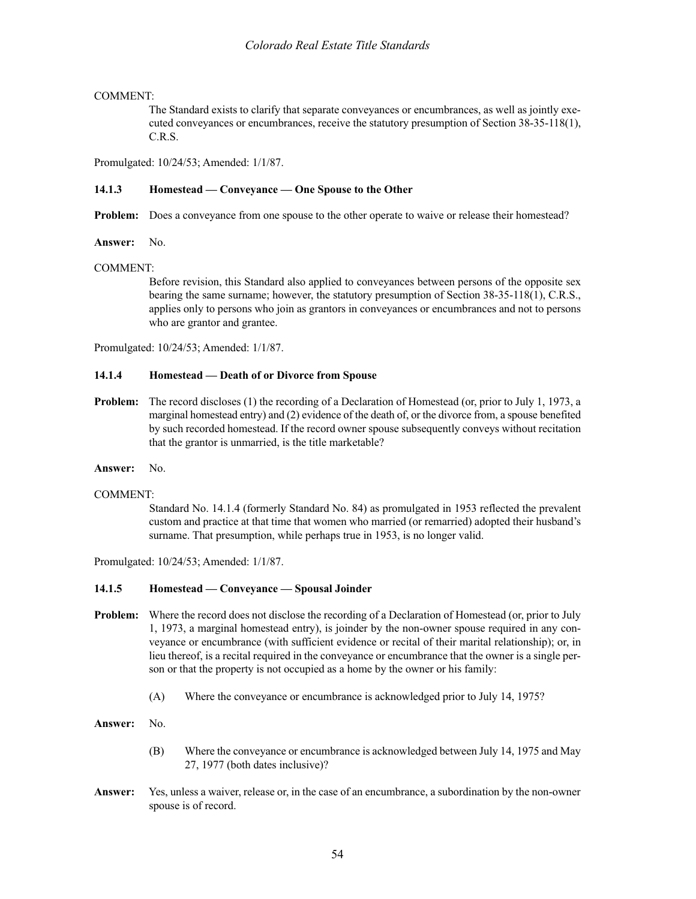#### COMMENT:

 The Standard exists to clarify that separate conveyances or encumbrances, as well as jointly executed conveyances or encumbrances, receive the statutory presumption of Section 38-35-118(1), C.R.S.

Promulgated: 10/24/53; Amended: 1/1/87.

#### **14.1.3 Homestead — Conveyance — One Spouse to the Other**

**Problem:** Does a conveyance from one spouse to the other operate to waive or release their homestead?

**Answer:** No.

#### COMMENT:

 Before revision, this Standard also applied to conveyances between persons of the opposite sex bearing the same surname; however, the statutory presumption of Section 38-35-118(1), C.R.S., applies only to persons who join as grantors in conveyances or encumbrances and not to persons who are grantor and grantee.

Promulgated: 10/24/53; Amended: 1/1/87.

## **14.1.4 Homestead — Death of or Divorce from Spouse**

- **Problem:** The record discloses (1) the recording of a Declaration of Homestead (or, prior to July 1, 1973, a marginal homestead entry) and (2) evidence of the death of, or the divorce from, a spouse benefited by such recorded homestead. If the record owner spouse subsequently conveys without recitation that the grantor is unmarried, is the title marketable?
- **Answer:** No.
- COMMENT:

 Standard No. 14.1.4 (formerly Standard No. 84) as promulgated in 1953 reflected the prevalent custom and practice at that time that women who married (or remarried) adopted their husband's surname. That presumption, while perhaps true in 1953, is no longer valid.

Promulgated: 10/24/53; Amended: 1/1/87.

#### **14.1.5 Homestead — Conveyance — Spousal Joinder**

- **Problem:** Where the record does not disclose the recording of a Declaration of Homestead (or, prior to July 1, 1973, a marginal homestead entry), is joinder by the non-owner spouse required in any conveyance or encumbrance (with sufficient evidence or recital of their marital relationship); or, in lieu thereof, is a recital required in the conveyance or encumbrance that the owner is a single person or that the property is not occupied as a home by the owner or his family:
	- (A) Where the conveyance or encumbrance is acknowledged prior to July 14, 1975?
- **Answer:** No.
	- (B) Where the conveyance or encumbrance is acknowledged between July 14, 1975 and May 27, 1977 (both dates inclusive)?
- **Answer:** Yes, unless a waiver, release or, in the case of an encumbrance, a subordination by the non-owner spouse is of record.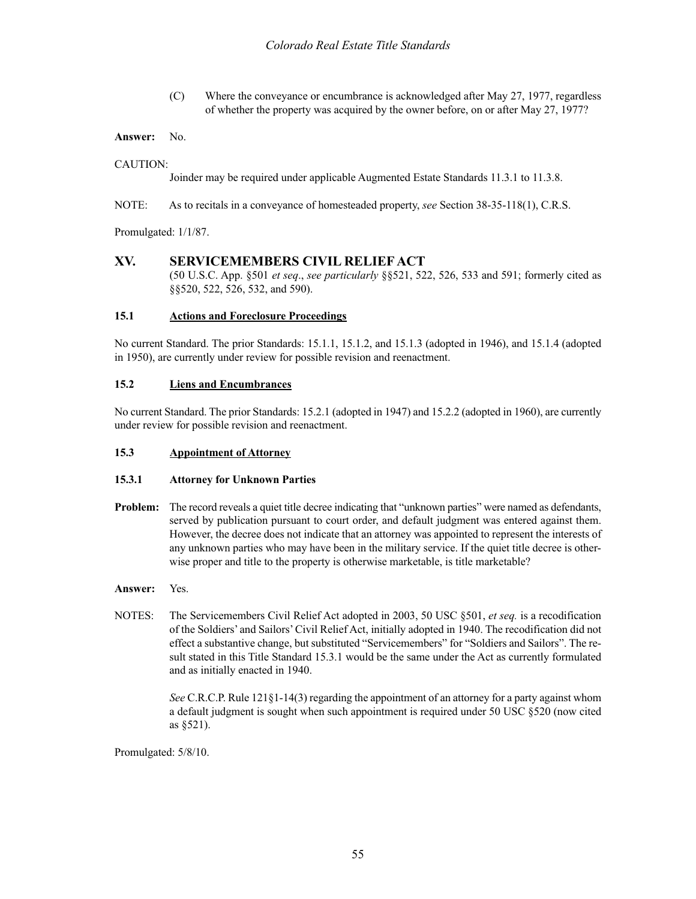(C) Where the conveyance or encumbrance is acknowledged after May 27, 1977, regardless of whether the property was acquired by the owner before, on or after May 27, 1977?

## **Answer:** No.

## CAUTION:

Joinder may be required under applicable Augmented Estate Standards 11.3.1 to 11.3.8.

NOTE: As to recitals in a conveyance of homesteaded property, *see* Section 38-35-118(1), C.R.S.

Promulgated: 1/1/87.

## **XV. SERVICEMEMBERS CIVIL RELIEF ACT**

 (50 U.S.C. App. §501 *et seq*., *see particularly* §§521, 522, 526, 533 and 591; formerly cited as §§520, 522, 526, 532, and 590).

## **15.1 Actions and Foreclosure Proceedings**

No current Standard. The prior Standards: 15.1.1, 15.1.2, and 15.1.3 (adopted in 1946), and 15.1.4 (adopted in 1950), are currently under review for possible revision and reenactment.

## **15.2 Liens and Encumbrances**

No current Standard. The prior Standards: 15.2.1 (adopted in 1947) and 15.2.2 (adopted in 1960), are currently under review for possible revision and reenactment.

## **15.3 Appointment of Attorney**

## **15.3.1 Attorney for Unknown Parties**

**Problem:** The record reveals a quiet title decree indicating that "unknown parties" were named as defendants, served by publication pursuant to court order, and default judgment was entered against them. However, the decree does not indicate that an attorney was appointed to represent the interests of any unknown parties who may have been in the military service. If the quiet title decree is otherwise proper and title to the property is otherwise marketable, is title marketable?

## **Answer:** Yes.

NOTES: The Servicemembers Civil Relief Act adopted in 2003, 50 USC §501, *et seq.* is a recodification of the Soldiers' and Sailors' Civil Relief Act, initially adopted in 1940. The recodification did not effect a substantive change, but substituted "Servicemembers" for "Soldiers and Sailors". The result stated in this Title Standard 15.3.1 would be the same under the Act as currently formulated and as initially enacted in 1940.

> *See* C.R.C.P. Rule 121§1-14(3) regarding the appointment of an attorney for a party against whom a default judgment is sought when such appointment is required under 50 USC §520 (now cited as §521).

Promulgated: 5/8/10.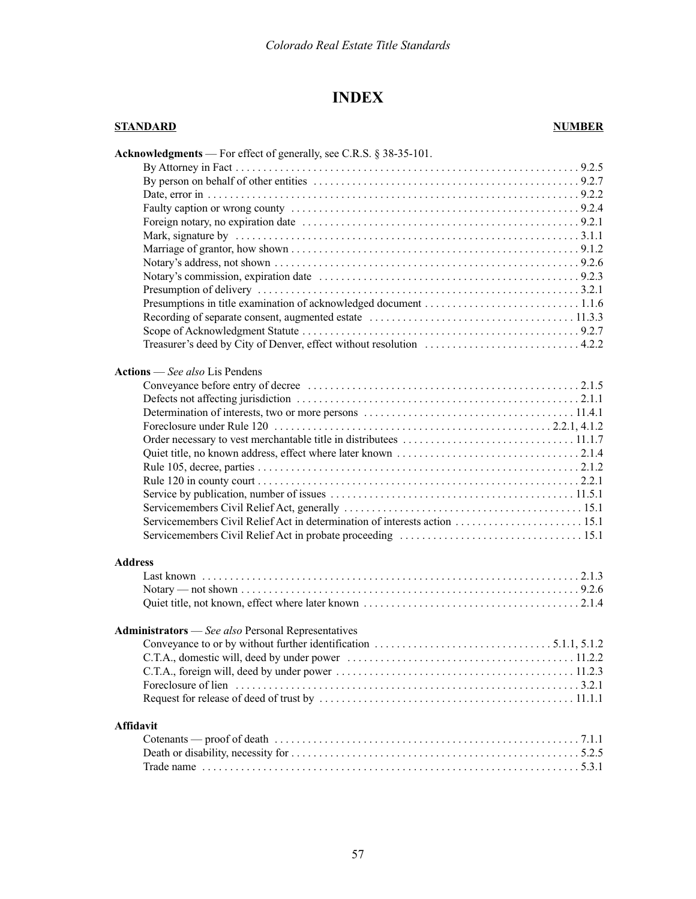# **INDEX**

## **STANDARD NUMBER**

| Acknowledgments — For effect of generally, see C.R.S. § 38-35-101.         |
|----------------------------------------------------------------------------|
|                                                                            |
|                                                                            |
|                                                                            |
|                                                                            |
|                                                                            |
|                                                                            |
|                                                                            |
|                                                                            |
|                                                                            |
|                                                                            |
|                                                                            |
|                                                                            |
|                                                                            |
|                                                                            |
|                                                                            |
| <b>Actions</b> — See also Lis Pendens                                      |
|                                                                            |
|                                                                            |
|                                                                            |
|                                                                            |
|                                                                            |
|                                                                            |
|                                                                            |
|                                                                            |
|                                                                            |
|                                                                            |
| Servicemembers Civil Relief Act in determination of interests action  15.1 |
|                                                                            |
|                                                                            |
| <b>Address</b>                                                             |
|                                                                            |
|                                                                            |
|                                                                            |
|                                                                            |
| <b>Administrators</b> - See also Personal Representatives                  |
|                                                                            |
|                                                                            |
|                                                                            |
|                                                                            |
|                                                                            |
|                                                                            |
| <b>Affidavit</b>                                                           |
|                                                                            |
|                                                                            |
|                                                                            |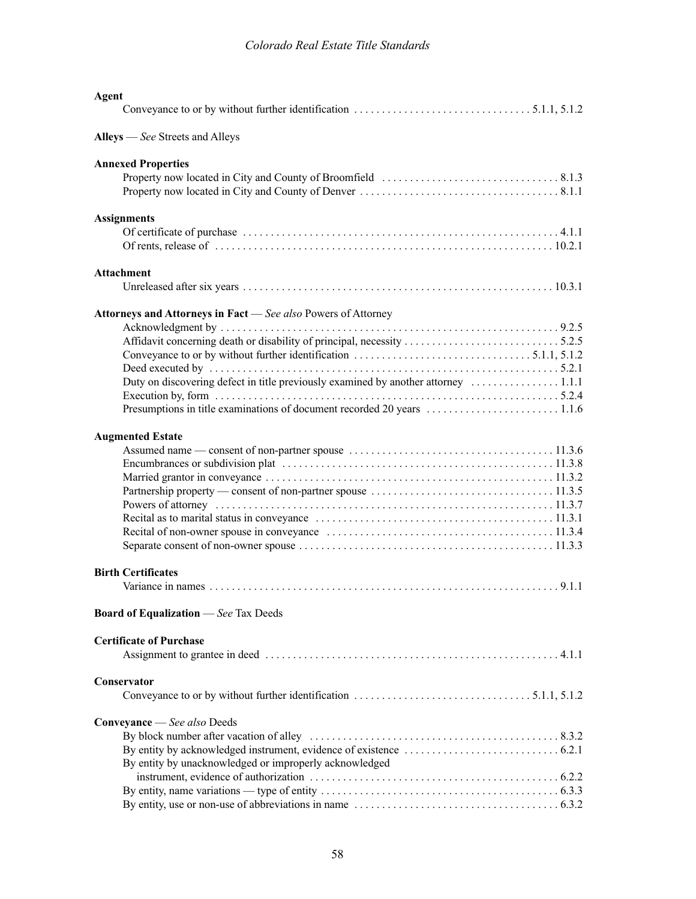| Agent                                                                                                                                                                   |
|-------------------------------------------------------------------------------------------------------------------------------------------------------------------------|
| Alleys — See Streets and Alleys                                                                                                                                         |
| <b>Annexed Properties</b>                                                                                                                                               |
| <b>Assignments</b>                                                                                                                                                      |
| <b>Attachment</b>                                                                                                                                                       |
| Attorneys and Attorneys in Fact - See also Powers of Attorney<br>Acknowledgment by<br>Duty on discovering defect in title previously examined by another attorney 1.1.1 |
| <b>Augmented Estate</b>                                                                                                                                                 |
| <b>Birth Certificates</b>                                                                                                                                               |
| <b>Board of Equalization</b> - See Tax Deeds                                                                                                                            |
| <b>Certificate of Purchase</b>                                                                                                                                          |
| Conservator                                                                                                                                                             |
| Conveyance - See also Deeds<br>By entity by unacknowledged or improperly acknowledged                                                                                   |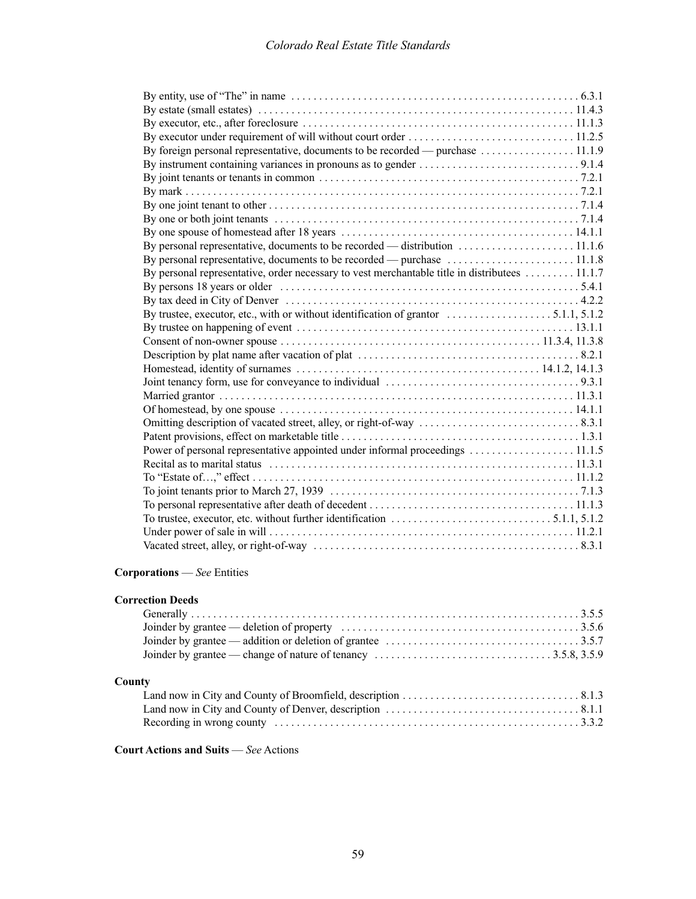| By foreign personal representative, documents to be recorded — purchase  11.1.9                |
|------------------------------------------------------------------------------------------------|
|                                                                                                |
|                                                                                                |
|                                                                                                |
|                                                                                                |
|                                                                                                |
|                                                                                                |
| By personal representative, documents to be recorded — distribution 11.1.6                     |
|                                                                                                |
| By personal representative, order necessary to vest merchantable title in distributees  11.1.7 |
|                                                                                                |
|                                                                                                |
|                                                                                                |
|                                                                                                |
|                                                                                                |
|                                                                                                |
|                                                                                                |
|                                                                                                |
|                                                                                                |
|                                                                                                |
|                                                                                                |
|                                                                                                |
| Power of personal representative appointed under informal proceedings 11.1.5                   |
|                                                                                                |
|                                                                                                |
|                                                                                                |
|                                                                                                |
|                                                                                                |
|                                                                                                |
|                                                                                                |

## **Corporations** — *See* Entities

## **Correction Deeds**

## **County**

**Court Actions and Suits** — *See* Actions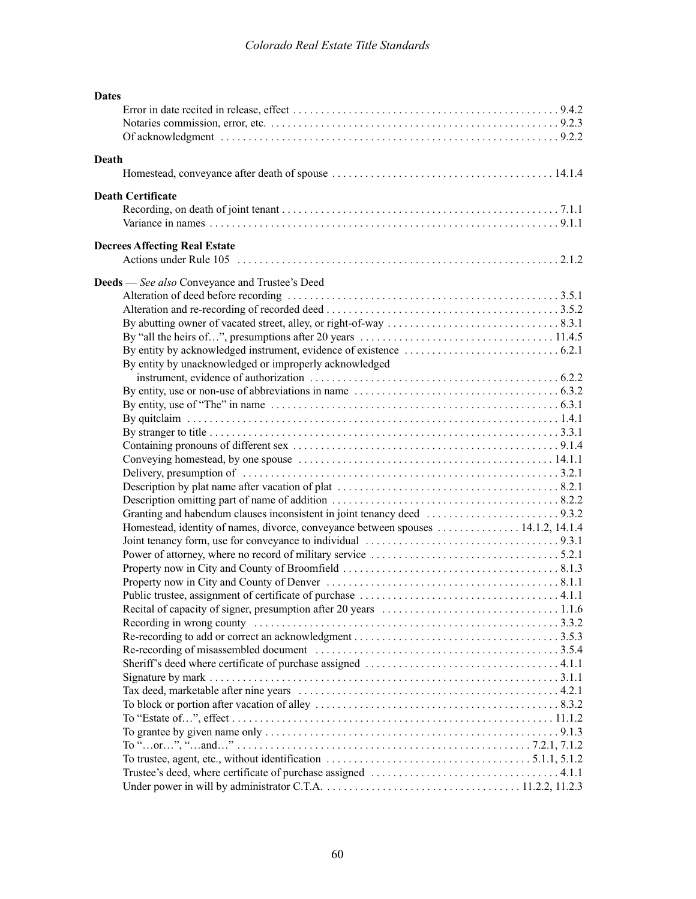| <b>Dates</b>                                                                      |  |
|-----------------------------------------------------------------------------------|--|
|                                                                                   |  |
|                                                                                   |  |
|                                                                                   |  |
|                                                                                   |  |
| Death                                                                             |  |
|                                                                                   |  |
|                                                                                   |  |
| <b>Death Certificate</b>                                                          |  |
|                                                                                   |  |
|                                                                                   |  |
| <b>Decrees Affecting Real Estate</b>                                              |  |
|                                                                                   |  |
|                                                                                   |  |
| <b>Deeds</b> - See also Conveyance and Trustee's Deed                             |  |
|                                                                                   |  |
|                                                                                   |  |
|                                                                                   |  |
|                                                                                   |  |
|                                                                                   |  |
| By entity by unacknowledged or improperly acknowledged                            |  |
|                                                                                   |  |
|                                                                                   |  |
|                                                                                   |  |
|                                                                                   |  |
|                                                                                   |  |
|                                                                                   |  |
|                                                                                   |  |
|                                                                                   |  |
|                                                                                   |  |
|                                                                                   |  |
|                                                                                   |  |
|                                                                                   |  |
| Homestead, identity of names, divorce, conveyance between spouses  14.1.2, 14.1.4 |  |
|                                                                                   |  |
|                                                                                   |  |
|                                                                                   |  |
|                                                                                   |  |
|                                                                                   |  |
|                                                                                   |  |
|                                                                                   |  |
|                                                                                   |  |
|                                                                                   |  |
|                                                                                   |  |
|                                                                                   |  |
|                                                                                   |  |
|                                                                                   |  |
|                                                                                   |  |
|                                                                                   |  |
|                                                                                   |  |
|                                                                                   |  |
|                                                                                   |  |
|                                                                                   |  |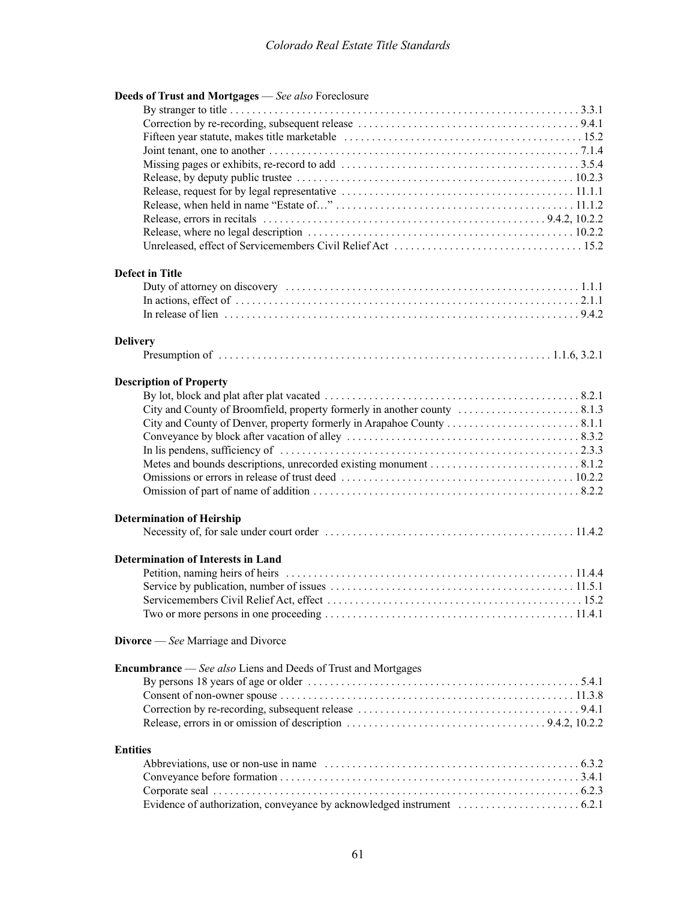| <b>Deeds of Trust and Mortgages</b> - See also Foreclosure           |
|----------------------------------------------------------------------|
|                                                                      |
|                                                                      |
|                                                                      |
|                                                                      |
|                                                                      |
|                                                                      |
|                                                                      |
|                                                                      |
|                                                                      |
|                                                                      |
|                                                                      |
| <b>Defect in Title</b>                                               |
|                                                                      |
|                                                                      |
|                                                                      |
|                                                                      |
| <b>Delivery</b>                                                      |
|                                                                      |
|                                                                      |
| <b>Description of Property</b>                                       |
|                                                                      |
|                                                                      |
|                                                                      |
|                                                                      |
|                                                                      |
|                                                                      |
|                                                                      |
|                                                                      |
| <b>Determination of Heirship</b>                                     |
|                                                                      |
|                                                                      |
| <b>Determination of Interests in Land</b>                            |
|                                                                      |
|                                                                      |
|                                                                      |
|                                                                      |
|                                                                      |
| <b>Divorce</b> - See Marriage and Divorce                            |
|                                                                      |
| <b>Encumbrance</b> — See also Liens and Deeds of Trust and Mortgages |
|                                                                      |
|                                                                      |
|                                                                      |
|                                                                      |
| <b>Entities</b>                                                      |
|                                                                      |
|                                                                      |
|                                                                      |
|                                                                      |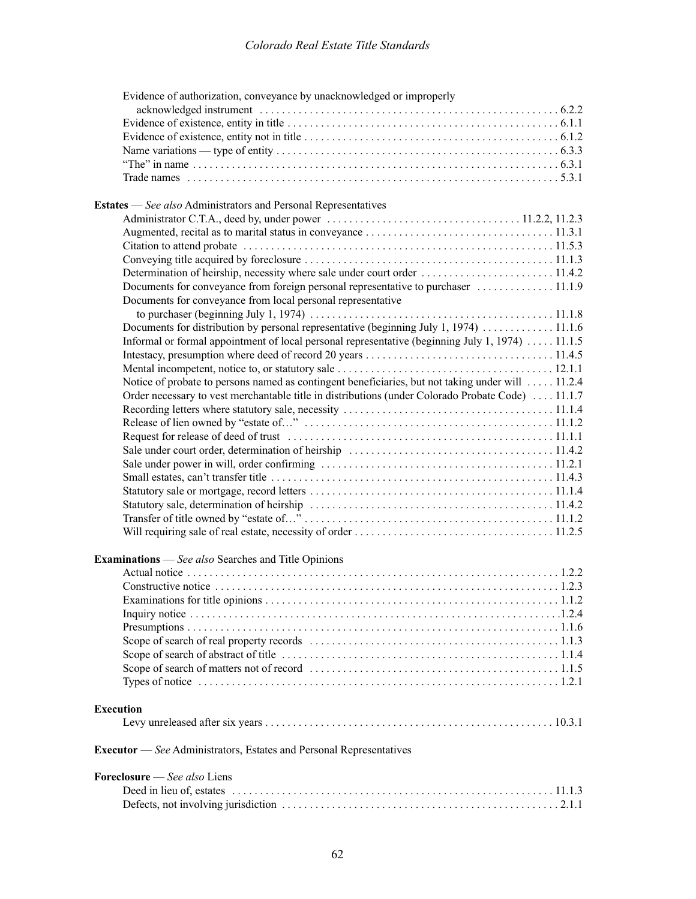| Evidence of authorization, conveyance by unacknowledged or improperly                             |
|---------------------------------------------------------------------------------------------------|
|                                                                                                   |
|                                                                                                   |
|                                                                                                   |
|                                                                                                   |
|                                                                                                   |
|                                                                                                   |
| Estates - See also Administrators and Personal Representatives                                    |
|                                                                                                   |
|                                                                                                   |
|                                                                                                   |
|                                                                                                   |
|                                                                                                   |
| Documents for conveyance from foreign personal representative to purchaser 11.1.9                 |
| Documents for conveyance from local personal representative                                       |
|                                                                                                   |
| Documents for distribution by personal representative (beginning July 1, 1974)  11.1.6            |
| Informal or formal appointment of local personal representative (beginning July 1, 1974)  11.1.5  |
|                                                                                                   |
|                                                                                                   |
| Notice of probate to persons named as contingent beneficiaries, but not taking under will  11.2.4 |
| Order necessary to vest merchantable title in distributions (under Colorado Probate Code)  11.1.7 |
|                                                                                                   |
|                                                                                                   |
|                                                                                                   |
|                                                                                                   |
|                                                                                                   |
|                                                                                                   |
|                                                                                                   |
|                                                                                                   |
|                                                                                                   |
|                                                                                                   |
|                                                                                                   |
| <b>Examinations</b> — See also Searches and Title Opinions                                        |
|                                                                                                   |
|                                                                                                   |
|                                                                                                   |
|                                                                                                   |
|                                                                                                   |
|                                                                                                   |
|                                                                                                   |
|                                                                                                   |
|                                                                                                   |
| <b>Execution</b>                                                                                  |
|                                                                                                   |
|                                                                                                   |
| Executor - See Administrators, Estates and Personal Representatives                               |
| <b>Foreclosure</b> - See also Liens                                                               |
|                                                                                                   |
|                                                                                                   |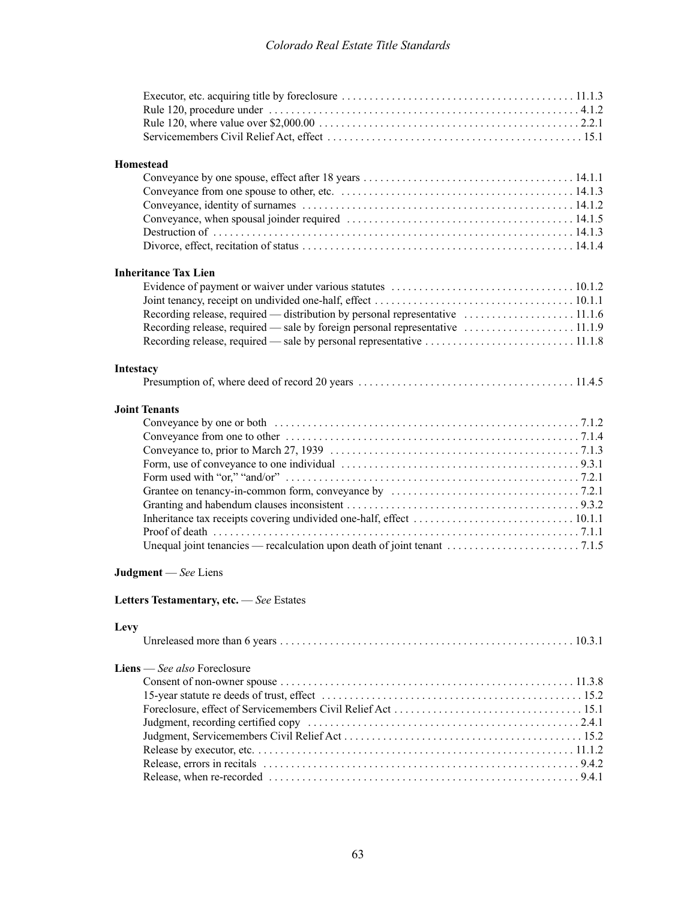| Homestead        |                                                                              |
|------------------|------------------------------------------------------------------------------|
|                  |                                                                              |
|                  |                                                                              |
|                  |                                                                              |
|                  |                                                                              |
|                  |                                                                              |
|                  |                                                                              |
|                  | <b>Inheritance Tax Lien</b>                                                  |
|                  |                                                                              |
|                  |                                                                              |
|                  | Recording release, required — distribution by personal representative 11.1.6 |
|                  |                                                                              |
|                  |                                                                              |
| <b>Intestacy</b> |                                                                              |
|                  |                                                                              |
|                  | <b>Joint Tenants</b>                                                         |
|                  |                                                                              |
|                  |                                                                              |
|                  |                                                                              |
|                  |                                                                              |
|                  |                                                                              |
|                  |                                                                              |
|                  |                                                                              |
|                  |                                                                              |
|                  |                                                                              |
|                  |                                                                              |
|                  | Judgment - See Liens                                                         |
|                  | Letters Testamentary, etc. - See Estates                                     |
| Levy             |                                                                              |
|                  |                                                                              |
|                  |                                                                              |
|                  | <b>Liens</b> — <i>See also</i> Foreclosure                                   |
|                  |                                                                              |
|                  |                                                                              |
|                  |                                                                              |
|                  |                                                                              |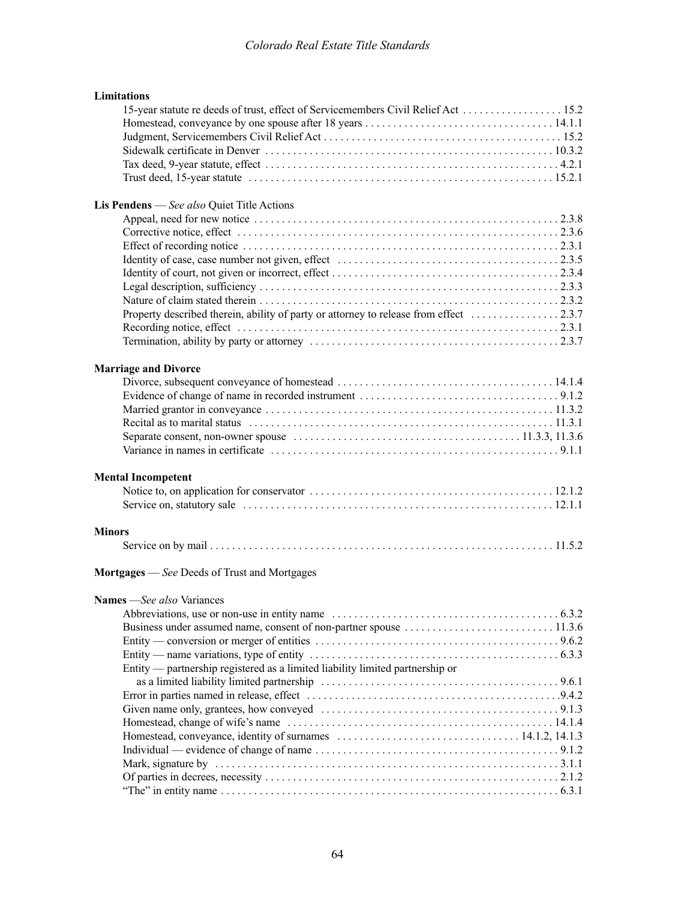| <b>Limitations</b>                                                                    |
|---------------------------------------------------------------------------------------|
|                                                                                       |
|                                                                                       |
|                                                                                       |
|                                                                                       |
|                                                                                       |
|                                                                                       |
|                                                                                       |
| Lis Pendens - See also Quiet Title Actions                                            |
|                                                                                       |
|                                                                                       |
|                                                                                       |
|                                                                                       |
|                                                                                       |
|                                                                                       |
|                                                                                       |
|                                                                                       |
| Property described therein, ability of party or attorney to release from effect 2.3.7 |
|                                                                                       |
|                                                                                       |
|                                                                                       |
| <b>Marriage and Divorce</b>                                                           |
|                                                                                       |
|                                                                                       |
|                                                                                       |
|                                                                                       |
|                                                                                       |
|                                                                                       |
|                                                                                       |
| <b>Mental Incompetent</b>                                                             |
|                                                                                       |
|                                                                                       |
|                                                                                       |
| <b>Minors</b>                                                                         |
|                                                                                       |
|                                                                                       |
| Mortgages — See Deeds of Trust and Mortgages                                          |
|                                                                                       |
| Names -See also Variances                                                             |
|                                                                                       |
|                                                                                       |
|                                                                                       |
|                                                                                       |
| Entity — partnership registered as a limited liability limited partnership or         |
|                                                                                       |
|                                                                                       |
|                                                                                       |
|                                                                                       |
|                                                                                       |
|                                                                                       |
|                                                                                       |
|                                                                                       |
|                                                                                       |
|                                                                                       |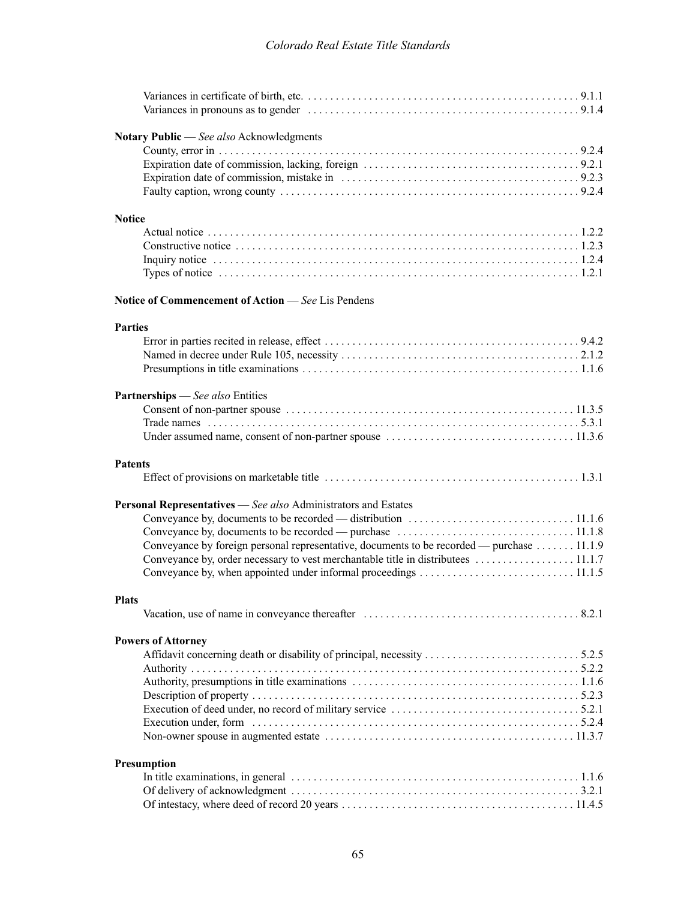| Notary Public - See also Acknowledgments                                                   |  |
|--------------------------------------------------------------------------------------------|--|
|                                                                                            |  |
|                                                                                            |  |
| <b>Notice</b>                                                                              |  |
|                                                                                            |  |
|                                                                                            |  |
| Notice of Commencement of Action - See Lis Pendens                                         |  |
| <b>Parties</b>                                                                             |  |
|                                                                                            |  |
|                                                                                            |  |
|                                                                                            |  |
| <b>Partnerships</b> - See also Entities                                                    |  |
|                                                                                            |  |
|                                                                                            |  |
|                                                                                            |  |
| <b>Patents</b>                                                                             |  |
|                                                                                            |  |
| Personal Representatives - See also Administrators and Estates                             |  |
|                                                                                            |  |
|                                                                                            |  |
| Conveyance by foreign personal representative, documents to be recorded — purchase  11.1.9 |  |
|                                                                                            |  |
|                                                                                            |  |
| <b>Plats</b>                                                                               |  |
|                                                                                            |  |
| <b>Powers of Attorney</b>                                                                  |  |
|                                                                                            |  |
|                                                                                            |  |
|                                                                                            |  |
|                                                                                            |  |
|                                                                                            |  |
|                                                                                            |  |
|                                                                                            |  |
| Presumption                                                                                |  |
|                                                                                            |  |
|                                                                                            |  |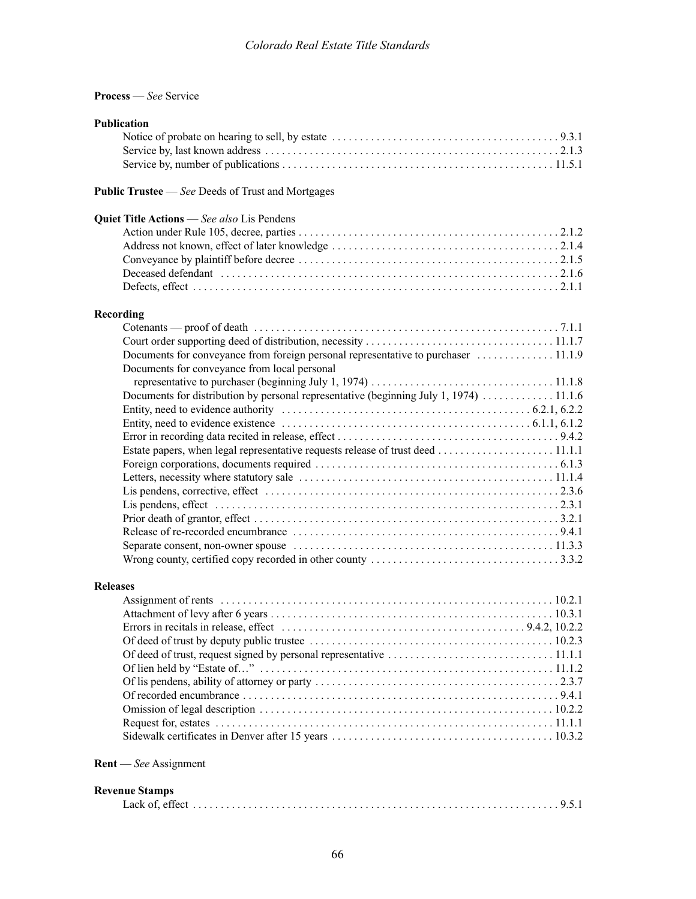## **Process** — *See* Service

#### **Publication**

# **Public Trustee** — *See* Deeds of Trust and Mortgages

| <b>Quiet Title Actions</b> — See also Lis Pendens |  |
|---------------------------------------------------|--|
|                                                   |  |
|                                                   |  |
|                                                   |  |
|                                                   |  |
|                                                   |  |

## **Recording**

| Documents for distribution by personal representative (beginning July 1, 1974)  11.1.6 |
|----------------------------------------------------------------------------------------|
|                                                                                        |
|                                                                                        |
|                                                                                        |
|                                                                                        |
|                                                                                        |
|                                                                                        |
|                                                                                        |
|                                                                                        |
|                                                                                        |
|                                                                                        |
|                                                                                        |
|                                                                                        |
|                                                                                        |

#### **Releases**

# **Rent** — *See* Assignment

# **Revenue Stamps**

|--|--|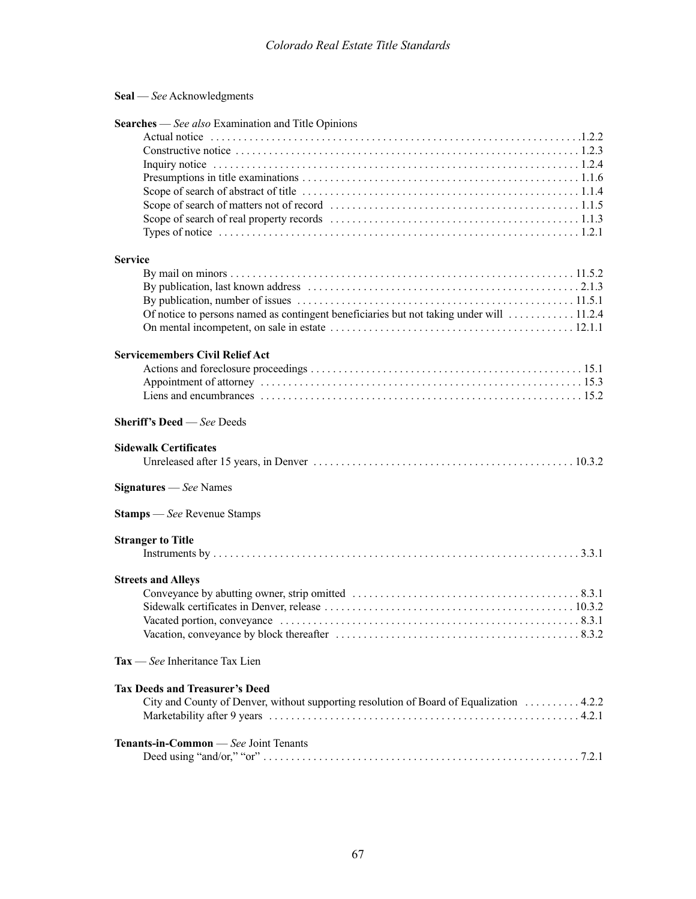| Searches - See also Examination and Title Opinions                                       |  |
|------------------------------------------------------------------------------------------|--|
|                                                                                          |  |
|                                                                                          |  |
|                                                                                          |  |
|                                                                                          |  |
|                                                                                          |  |
|                                                                                          |  |
|                                                                                          |  |
|                                                                                          |  |
|                                                                                          |  |
| <b>Service</b>                                                                           |  |
|                                                                                          |  |
|                                                                                          |  |
|                                                                                          |  |
| Of notice to persons named as contingent beneficiaries but not taking under will  11.2.4 |  |
|                                                                                          |  |
|                                                                                          |  |
| <b>Servicemembers Civil Relief Act</b>                                                   |  |
|                                                                                          |  |
|                                                                                          |  |
|                                                                                          |  |
|                                                                                          |  |
| Sheriff's Deed - See Deeds                                                               |  |
| <b>Sidewalk Certificates</b>                                                             |  |
|                                                                                          |  |
|                                                                                          |  |
| Signatures - See Names                                                                   |  |
| <b>Stamps</b> — See Revenue Stamps                                                       |  |
| <b>Stranger to Title</b>                                                                 |  |
|                                                                                          |  |
|                                                                                          |  |
| <b>Streets and Alleys</b>                                                                |  |
|                                                                                          |  |
|                                                                                          |  |
|                                                                                          |  |
|                                                                                          |  |
|                                                                                          |  |
| Tax - See Inheritance Tax Lien                                                           |  |
| <b>Tax Deeds and Treasurer's Deed</b>                                                    |  |
|                                                                                          |  |
| City and County of Denver, without supporting resolution of Board of Equalization  4.2.2 |  |
|                                                                                          |  |
|                                                                                          |  |
| Tenants-in-Common - See Joint Tenants                                                    |  |
|                                                                                          |  |
|                                                                                          |  |